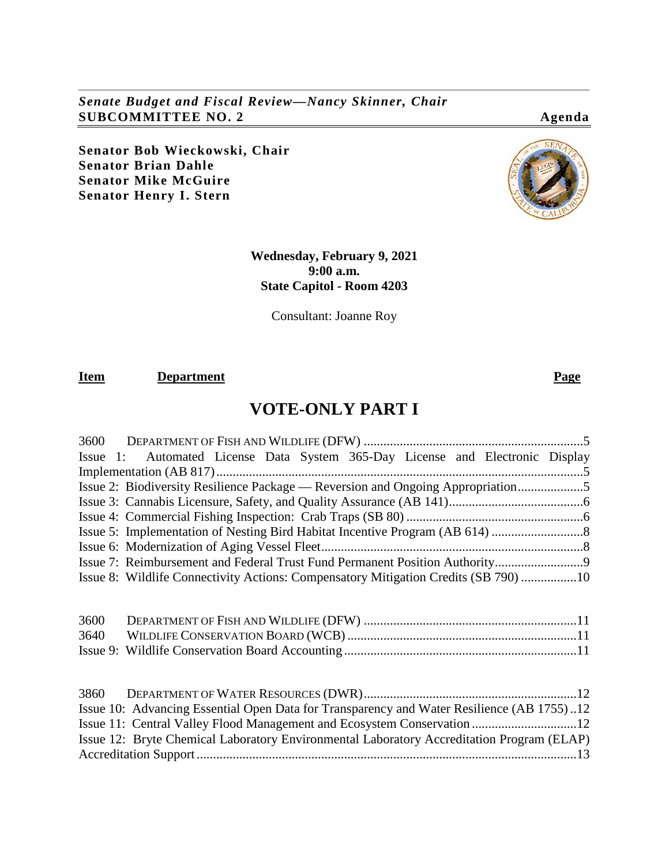*Senate Budget and Fiscal Review—Nancy Skinner, Chair* **SUBCOMMITTEE NO. 2 Agenda**

**Senator Bob Wieckowski, Chair Senator Brian Dahle Senator Mike McGuire Senator Henry I. Stern**

# **Wednesday, February 9, 2021 9:00 a.m. State Capitol - Room 4203**

Consultant: Joanne Roy

# **Item Department Page**

# **VOTE-ONLY PART I**

| Issue 1: Automated License Data System 365-Day License and Electronic Display                                                                                                                                                                                     |
|-------------------------------------------------------------------------------------------------------------------------------------------------------------------------------------------------------------------------------------------------------------------|
|                                                                                                                                                                                                                                                                   |
| Issue 2: Biodiversity Resilience Package — Reversion and Ongoing Appropriation5                                                                                                                                                                                   |
|                                                                                                                                                                                                                                                                   |
|                                                                                                                                                                                                                                                                   |
|                                                                                                                                                                                                                                                                   |
|                                                                                                                                                                                                                                                                   |
| Issue 7: Reimbursement and Federal Trust Fund Permanent Position Authority9                                                                                                                                                                                       |
| Issue 8: Wildlife Connectivity Actions: Compensatory Mitigation Credits (SB 790) 10                                                                                                                                                                               |
| 3600<br>3640                                                                                                                                                                                                                                                      |
| Issue 10: Advancing Essential Open Data for Transparency and Water Resilience (AB 1755)12<br>Issue 11: Central Valley Flood Management and Ecosystem Conservation 12<br>Issue 12: Bryte Chemical Laboratory Environmental Laboratory Accreditation Program (ELAP) |
|                                                                                                                                                                                                                                                                   |

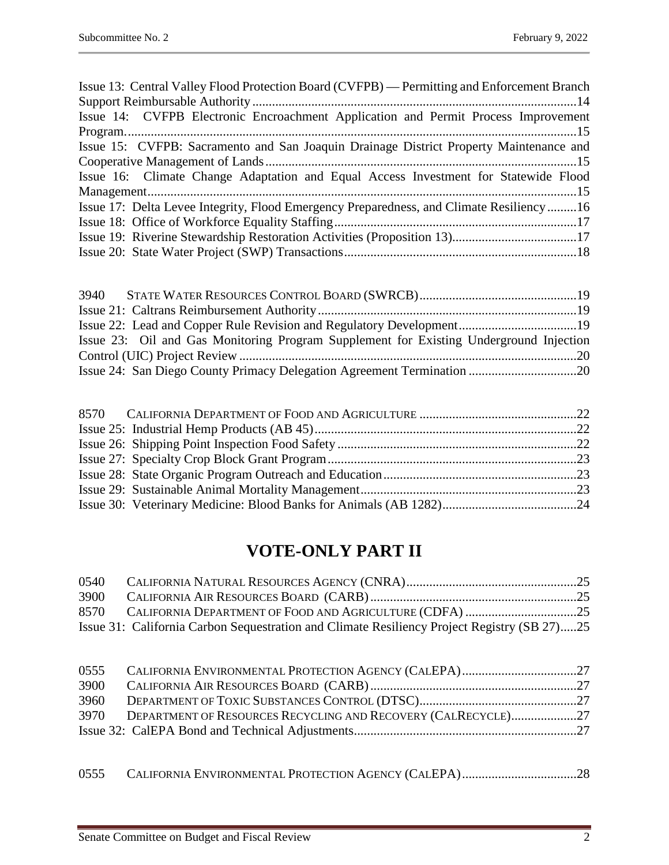| Issue 22: Lead and Copper Rule Revision and Regulatory Development19                   |  |
|----------------------------------------------------------------------------------------|--|
| Issue 23: Oil and Gas Monitoring Program Supplement for Existing Underground Injection |  |
|                                                                                        |  |
|                                                                                        |  |

# **VOTE-ONLY PART II**

| 0540 |                                                                                             |  |
|------|---------------------------------------------------------------------------------------------|--|
| 3900 |                                                                                             |  |
|      |                                                                                             |  |
|      | Issue 31: California Carbon Sequestration and Climate Resiliency Project Registry (SB 27)25 |  |

| 3960 |                                                                    |  |
|------|--------------------------------------------------------------------|--|
|      | 3970 DEPARTMENT OF RESOURCES RECYCLING AND RECOVERY (CALRECYCLE)27 |  |
|      |                                                                    |  |
|      |                                                                    |  |

0555 [CALIFORNIA ENVIRONMENTAL PROTECTION AGENCY](#page-27-0) (CALEPA)...................................28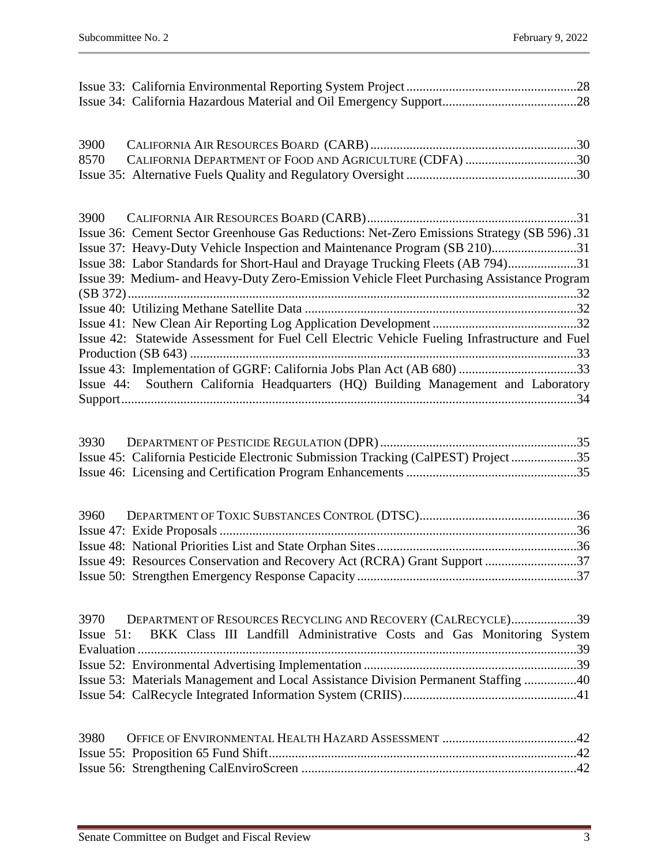| 3900         |                                                                                               |  |
|--------------|-----------------------------------------------------------------------------------------------|--|
| 8570         | CALIFORNIA DEPARTMENT OF FOOD AND AGRICULTURE (CDFA) 30                                       |  |
|              |                                                                                               |  |
|              |                                                                                               |  |
|              |                                                                                               |  |
|              | Issue 36: Cement Sector Greenhouse Gas Reductions: Net-Zero Emissions Strategy (SB 596).31    |  |
|              | Issue 37: Heavy-Duty Vehicle Inspection and Maintenance Program (SB 210)31                    |  |
|              | Issue 38: Labor Standards for Short-Haul and Drayage Trucking Fleets (AB 794)31               |  |
|              | Issue 39: Medium- and Heavy-Duty Zero-Emission Vehicle Fleet Purchasing Assistance Program    |  |
|              |                                                                                               |  |
|              |                                                                                               |  |
|              |                                                                                               |  |
|              | Issue 42: Statewide Assessment for Fuel Cell Electric Vehicle Fueling Infrastructure and Fuel |  |
|              |                                                                                               |  |
|              | Issue 43: Implementation of GGRF: California Jobs Plan Act (AB 680) 33                        |  |
|              | Issue 44: Southern California Headquarters (HQ) Building Management and Laboratory            |  |
|              |                                                                                               |  |
|              |                                                                                               |  |
| 3930         |                                                                                               |  |
|              | Issue 45: California Pesticide Electronic Submission Tracking (CalPEST) Project 35            |  |
|              |                                                                                               |  |
|              |                                                                                               |  |
| 3960         |                                                                                               |  |
|              |                                                                                               |  |
|              |                                                                                               |  |
|              | Issue 49: Resources Conservation and Recovery Act (RCRA) Grant Support 37                     |  |
|              |                                                                                               |  |
|              |                                                                                               |  |
|              |                                                                                               |  |
|              |                                                                                               |  |
| 3970         | DEPARTMENT OF RESOURCES RECYCLING AND RECOVERY (CALRECYCLE)39                                 |  |
| Issue $51$ : | BKK Class III Landfill Administrative Costs and Gas Monitoring System                         |  |
|              |                                                                                               |  |
|              |                                                                                               |  |
|              | Issue 53: Materials Management and Local Assistance Division Permanent Staffing 40            |  |
|              |                                                                                               |  |
|              |                                                                                               |  |
| 3980         |                                                                                               |  |
|              |                                                                                               |  |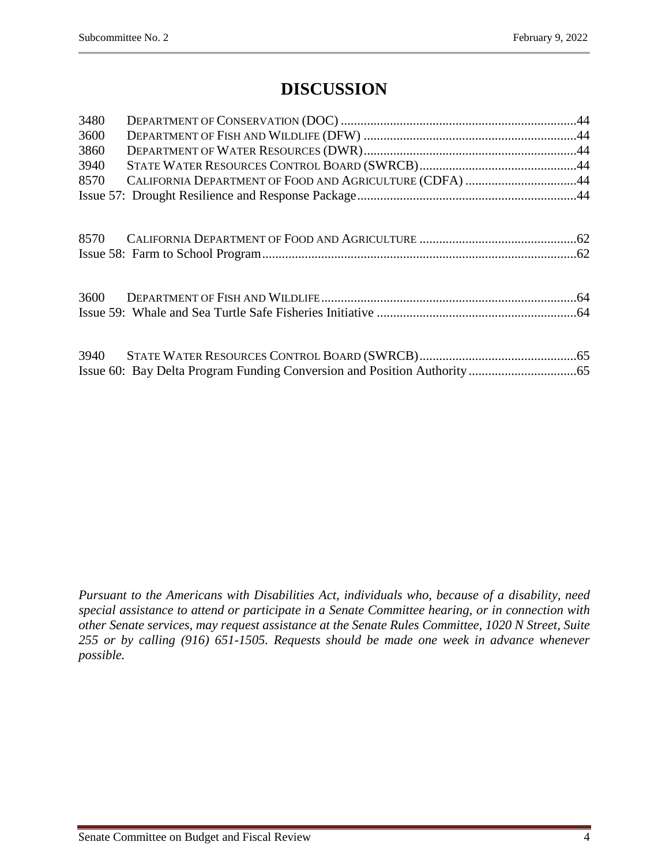# **DISCUSSION**

| 3480 |                                                         |  |
|------|---------------------------------------------------------|--|
| 3600 |                                                         |  |
| 3860 |                                                         |  |
| 3940 |                                                         |  |
| 8570 | CALIFORNIA DEPARTMENT OF FOOD AND AGRICULTURE (CDFA) 44 |  |
|      |                                                         |  |
|      |                                                         |  |
|      |                                                         |  |
|      |                                                         |  |
|      |                                                         |  |
|      |                                                         |  |
|      |                                                         |  |
|      |                                                         |  |
| 3940 |                                                         |  |
|      |                                                         |  |

*Pursuant to the Americans with Disabilities Act, individuals who, because of a disability, need special assistance to attend or participate in a Senate Committee hearing, or in connection with other Senate services, may request assistance at the Senate Rules Committee, 1020 N Street, Suite 255 or by calling (916) 651-1505. Requests should be made one week in advance whenever possible.*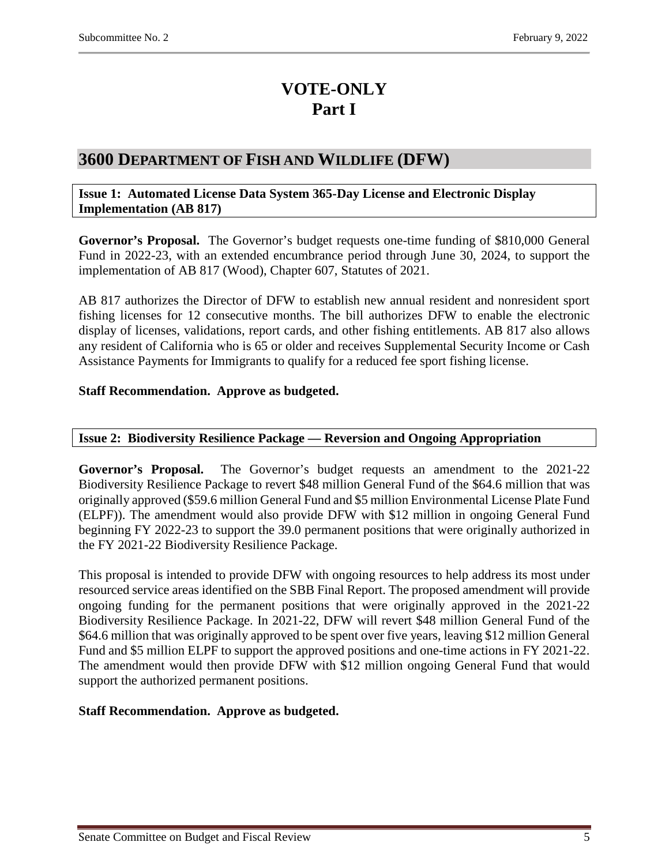# **VOTE-ONLY Part I**

# <span id="page-4-0"></span>**3600 DEPARTMENT OF FISH AND WILDLIFE (DFW)**

#### <span id="page-4-1"></span>**Issue 1: Automated License Data System 365-Day License and Electronic Display Implementation (AB 817)**

**Governor's Proposal.** The Governor's budget requests one-time funding of \$810,000 General Fund in 2022-23, with an extended encumbrance period through June 30, 2024, to support the implementation of AB 817 (Wood), Chapter 607, Statutes of 2021.

AB 817 authorizes the Director of DFW to establish new annual resident and nonresident sport fishing licenses for 12 consecutive months. The bill authorizes DFW to enable the electronic display of licenses, validations, report cards, and other fishing entitlements. AB 817 also allows any resident of California who is 65 or older and receives Supplemental Security Income or Cash Assistance Payments for Immigrants to qualify for a reduced fee sport fishing license.

# **Staff Recommendation. Approve as budgeted.**

# <span id="page-4-2"></span>**Issue 2: Biodiversity Resilience Package — Reversion and Ongoing Appropriation**

**Governor's Proposal.** The Governor's budget requests an amendment to the 2021-22 Biodiversity Resilience Package to revert \$48 million General Fund of the \$64.6 million that was originally approved (\$59.6 million General Fund and \$5 million Environmental License Plate Fund (ELPF)). The amendment would also provide DFW with \$12 million in ongoing General Fund beginning FY 2022-23 to support the 39.0 permanent positions that were originally authorized in the FY 2021-22 Biodiversity Resilience Package.

This proposal is intended to provide DFW with ongoing resources to help address its most under resourced service areas identified on the SBB Final Report. The proposed amendment will provide ongoing funding for the permanent positions that were originally approved in the 2021-22 Biodiversity Resilience Package. In 2021-22, DFW will revert \$48 million General Fund of the \$64.6 million that was originally approved to be spent over five years, leaving \$12 million General Fund and \$5 million ELPF to support the approved positions and one-time actions in FY 2021-22. The amendment would then provide DFW with \$12 million ongoing General Fund that would support the authorized permanent positions.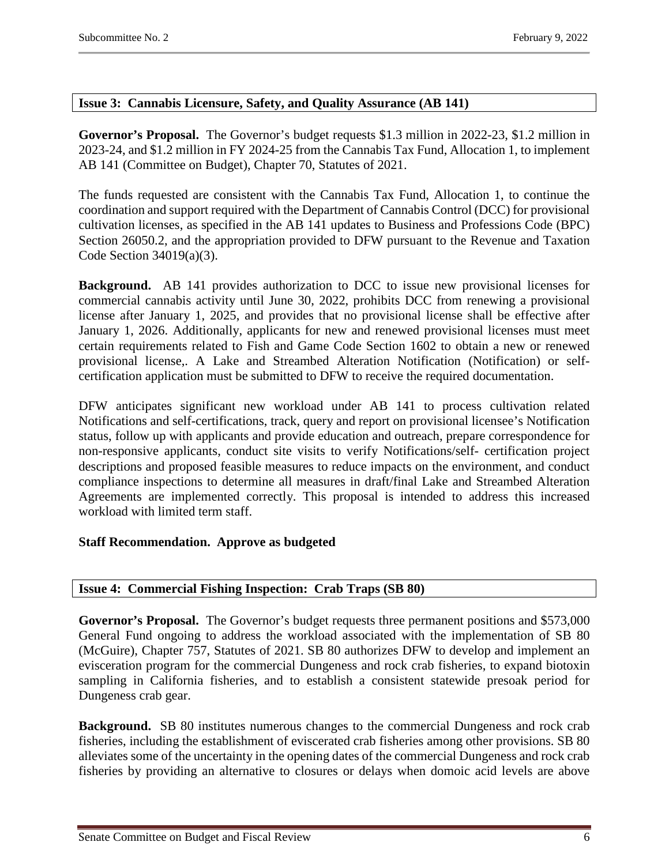# <span id="page-5-0"></span>**Issue 3: Cannabis Licensure, Safety, and Quality Assurance (AB 141)**

**Governor's Proposal.** The Governor's budget requests \$1.3 million in 2022-23, \$1.2 million in 2023-24, and \$1.2 million in FY 2024-25 from the Cannabis Tax Fund, Allocation 1, to implement AB 141 (Committee on Budget), Chapter 70, Statutes of 2021.

The funds requested are consistent with the Cannabis Tax Fund, Allocation 1, to continue the coordination and support required with the Department of Cannabis Control (DCC) for provisional cultivation licenses, as specified in the AB 141 updates to Business and Professions Code (BPC) Section 26050.2, and the appropriation provided to DFW pursuant to the Revenue and Taxation Code Section 34019(a)(3).

**Background.** AB 141 provides authorization to DCC to issue new provisional licenses for commercial cannabis activity until June 30, 2022, prohibits DCC from renewing a provisional license after January 1, 2025, and provides that no provisional license shall be effective after January 1, 2026. Additionally, applicants for new and renewed provisional licenses must meet certain requirements related to Fish and Game Code Section 1602 to obtain a new or renewed provisional license,. A Lake and Streambed Alteration Notification (Notification) or selfcertification application must be submitted to DFW to receive the required documentation.

DFW anticipates significant new workload under AB 141 to process cultivation related Notifications and self-certifications, track, query and report on provisional licensee's Notification status, follow up with applicants and provide education and outreach, prepare correspondence for non-responsive applicants, conduct site visits to verify Notifications/self- certification project descriptions and proposed feasible measures to reduce impacts on the environment, and conduct compliance inspections to determine all measures in draft/final Lake and Streambed Alteration Agreements are implemented correctly. This proposal is intended to address this increased workload with limited term staff.

# **Staff Recommendation. Approve as budgeted**

# <span id="page-5-1"></span>**Issue 4: Commercial Fishing Inspection: Crab Traps (SB 80)**

**Governor's Proposal.** The Governor's budget requests three permanent positions and \$573,000 General Fund ongoing to address the workload associated with the implementation of SB 80 (McGuire), Chapter 757, Statutes of 2021. SB 80 authorizes DFW to develop and implement an evisceration program for the commercial Dungeness and rock crab fisheries, to expand biotoxin sampling in California fisheries, and to establish a consistent statewide presoak period for Dungeness crab gear.

**Background.** SB 80 institutes numerous changes to the commercial Dungeness and rock crab fisheries, including the establishment of eviscerated crab fisheries among other provisions. SB 80 alleviates some of the uncertainty in the opening dates of the commercial Dungeness and rock crab fisheries by providing an alternative to closures or delays when domoic acid levels are above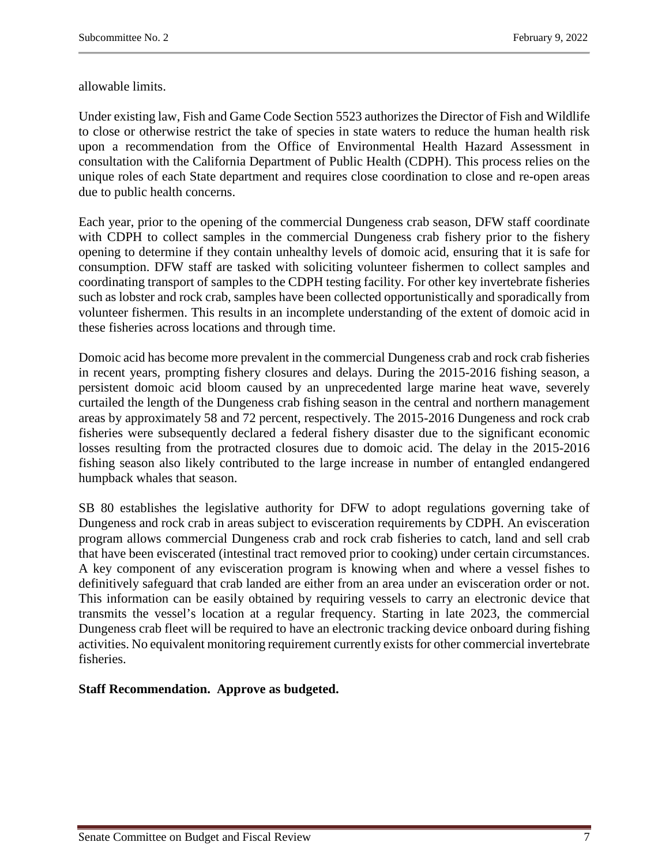allowable limits.

Under existing law, Fish and Game Code Section 5523 authorizes the Director of Fish and Wildlife to close or otherwise restrict the take of species in state waters to reduce the human health risk upon a recommendation from the Office of Environmental Health Hazard Assessment in consultation with the California Department of Public Health (CDPH). This process relies on the unique roles of each State department and requires close coordination to close and re-open areas due to public health concerns.

Each year, prior to the opening of the commercial Dungeness crab season, DFW staff coordinate with CDPH to collect samples in the commercial Dungeness crab fishery prior to the fishery opening to determine if they contain unhealthy levels of domoic acid, ensuring that it is safe for consumption. DFW staff are tasked with soliciting volunteer fishermen to collect samples and coordinating transport of samples to the CDPH testing facility. For other key invertebrate fisheries such as lobster and rock crab, samples have been collected opportunistically and sporadically from volunteer fishermen. This results in an incomplete understanding of the extent of domoic acid in these fisheries across locations and through time.

Domoic acid has become more prevalent in the commercial Dungeness crab and rock crab fisheries in recent years, prompting fishery closures and delays. During the 2015-2016 fishing season, a persistent domoic acid bloom caused by an unprecedented large marine heat wave, severely curtailed the length of the Dungeness crab fishing season in the central and northern management areas by approximately 58 and 72 percent, respectively. The 2015-2016 Dungeness and rock crab fisheries were subsequently declared a federal fishery disaster due to the significant economic losses resulting from the protracted closures due to domoic acid. The delay in the 2015-2016 fishing season also likely contributed to the large increase in number of entangled endangered humpback whales that season.

SB 80 establishes the legislative authority for DFW to adopt regulations governing take of Dungeness and rock crab in areas subject to evisceration requirements by CDPH. An evisceration program allows commercial Dungeness crab and rock crab fisheries to catch, land and sell crab that have been eviscerated (intestinal tract removed prior to cooking) under certain circumstances. A key component of any evisceration program is knowing when and where a vessel fishes to definitively safeguard that crab landed are either from an area under an evisceration order or not. This information can be easily obtained by requiring vessels to carry an electronic device that transmits the vessel's location at a regular frequency. Starting in late 2023, the commercial Dungeness crab fleet will be required to have an electronic tracking device onboard during fishing activities. No equivalent monitoring requirement currently exists for other commercial invertebrate fisheries.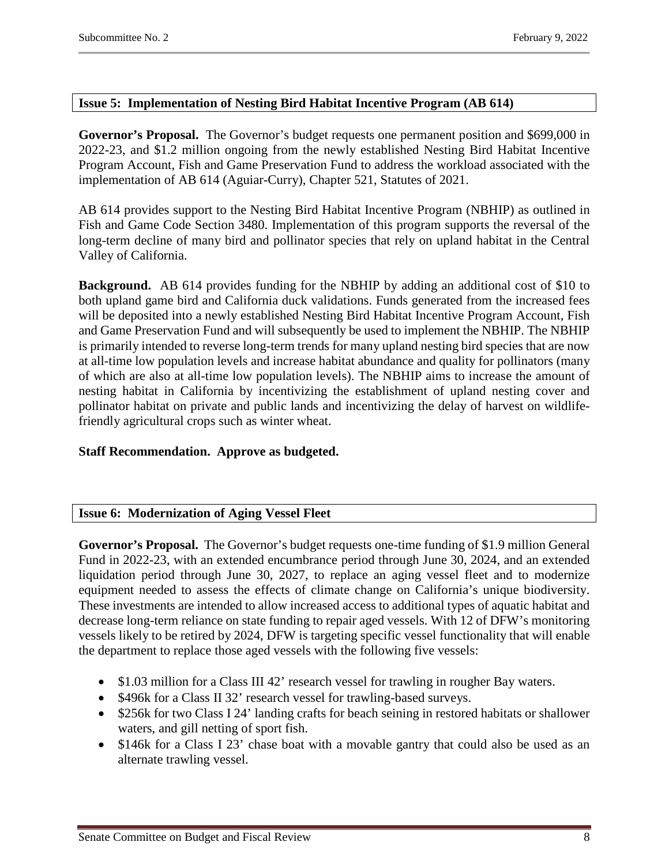# <span id="page-7-0"></span>**Issue 5: Implementation of Nesting Bird Habitat Incentive Program (AB 614)**

**Governor's Proposal.** The Governor's budget requests one permanent position and \$699,000 in 2022-23, and \$1.2 million ongoing from the newly established Nesting Bird Habitat Incentive Program Account, Fish and Game Preservation Fund to address the workload associated with the implementation of AB 614 (Aguiar-Curry), Chapter 521, Statutes of 2021.

AB 614 provides support to the Nesting Bird Habitat Incentive Program (NBHIP) as outlined in Fish and Game Code Section 3480. Implementation of this program supports the reversal of the long-term decline of many bird and pollinator species that rely on upland habitat in the Central Valley of California.

**Background.** AB 614 provides funding for the NBHIP by adding an additional cost of \$10 to both upland game bird and California duck validations. Funds generated from the increased fees will be deposited into a newly established Nesting Bird Habitat Incentive Program Account, Fish and Game Preservation Fund and will subsequently be used to implement the NBHIP. The NBHIP is primarily intended to reverse long-term trends for many upland nesting bird species that are now at all-time low population levels and increase habitat abundance and quality for pollinators (many of which are also at all-time low population levels). The NBHIP aims to increase the amount of nesting habitat in California by incentivizing the establishment of upland nesting cover and pollinator habitat on private and public lands and incentivizing the delay of harvest on wildlifefriendly agricultural crops such as winter wheat.

# **Staff Recommendation. Approve as budgeted.**

# <span id="page-7-1"></span>**Issue 6: Modernization of Aging Vessel Fleet**

**Governor's Proposal.** The Governor's budget requests one-time funding of \$1.9 million General Fund in 2022-23, with an extended encumbrance period through June 30, 2024, and an extended liquidation period through June 30, 2027, to replace an aging vessel fleet and to modernize equipment needed to assess the effects of climate change on California's unique biodiversity. These investments are intended to allow increased access to additional types of aquatic habitat and decrease long-term reliance on state funding to repair aged vessels. With 12 of DFW's monitoring vessels likely to be retired by 2024, DFW is targeting specific vessel functionality that will enable the department to replace those aged vessels with the following five vessels:

- \$1.03 million for a Class III 42' research vessel for trawling in rougher Bay waters.
- \$496k for a Class II 32' research vessel for trawling-based surveys.
- \$256k for two Class I 24' landing crafts for beach seining in restored habitats or shallower waters, and gill netting of sport fish.
- \$146k for a Class I 23' chase boat with a movable gantry that could also be used as an alternate trawling vessel.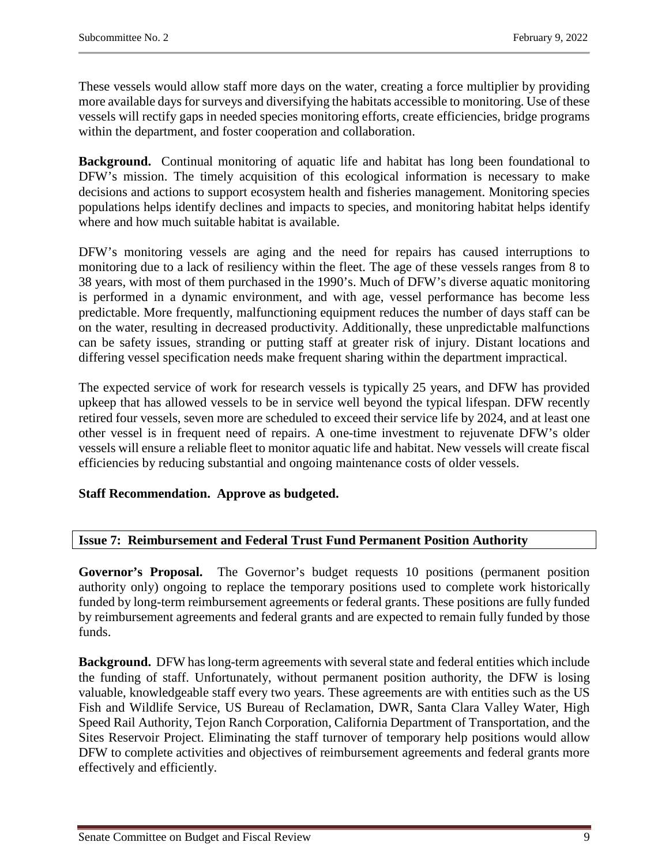These vessels would allow staff more days on the water, creating a force multiplier by providing more available days for surveys and diversifying the habitats accessible to monitoring. Use of these vessels will rectify gaps in needed species monitoring efforts, create efficiencies, bridge programs within the department, and foster cooperation and collaboration.

**Background.** Continual monitoring of aquatic life and habitat has long been foundational to DFW's mission. The timely acquisition of this ecological information is necessary to make decisions and actions to support ecosystem health and fisheries management. Monitoring species populations helps identify declines and impacts to species, and monitoring habitat helps identify where and how much suitable habitat is available.

DFW's monitoring vessels are aging and the need for repairs has caused interruptions to monitoring due to a lack of resiliency within the fleet. The age of these vessels ranges from 8 to 38 years, with most of them purchased in the 1990's. Much of DFW's diverse aquatic monitoring is performed in a dynamic environment, and with age, vessel performance has become less predictable. More frequently, malfunctioning equipment reduces the number of days staff can be on the water, resulting in decreased productivity. Additionally, these unpredictable malfunctions can be safety issues, stranding or putting staff at greater risk of injury. Distant locations and differing vessel specification needs make frequent sharing within the department impractical.

The expected service of work for research vessels is typically 25 years, and DFW has provided upkeep that has allowed vessels to be in service well beyond the typical lifespan. DFW recently retired four vessels, seven more are scheduled to exceed their service life by 2024, and at least one other vessel is in frequent need of repairs. A one-time investment to rejuvenate DFW's older vessels will ensure a reliable fleet to monitor aquatic life and habitat. New vessels will create fiscal efficiencies by reducing substantial and ongoing maintenance costs of older vessels.

# **Staff Recommendation. Approve as budgeted.**

# <span id="page-8-0"></span>**Issue 7: Reimbursement and Federal Trust Fund Permanent Position Authority**

**Governor's Proposal.** The Governor's budget requests 10 positions (permanent position authority only) ongoing to replace the temporary positions used to complete work historically funded by long-term reimbursement agreements or federal grants. These positions are fully funded by reimbursement agreements and federal grants and are expected to remain fully funded by those funds.

**Background.** DFW has long-term agreements with several state and federal entities which include the funding of staff. Unfortunately, without permanent position authority, the DFW is losing valuable, knowledgeable staff every two years. These agreements are with entities such as the US Fish and Wildlife Service, US Bureau of Reclamation, DWR, Santa Clara Valley Water, High Speed Rail Authority, Tejon Ranch Corporation, California Department of Transportation, and the Sites Reservoir Project. Eliminating the staff turnover of temporary help positions would allow DFW to complete activities and objectives of reimbursement agreements and federal grants more effectively and efficiently.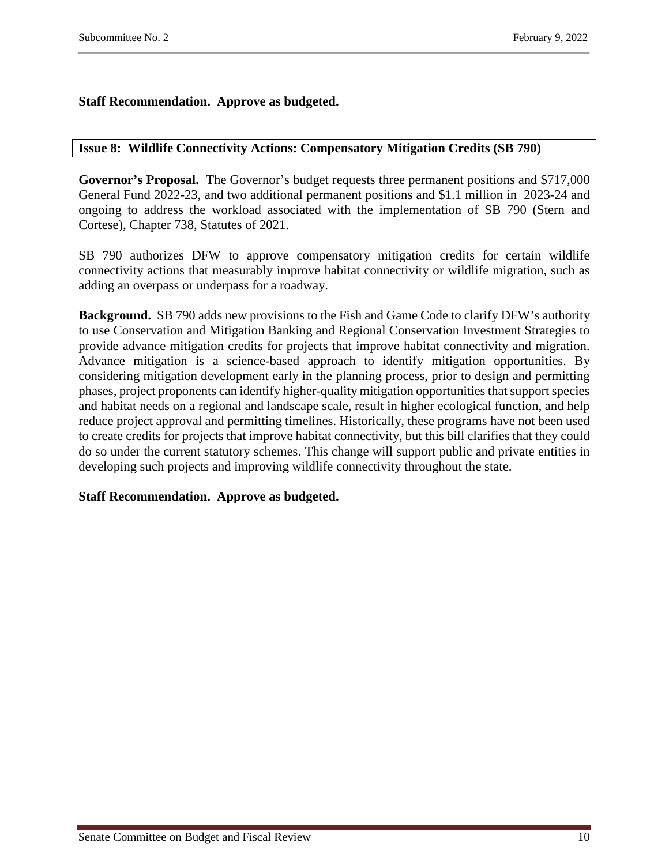# **Staff Recommendation. Approve as budgeted.**

#### <span id="page-9-0"></span>**Issue 8: Wildlife Connectivity Actions: Compensatory Mitigation Credits (SB 790)**

**Governor's Proposal.** The Governor's budget requests three permanent positions and \$717,000 General Fund 2022-23, and two additional permanent positions and \$1.1 million in 2023-24 and ongoing to address the workload associated with the implementation of SB 790 (Stern and Cortese), Chapter 738, Statutes of 2021.

SB 790 authorizes DFW to approve compensatory mitigation credits for certain wildlife connectivity actions that measurably improve habitat connectivity or wildlife migration, such as adding an overpass or underpass for a roadway.

**Background.** SB 790 adds new provisions to the Fish and Game Code to clarify DFW's authority to use Conservation and Mitigation Banking and Regional Conservation Investment Strategies to provide advance mitigation credits for projects that improve habitat connectivity and migration. Advance mitigation is a science-based approach to identify mitigation opportunities. By considering mitigation development early in the planning process, prior to design and permitting phases, project proponents can identify higher-quality mitigation opportunities that support species and habitat needs on a regional and landscape scale, result in higher ecological function, and help reduce project approval and permitting timelines. Historically, these programs have not been used to create credits for projects that improve habitat connectivity, but this bill clarifies that they could do so under the current statutory schemes. This change will support public and private entities in developing such projects and improving wildlife connectivity throughout the state.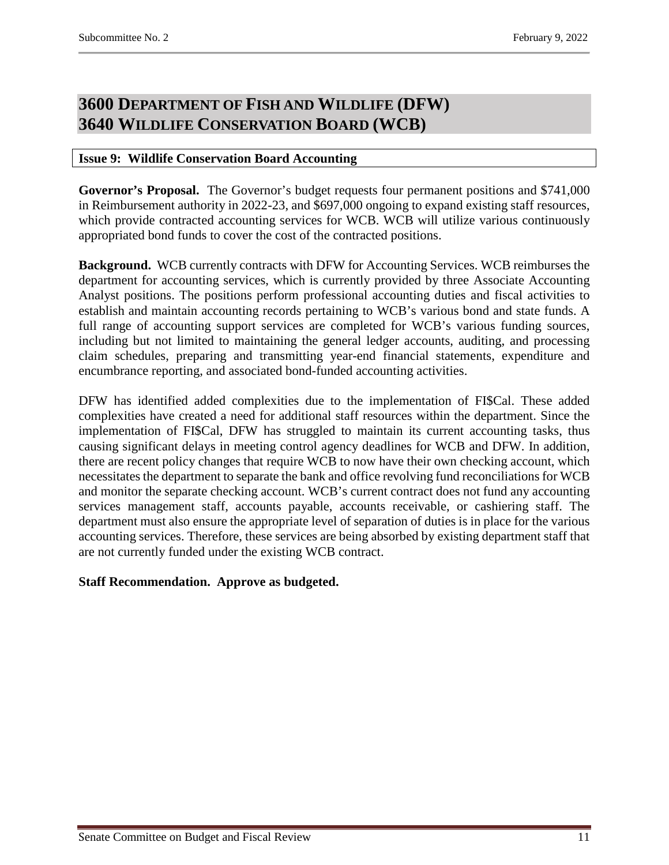# <span id="page-10-1"></span><span id="page-10-0"></span>**3600 DEPARTMENT OF FISH AND WILDLIFE (DFW) 3640 WILDLIFE CONSERVATION BOARD (WCB)**

# <span id="page-10-2"></span>**Issue 9: Wildlife Conservation Board Accounting**

**Governor's Proposal.** The Governor's budget requests four permanent positions and \$741,000 in Reimbursement authority in 2022-23, and \$697,000 ongoing to expand existing staff resources, which provide contracted accounting services for WCB. WCB will utilize various continuously appropriated bond funds to cover the cost of the contracted positions.

**Background.** WCB currently contracts with DFW for Accounting Services. WCB reimburses the department for accounting services, which is currently provided by three Associate Accounting Analyst positions. The positions perform professional accounting duties and fiscal activities to establish and maintain accounting records pertaining to WCB's various bond and state funds. A full range of accounting support services are completed for WCB's various funding sources, including but not limited to maintaining the general ledger accounts, auditing, and processing claim schedules, preparing and transmitting year-end financial statements, expenditure and encumbrance reporting, and associated bond-funded accounting activities.

DFW has identified added complexities due to the implementation of FI\$Cal. These added complexities have created a need for additional staff resources within the department. Since the implementation of FI\$Cal, DFW has struggled to maintain its current accounting tasks, thus causing significant delays in meeting control agency deadlines for WCB and DFW. In addition, there are recent policy changes that require WCB to now have their own checking account, which necessitates the department to separate the bank and office revolving fund reconciliations for WCB and monitor the separate checking account. WCB's current contract does not fund any accounting services management staff, accounts payable, accounts receivable, or cashiering staff. The department must also ensure the appropriate level of separation of duties is in place for the various accounting services. Therefore, these services are being absorbed by existing department staff that are not currently funded under the existing WCB contract.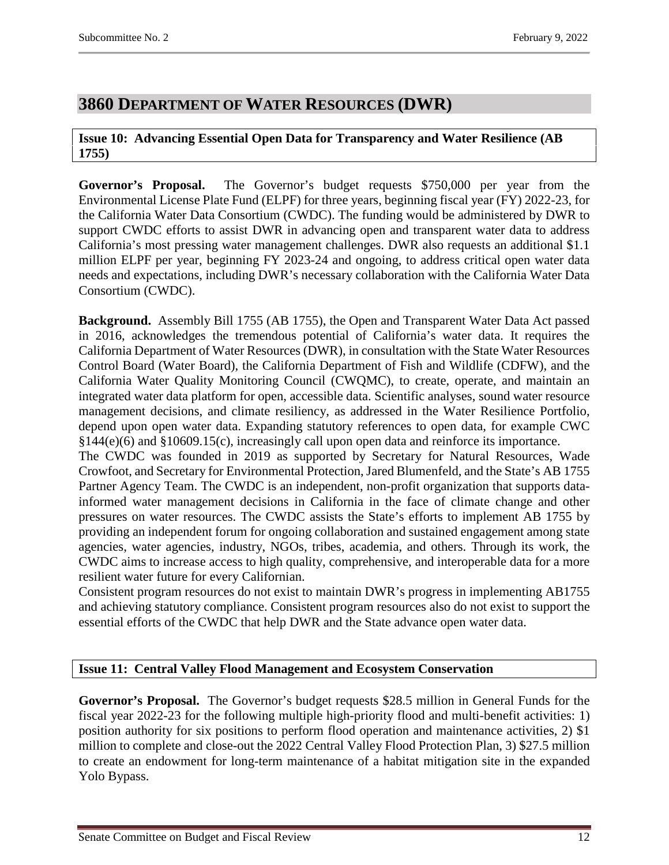# <span id="page-11-0"></span>**3860 DEPARTMENT OF WATER RESOURCES (DWR)**

# <span id="page-11-1"></span>**Issue 10: Advancing Essential Open Data for Transparency and Water Resilience (AB 1755)**

**Governor's Proposal.** The Governor's budget requests \$750,000 per year from the Environmental License Plate Fund (ELPF) for three years, beginning fiscal year (FY) 2022-23, for the California Water Data Consortium (CWDC). The funding would be administered by DWR to support CWDC efforts to assist DWR in advancing open and transparent water data to address California's most pressing water management challenges. DWR also requests an additional \$1.1 million ELPF per year, beginning FY 2023-24 and ongoing, to address critical open water data needs and expectations, including DWR's necessary collaboration with the California Water Data Consortium (CWDC).

**Background.** Assembly Bill 1755 (AB 1755), the Open and Transparent Water Data Act passed in 2016, acknowledges the tremendous potential of California's water data. It requires the California Department of Water Resources (DWR), in consultation with the State Water Resources Control Board (Water Board), the California Department of Fish and Wildlife (CDFW), and the California Water Quality Monitoring Council (CWQMC), to create, operate, and maintain an integrated water data platform for open, accessible data. Scientific analyses, sound water resource management decisions, and climate resiliency, as addressed in the Water Resilience Portfolio, depend upon open water data. Expanding statutory references to open data, for example CWC §144(e)(6) and §10609.15(c), increasingly call upon open data and reinforce its importance.

The CWDC was founded in 2019 as supported by Secretary for Natural Resources, Wade Crowfoot, and Secretary for Environmental Protection, Jared Blumenfeld, and the State's AB 1755 Partner Agency Team. The CWDC is an independent, non-profit organization that supports datainformed water management decisions in California in the face of climate change and other pressures on water resources. The CWDC assists the State's efforts to implement AB 1755 by providing an independent forum for ongoing collaboration and sustained engagement among state agencies, water agencies, industry, NGOs, tribes, academia, and others. Through its work, the CWDC aims to increase access to high quality, comprehensive, and interoperable data for a more resilient water future for every Californian.

Consistent program resources do not exist to maintain DWR's progress in implementing AB1755 and achieving statutory compliance. Consistent program resources also do not exist to support the essential efforts of the CWDC that help DWR and the State advance open water data.

# <span id="page-11-2"></span>**Issue 11: Central Valley Flood Management and Ecosystem Conservation**

**Governor's Proposal.** The Governor's budget requests \$28.5 million in General Funds for the fiscal year 2022-23 for the following multiple high-priority flood and multi-benefit activities: 1) position authority for six positions to perform flood operation and maintenance activities, 2) \$1 million to complete and close-out the 2022 Central Valley Flood Protection Plan, 3) \$27.5 million to create an endowment for long-term maintenance of a habitat mitigation site in the expanded Yolo Bypass.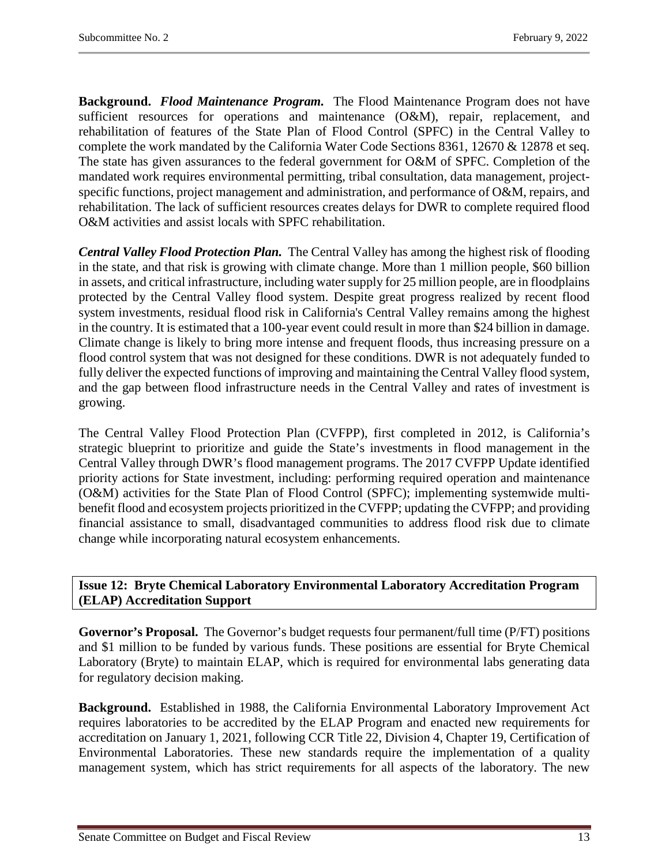**Background.** *Flood Maintenance Program.*The Flood Maintenance Program does not have sufficient resources for operations and maintenance (O&M), repair, replacement, and rehabilitation of features of the State Plan of Flood Control (SPFC) in the Central Valley to complete the work mandated by the California Water Code Sections 8361, 12670 & 12878 et seq. The state has given assurances to the federal government for O&M of SPFC. Completion of the mandated work requires environmental permitting, tribal consultation, data management, projectspecific functions, project management and administration, and performance of O&M, repairs, and rehabilitation. The lack of sufficient resources creates delays for DWR to complete required flood O&M activities and assist locals with SPFC rehabilitation.

*Central Valley Flood Protection Plan.* The Central Valley has among the highest risk of flooding in the state, and that risk is growing with climate change. More than 1 million people, \$60 billion in assets, and critical infrastructure, including water supply for 25 million people, are in floodplains protected by the Central Valley flood system. Despite great progress realized by recent flood system investments, residual flood risk in California's Central Valley remains among the highest in the country. It is estimated that a 100-year event could result in more than \$24 billion in damage. Climate change is likely to bring more intense and frequent floods, thus increasing pressure on a flood control system that was not designed for these conditions. DWR is not adequately funded to fully deliver the expected functions of improving and maintaining the Central Valley flood system, and the gap between flood infrastructure needs in the Central Valley and rates of investment is growing.

The Central Valley Flood Protection Plan (CVFPP), first completed in 2012, is California's strategic blueprint to prioritize and guide the State's investments in flood management in the Central Valley through DWR's flood management programs. The 2017 CVFPP Update identified priority actions for State investment, including: performing required operation and maintenance (O&M) activities for the State Plan of Flood Control (SPFC); implementing systemwide multibenefit flood and ecosystem projects prioritized in the CVFPP; updating the CVFPP; and providing financial assistance to small, disadvantaged communities to address flood risk due to climate change while incorporating natural ecosystem enhancements.

# <span id="page-12-0"></span>**Issue 12: Bryte Chemical Laboratory Environmental Laboratory Accreditation Program (ELAP) Accreditation Support**

**Governor's Proposal.** The Governor's budget requests four permanent/full time (P/FT) positions and \$1 million to be funded by various funds. These positions are essential for Bryte Chemical Laboratory (Bryte) to maintain ELAP, which is required for environmental labs generating data for regulatory decision making.

**Background.** Established in 1988, the California Environmental Laboratory Improvement Act requires laboratories to be accredited by the ELAP Program and enacted new requirements for accreditation on January 1, 2021, following CCR Title 22, Division 4, Chapter 19, Certification of Environmental Laboratories. These new standards require the implementation of a quality management system, which has strict requirements for all aspects of the laboratory. The new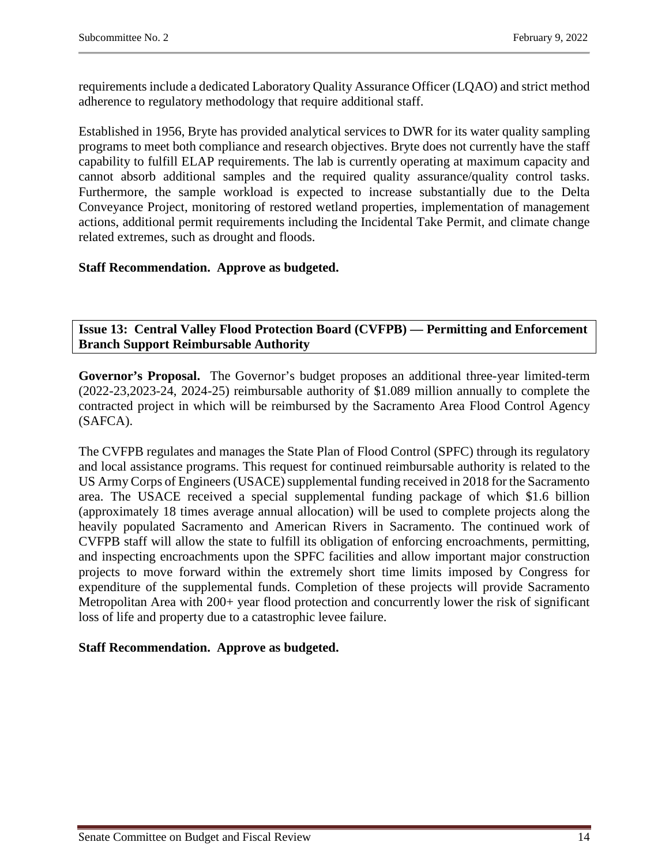requirements include a dedicated Laboratory Quality Assurance Officer (LQAO) and strict method adherence to regulatory methodology that require additional staff.

Established in 1956, Bryte has provided analytical services to DWR for its water quality sampling programs to meet both compliance and research objectives. Bryte does not currently have the staff capability to fulfill ELAP requirements. The lab is currently operating at maximum capacity and cannot absorb additional samples and the required quality assurance/quality control tasks. Furthermore, the sample workload is expected to increase substantially due to the Delta Conveyance Project, monitoring of restored wetland properties, implementation of management actions, additional permit requirements including the Incidental Take Permit, and climate change related extremes, such as drought and floods.

# **Staff Recommendation. Approve as budgeted.**

<span id="page-13-0"></span>**Issue 13: Central Valley Flood Protection Board (CVFPB) — Permitting and Enforcement Branch Support Reimbursable Authority**

**Governor's Proposal.** The Governor's budget proposes an additional three-year limited-term (2022-23,2023-24, 2024-25) reimbursable authority of \$1.089 million annually to complete the contracted project in which will be reimbursed by the Sacramento Area Flood Control Agency (SAFCA).

The CVFPB regulates and manages the State Plan of Flood Control (SPFC) through its regulatory and local assistance programs. This request for continued reimbursable authority is related to the US Army Corps of Engineers (USACE) supplemental funding received in 2018 for the Sacramento area. The USACE received a special supplemental funding package of which \$1.6 billion (approximately 18 times average annual allocation) will be used to complete projects along the heavily populated Sacramento and American Rivers in Sacramento. The continued work of CVFPB staff will allow the state to fulfill its obligation of enforcing encroachments, permitting, and inspecting encroachments upon the SPFC facilities and allow important major construction projects to move forward within the extremely short time limits imposed by Congress for expenditure of the supplemental funds. Completion of these projects will provide Sacramento Metropolitan Area with 200+ year flood protection and concurrently lower the risk of significant loss of life and property due to a catastrophic levee failure.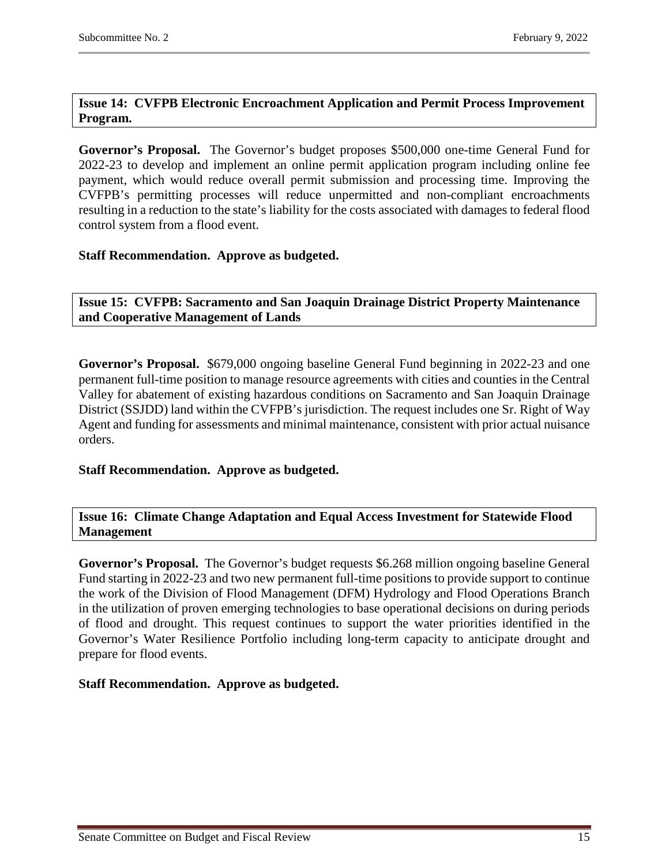# <span id="page-14-0"></span>**Issue 14: CVFPB Electronic Encroachment Application and Permit Process Improvement Program.**

**Governor's Proposal.** The Governor's budget proposes \$500,000 one-time General Fund for 2022-23 to develop and implement an online permit application program including online fee payment, which would reduce overall permit submission and processing time. Improving the CVFPB's permitting processes will reduce unpermitted and non-compliant encroachments resulting in a reduction to the state's liability for the costs associated with damages to federal flood control system from a flood event.

# **Staff Recommendation. Approve as budgeted.**

<span id="page-14-1"></span>**Issue 15: CVFPB: Sacramento and San Joaquin Drainage District Property Maintenance and Cooperative Management of Lands**

**Governor's Proposal.** \$679,000 ongoing baseline General Fund beginning in 2022-23 and one permanent full-time position to manage resource agreements with cities and counties in the Central Valley for abatement of existing hazardous conditions on Sacramento and San Joaquin Drainage District (SSJDD) land within the CVFPB's jurisdiction. The request includes one Sr. Right of Way Agent and funding for assessments and minimal maintenance, consistent with prior actual nuisance orders.

# **Staff Recommendation. Approve as budgeted.**

#### <span id="page-14-2"></span>**Issue 16: Climate Change Adaptation and Equal Access Investment for Statewide Flood Management**

**Governor's Proposal.** The Governor's budget requests \$6.268 million ongoing baseline General Fund starting in 2022-23 and two new permanent full-time positions to provide support to continue the work of the Division of Flood Management (DFM) Hydrology and Flood Operations Branch in the utilization of proven emerging technologies to base operational decisions on during periods of flood and drought. This request continues to support the water priorities identified in the Governor's Water Resilience Portfolio including long-term capacity to anticipate drought and prepare for flood events.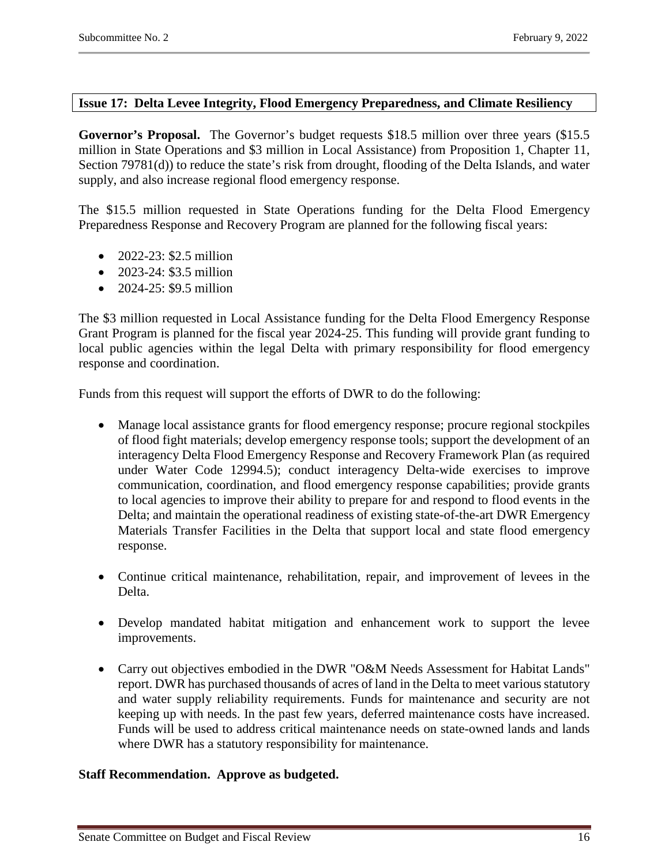#### <span id="page-15-0"></span>**Issue 17: Delta Levee Integrity, Flood Emergency Preparedness, and Climate Resiliency**

Governor's Proposal. The Governor's budget requests \$18.5 million over three years (\$15.5) million in State Operations and \$3 million in Local Assistance) from Proposition 1, Chapter 11, Section 79781(d)) to reduce the state's risk from drought, flooding of the Delta Islands, and water supply, and also increase regional flood emergency response.

The \$15.5 million requested in State Operations funding for the Delta Flood Emergency Preparedness Response and Recovery Program are planned for the following fiscal years:

- $2022 23$ : \$2.5 million
- 2023-24: \$3.5 million
- 2024-25: \$9.5 million

The \$3 million requested in Local Assistance funding for the Delta Flood Emergency Response Grant Program is planned for the fiscal year 2024-25. This funding will provide grant funding to local public agencies within the legal Delta with primary responsibility for flood emergency response and coordination.

Funds from this request will support the efforts of DWR to do the following:

- Manage local assistance grants for flood emergency response; procure regional stockpiles of flood fight materials; develop emergency response tools; support the development of an interagency Delta Flood Emergency Response and Recovery Framework Plan (as required under Water Code 12994.5); conduct interagency Delta-wide exercises to improve communication, coordination, and flood emergency response capabilities; provide grants to local agencies to improve their ability to prepare for and respond to flood events in the Delta; and maintain the operational readiness of existing state-of-the-art DWR Emergency Materials Transfer Facilities in the Delta that support local and state flood emergency response.
- Continue critical maintenance, rehabilitation, repair, and improvement of levees in the Delta.
- Develop mandated habitat mitigation and enhancement work to support the levee improvements.
- Carry out objectives embodied in the DWR "O&M Needs Assessment for Habitat Lands" report. DWR has purchased thousands of acres of land in the Delta to meet various statutory and water supply reliability requirements. Funds for maintenance and security are not keeping up with needs. In the past few years, deferred maintenance costs have increased. Funds will be used to address critical maintenance needs on state-owned lands and lands where DWR has a statutory responsibility for maintenance.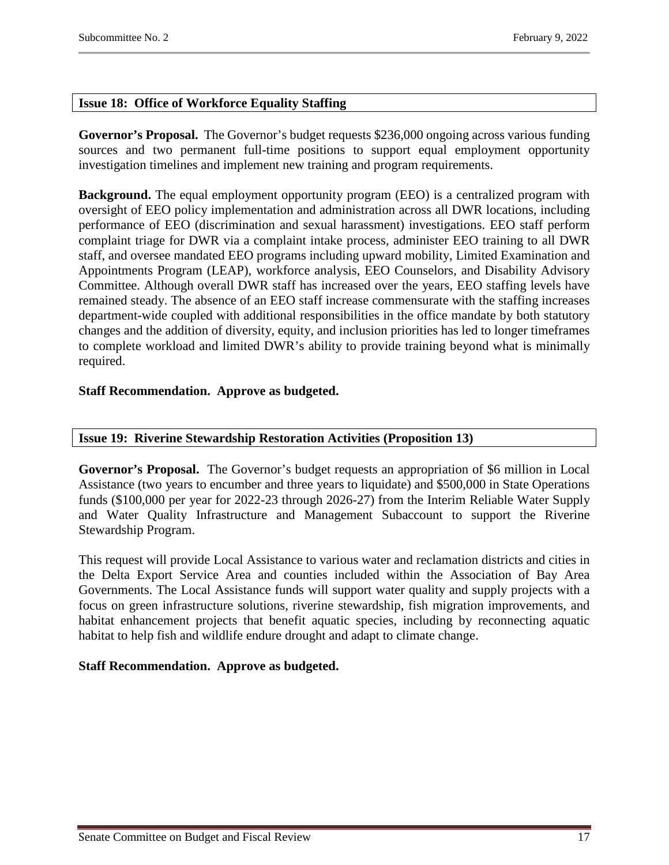# <span id="page-16-0"></span>**Issue 18: Office of Workforce Equality Staffing**

**Governor's Proposal.** The Governor's budget requests \$236,000 ongoing across various funding sources and two permanent full-time positions to support equal employment opportunity investigation timelines and implement new training and program requirements.

**Background.** The equal employment opportunity program (EEO) is a centralized program with oversight of EEO policy implementation and administration across all DWR locations, including performance of EEO (discrimination and sexual harassment) investigations. EEO staff perform complaint triage for DWR via a complaint intake process, administer EEO training to all DWR staff, and oversee mandated EEO programs including upward mobility, Limited Examination and Appointments Program (LEAP), workforce analysis, EEO Counselors, and Disability Advisory Committee. Although overall DWR staff has increased over the years, EEO staffing levels have remained steady. The absence of an EEO staff increase commensurate with the staffing increases department-wide coupled with additional responsibilities in the office mandate by both statutory changes and the addition of diversity, equity, and inclusion priorities has led to longer timeframes to complete workload and limited DWR's ability to provide training beyond what is minimally required.

# **Staff Recommendation. Approve as budgeted.**

# <span id="page-16-1"></span>**Issue 19: Riverine Stewardship Restoration Activities (Proposition 13)**

**Governor's Proposal.** The Governor's budget requests an appropriation of \$6 million in Local Assistance (two years to encumber and three years to liquidate) and \$500,000 in State Operations funds (\$100,000 per year for 2022-23 through 2026-27) from the Interim Reliable Water Supply and Water Quality Infrastructure and Management Subaccount to support the Riverine Stewardship Program.

This request will provide Local Assistance to various water and reclamation districts and cities in the Delta Export Service Area and counties included within the Association of Bay Area Governments. The Local Assistance funds will support water quality and supply projects with a focus on green infrastructure solutions, riverine stewardship, fish migration improvements, and habitat enhancement projects that benefit aquatic species, including by reconnecting aquatic habitat to help fish and wildlife endure drought and adapt to climate change.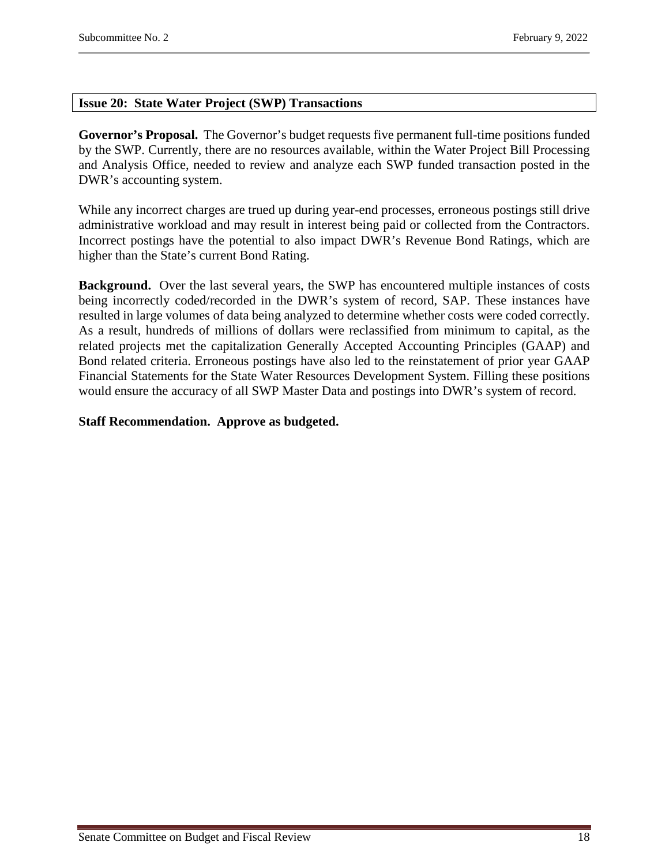# <span id="page-17-0"></span>**Issue 20: State Water Project (SWP) Transactions**

**Governor's Proposal.** The Governor's budget requests five permanent full-time positions funded by the SWP. Currently, there are no resources available, within the Water Project Bill Processing and Analysis Office, needed to review and analyze each SWP funded transaction posted in the DWR's accounting system.

While any incorrect charges are trued up during year-end processes, erroneous postings still drive administrative workload and may result in interest being paid or collected from the Contractors. Incorrect postings have the potential to also impact DWR's Revenue Bond Ratings, which are higher than the State's current Bond Rating.

**Background.** Over the last several years, the SWP has encountered multiple instances of costs being incorrectly coded/recorded in the DWR's system of record, SAP. These instances have resulted in large volumes of data being analyzed to determine whether costs were coded correctly. As a result, hundreds of millions of dollars were reclassified from minimum to capital, as the related projects met the capitalization Generally Accepted Accounting Principles (GAAP) and Bond related criteria. Erroneous postings have also led to the reinstatement of prior year GAAP Financial Statements for the State Water Resources Development System. Filling these positions would ensure the accuracy of all SWP Master Data and postings into DWR's system of record.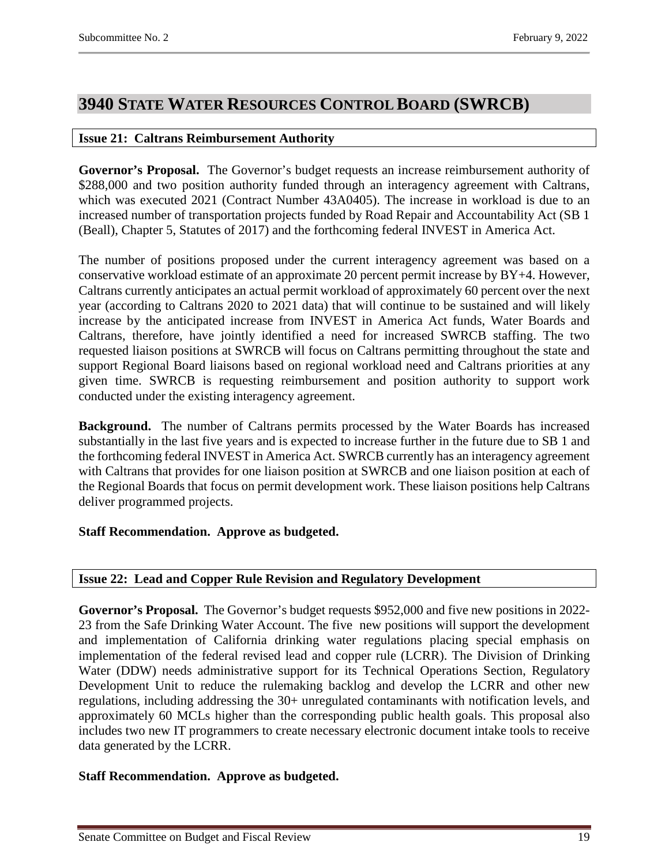# <span id="page-18-0"></span>**3940 STATE WATER RESOURCES CONTROL BOARD (SWRCB)**

#### <span id="page-18-1"></span>**Issue 21: Caltrans Reimbursement Authority**

**Governor's Proposal.** The Governor's budget requests an increase reimbursement authority of \$288,000 and two position authority funded through an interagency agreement with Caltrans, which was executed 2021 (Contract Number 43A0405). The increase in workload is due to an increased number of transportation projects funded by Road Repair and Accountability Act (SB 1 (Beall), Chapter 5, Statutes of 2017) and the forthcoming federal INVEST in America Act.

The number of positions proposed under the current interagency agreement was based on a conservative workload estimate of an approximate 20 percent permit increase by BY+4. However, Caltrans currently anticipates an actual permit workload of approximately 60 percent over the next year (according to Caltrans 2020 to 2021 data) that will continue to be sustained and will likely increase by the anticipated increase from INVEST in America Act funds, Water Boards and Caltrans, therefore, have jointly identified a need for increased SWRCB staffing. The two requested liaison positions at SWRCB will focus on Caltrans permitting throughout the state and support Regional Board liaisons based on regional workload need and Caltrans priorities at any given time. SWRCB is requesting reimbursement and position authority to support work conducted under the existing interagency agreement.

**Background.** The number of Caltrans permits processed by the Water Boards has increased substantially in the last five years and is expected to increase further in the future due to SB 1 and the forthcoming federal INVEST in America Act. SWRCB currently has an interagency agreement with Caltrans that provides for one liaison position at SWRCB and one liaison position at each of the Regional Boards that focus on permit development work. These liaison positions help Caltrans deliver programmed projects.

# **Staff Recommendation. Approve as budgeted.**

# <span id="page-18-2"></span>**Issue 22: Lead and Copper Rule Revision and Regulatory Development**

**Governor's Proposal.** The Governor's budget requests \$952,000 and five new positions in 2022- 23 from the Safe Drinking Water Account. The five new positions will support the development and implementation of California drinking water regulations placing special emphasis on implementation of the federal revised lead and copper rule (LCRR). The Division of Drinking Water (DDW) needs administrative support for its Technical Operations Section, Regulatory Development Unit to reduce the rulemaking backlog and develop the LCRR and other new regulations, including addressing the 30+ unregulated contaminants with notification levels, and approximately 60 MCLs higher than the corresponding public health goals. This proposal also includes two new IT programmers to create necessary electronic document intake tools to receive data generated by the LCRR.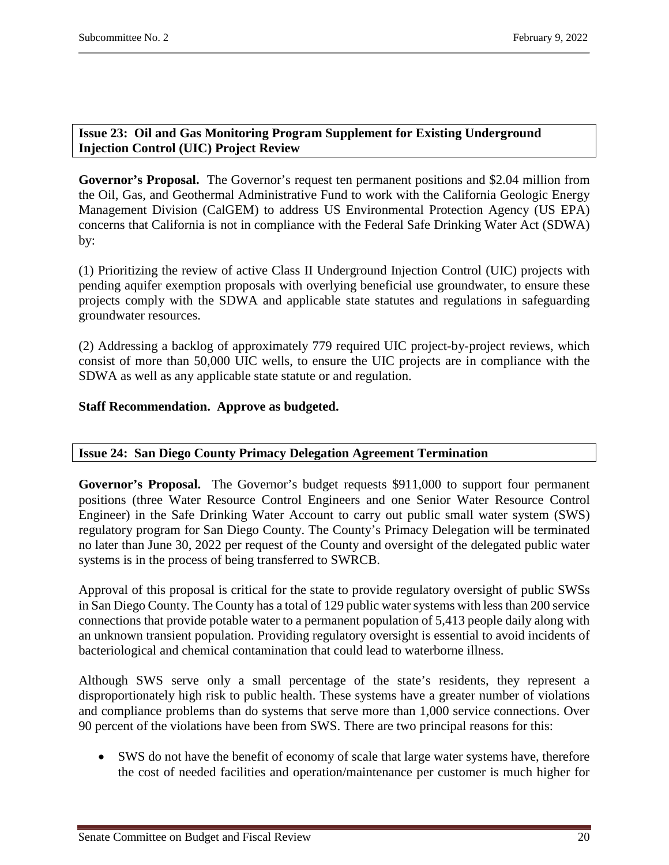# <span id="page-19-0"></span>**Issue 23: Oil and Gas Monitoring Program Supplement for Existing Underground Injection Control (UIC) Project Review**

**Governor's Proposal.** The Governor's request ten permanent positions and \$2.04 million from the Oil, Gas, and Geothermal Administrative Fund to work with the California Geologic Energy Management Division (CalGEM) to address US Environmental Protection Agency (US EPA) concerns that California is not in compliance with the Federal Safe Drinking Water Act (SDWA) by:

(1) Prioritizing the review of active Class II Underground Injection Control (UIC) projects with pending aquifer exemption proposals with overlying beneficial use groundwater, to ensure these projects comply with the SDWA and applicable state statutes and regulations in safeguarding groundwater resources.

(2) Addressing a backlog of approximately 779 required UIC project-by-project reviews, which consist of more than 50,000 UIC wells, to ensure the UIC projects are in compliance with the SDWA as well as any applicable state statute or and regulation.

# **Staff Recommendation. Approve as budgeted.**

# <span id="page-19-1"></span>**Issue 24: San Diego County Primacy Delegation Agreement Termination**

**Governor's Proposal.** The Governor's budget requests \$911,000 to support four permanent positions (three Water Resource Control Engineers and one Senior Water Resource Control Engineer) in the Safe Drinking Water Account to carry out public small water system (SWS) regulatory program for San Diego County. The County's Primacy Delegation will be terminated no later than June 30, 2022 per request of the County and oversight of the delegated public water systems is in the process of being transferred to SWRCB.

Approval of this proposal is critical for the state to provide regulatory oversight of public SWSs in San Diego County. The County has a total of 129 public water systems with less than 200 service connections that provide potable water to a permanent population of 5,413 people daily along with an unknown transient population. Providing regulatory oversight is essential to avoid incidents of bacteriological and chemical contamination that could lead to waterborne illness.

Although SWS serve only a small percentage of the state's residents, they represent a disproportionately high risk to public health. These systems have a greater number of violations and compliance problems than do systems that serve more than 1,000 service connections. Over 90 percent of the violations have been from SWS. There are two principal reasons for this:

• SWS do not have the benefit of economy of scale that large water systems have, therefore the cost of needed facilities and operation/maintenance per customer is much higher for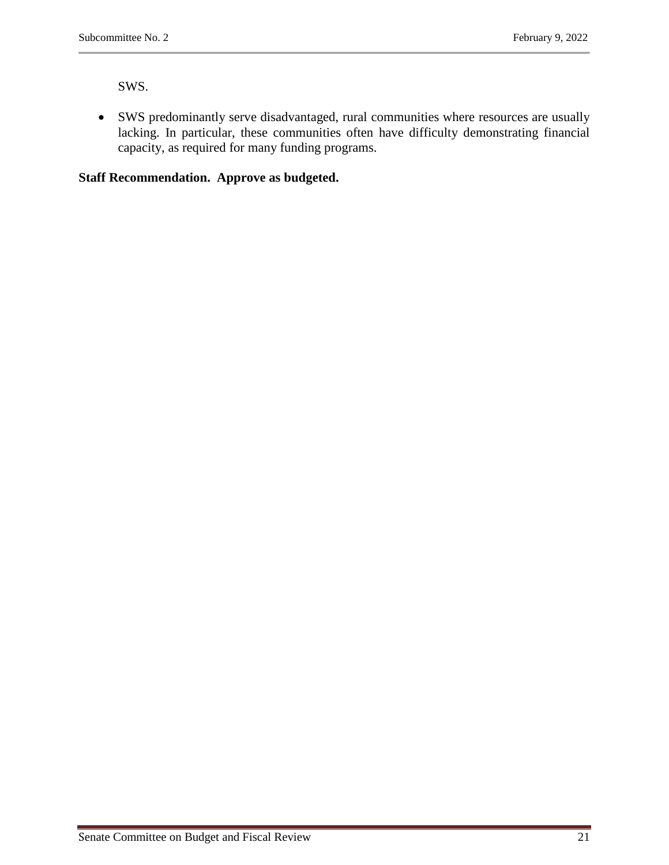SWS.

• SWS predominantly serve disadvantaged, rural communities where resources are usually lacking. In particular, these communities often have difficulty demonstrating financial capacity, as required for many funding programs.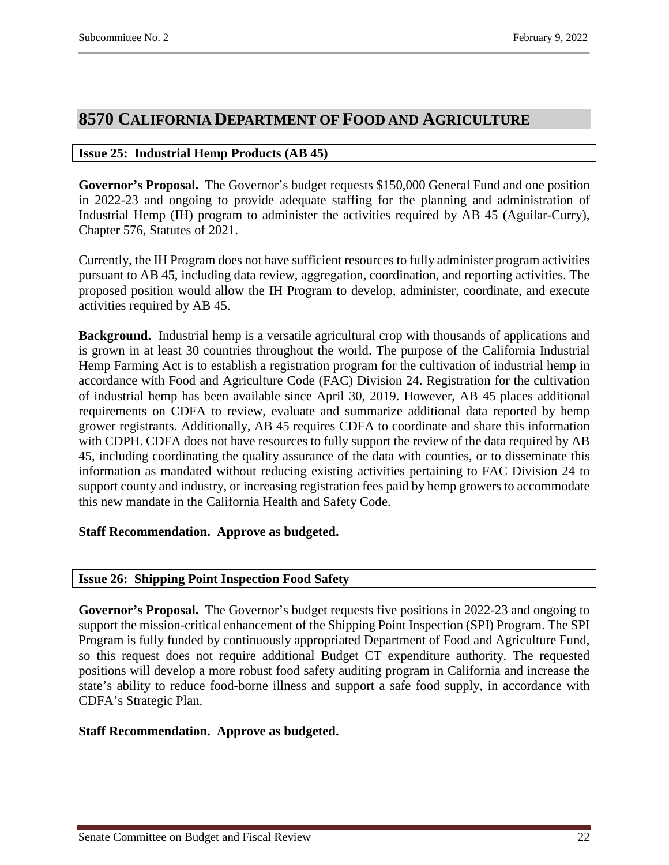# <span id="page-21-0"></span>**8570 CALIFORNIA DEPARTMENT OF FOOD AND AGRICULTURE**

# <span id="page-21-1"></span>**Issue 25: Industrial Hemp Products (AB 45)**

**Governor's Proposal.** The Governor's budget requests \$150,000 General Fund and one position in 2022-23 and ongoing to provide adequate staffing for the planning and administration of Industrial Hemp (IH) program to administer the activities required by AB 45 (Aguilar-Curry), Chapter 576, Statutes of 2021.

Currently, the IH Program does not have sufficient resources to fully administer program activities pursuant to AB 45, including data review, aggregation, coordination, and reporting activities. The proposed position would allow the IH Program to develop, administer, coordinate, and execute activities required by AB 45.

**Background.** Industrial hemp is a versatile agricultural crop with thousands of applications and is grown in at least 30 countries throughout the world. The purpose of the California Industrial Hemp Farming Act is to establish a registration program for the cultivation of industrial hemp in accordance with Food and Agriculture Code (FAC) Division 24. Registration for the cultivation of industrial hemp has been available since April 30, 2019. However, AB 45 places additional requirements on CDFA to review, evaluate and summarize additional data reported by hemp grower registrants. Additionally, AB 45 requires CDFA to coordinate and share this information with CDPH. CDFA does not have resources to fully support the review of the data required by AB 45, including coordinating the quality assurance of the data with counties, or to disseminate this information as mandated without reducing existing activities pertaining to FAC Division 24 to support county and industry, or increasing registration fees paid by hemp growers to accommodate this new mandate in the California Health and Safety Code.

# **Staff Recommendation. Approve as budgeted.**

# <span id="page-21-2"></span>**Issue 26: Shipping Point Inspection Food Safety**

**Governor's Proposal.** The Governor's budget requests five positions in 2022-23 and ongoing to support the mission-critical enhancement of the Shipping Point Inspection (SPI) Program. The SPI Program is fully funded by continuously appropriated Department of Food and Agriculture Fund, so this request does not require additional Budget CT expenditure authority. The requested positions will develop a more robust food safety auditing program in California and increase the state's ability to reduce food-borne illness and support a safe food supply, in accordance with CDFA's Strategic Plan.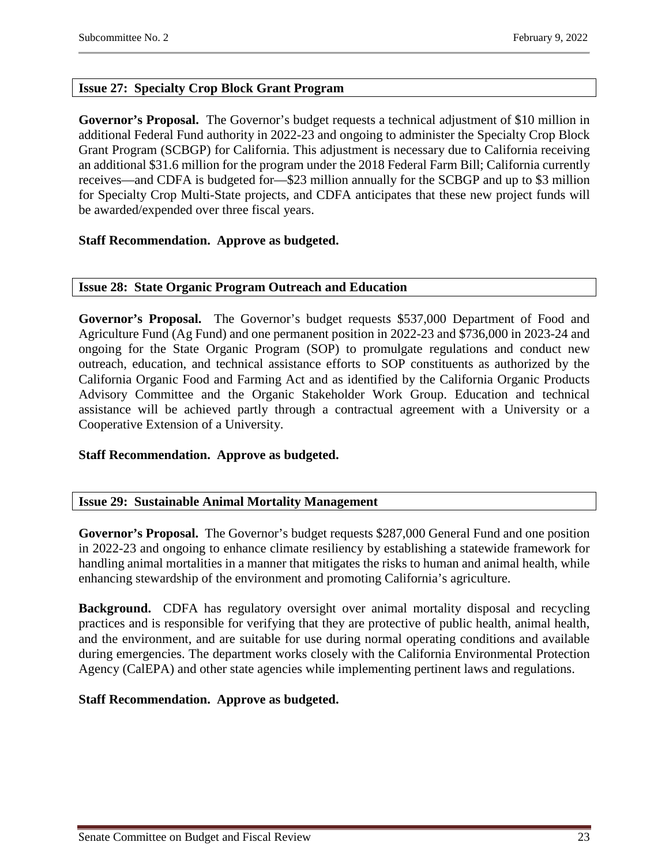# <span id="page-22-0"></span>**Issue 27: Specialty Crop Block Grant Program**

**Governor's Proposal.** The Governor's budget requests a technical adjustment of \$10 million in additional Federal Fund authority in 2022-23 and ongoing to administer the Specialty Crop Block Grant Program (SCBGP) for California. This adjustment is necessary due to California receiving an additional \$31.6 million for the program under the 2018 Federal Farm Bill; California currently receives—and CDFA is budgeted for—\$23 million annually for the SCBGP and up to \$3 million for Specialty Crop Multi-State projects, and CDFA anticipates that these new project funds will be awarded/expended over three fiscal years.

# **Staff Recommendation. Approve as budgeted.**

#### <span id="page-22-1"></span>**Issue 28: State Organic Program Outreach and Education**

**Governor's Proposal.** The Governor's budget requests \$537,000 Department of Food and Agriculture Fund (Ag Fund) and one permanent position in 2022-23 and \$736,000 in 2023-24 and ongoing for the State Organic Program (SOP) to promulgate regulations and conduct new outreach, education, and technical assistance efforts to SOP constituents as authorized by the California Organic Food and Farming Act and as identified by the California Organic Products Advisory Committee and the Organic Stakeholder Work Group. Education and technical assistance will be achieved partly through a contractual agreement with a University or a Cooperative Extension of a University.

# **Staff Recommendation. Approve as budgeted.**

# <span id="page-22-2"></span>**Issue 29: Sustainable Animal Mortality Management**

**Governor's Proposal.** The Governor's budget requests \$287,000 General Fund and one position in 2022-23 and ongoing to enhance climate resiliency by establishing a statewide framework for handling animal mortalities in a manner that mitigates the risks to human and animal health, while enhancing stewardship of the environment and promoting California's agriculture.

**Background.** CDFA has regulatory oversight over animal mortality disposal and recycling practices and is responsible for verifying that they are protective of public health, animal health, and the environment, and are suitable for use during normal operating conditions and available during emergencies. The department works closely with the California Environmental Protection Agency (CalEPA) and other state agencies while implementing pertinent laws and regulations.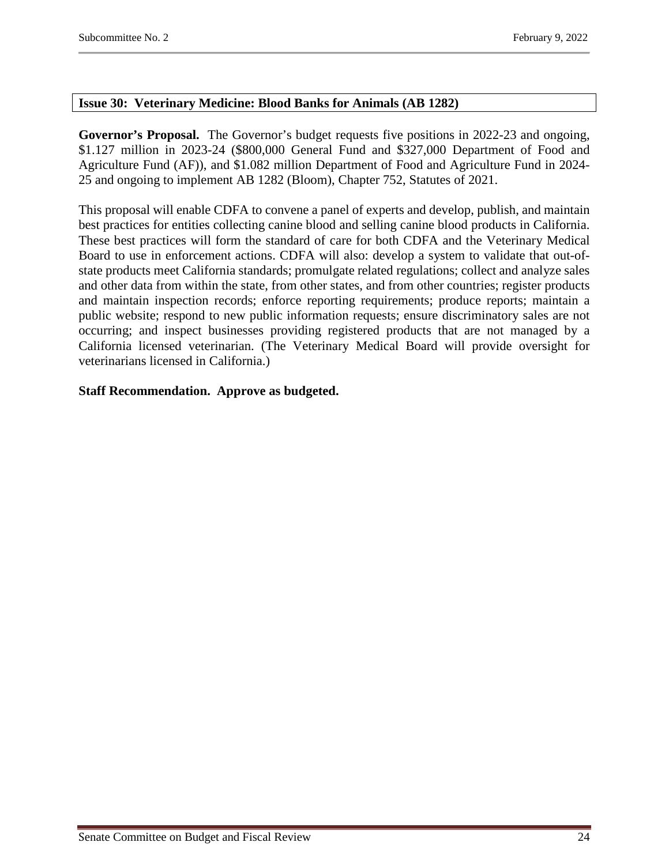#### <span id="page-23-0"></span>**Issue 30: Veterinary Medicine: Blood Banks for Animals (AB 1282)**

**Governor's Proposal.** The Governor's budget requests five positions in 2022-23 and ongoing, \$1.127 million in 2023-24 (\$800,000 General Fund and \$327,000 Department of Food and Agriculture Fund (AF)), and \$1.082 million Department of Food and Agriculture Fund in 2024- 25 and ongoing to implement AB 1282 (Bloom), Chapter 752, Statutes of 2021.

This proposal will enable CDFA to convene a panel of experts and develop, publish, and maintain best practices for entities collecting canine blood and selling canine blood products in California. These best practices will form the standard of care for both CDFA and the Veterinary Medical Board to use in enforcement actions. CDFA will also: develop a system to validate that out-ofstate products meet California standards; promulgate related regulations; collect and analyze sales and other data from within the state, from other states, and from other countries; register products and maintain inspection records; enforce reporting requirements; produce reports; maintain a public website; respond to new public information requests; ensure discriminatory sales are not occurring; and inspect businesses providing registered products that are not managed by a California licensed veterinarian. (The Veterinary Medical Board will provide oversight for veterinarians licensed in California.)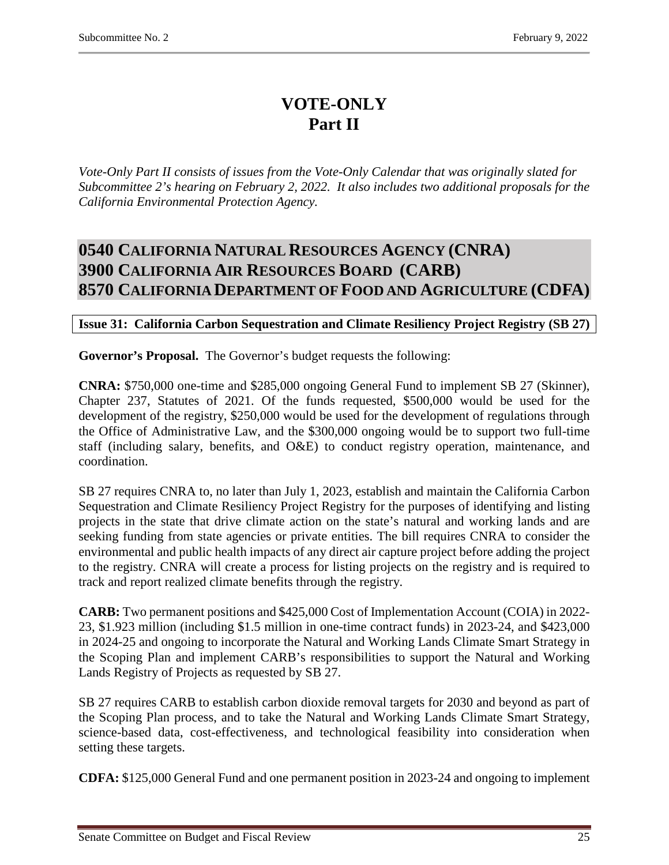# **VOTE-ONLY Part II**

*Vote-Only Part II consists of issues from the Vote-Only Calendar that was originally slated for Subcommittee 2's hearing on February 2, 2022. It also includes two additional proposals for the California Environmental Protection Agency.* 

# <span id="page-24-2"></span><span id="page-24-1"></span><span id="page-24-0"></span>**0540 CALIFORNIA NATURAL RESOURCES AGENCY (CNRA) 3900 CALIFORNIA AIR RESOURCES BOARD (CARB) 8570 CALIFORNIA DEPARTMENT OF FOOD AND AGRICULTURE (CDFA)**

# <span id="page-24-3"></span>**Issue 31: California Carbon Sequestration and Climate Resiliency Project Registry (SB 27)**

**Governor's Proposal.** The Governor's budget requests the following:

**CNRA:** \$750,000 one-time and \$285,000 ongoing General Fund to implement SB 27 (Skinner), Chapter 237, Statutes of 2021. Of the funds requested, \$500,000 would be used for the development of the registry, \$250,000 would be used for the development of regulations through the Office of Administrative Law, and the \$300,000 ongoing would be to support two full-time staff (including salary, benefits, and O&E) to conduct registry operation, maintenance, and coordination.

SB 27 requires CNRA to, no later than July 1, 2023, establish and maintain the California Carbon Sequestration and Climate Resiliency Project Registry for the purposes of identifying and listing projects in the state that drive climate action on the state's natural and working lands and are seeking funding from state agencies or private entities. The bill requires CNRA to consider the environmental and public health impacts of any direct air capture project before adding the project to the registry. CNRA will create a process for listing projects on the registry and is required to track and report realized climate benefits through the registry.

**CARB:** Two permanent positions and \$425,000 Cost of Implementation Account (COIA) in 2022- 23, \$1.923 million (including \$1.5 million in one-time contract funds) in 2023-24, and \$423,000 in 2024-25 and ongoing to incorporate the Natural and Working Lands Climate Smart Strategy in the Scoping Plan and implement CARB's responsibilities to support the Natural and Working Lands Registry of Projects as requested by SB 27.

SB 27 requires CARB to establish carbon dioxide removal targets for 2030 and beyond as part of the Scoping Plan process, and to take the Natural and Working Lands Climate Smart Strategy, science-based data, cost-effectiveness, and technological feasibility into consideration when setting these targets.

**CDFA:** \$125,000 General Fund and one permanent position in 2023-24 and ongoing to implement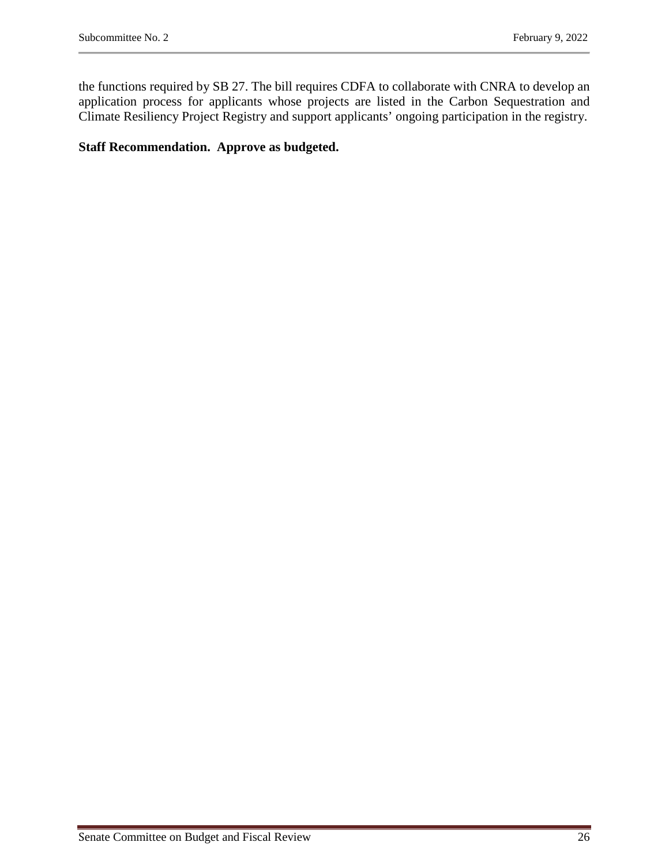the functions required by SB 27. The bill requires CDFA to collaborate with CNRA to develop an application process for applicants whose projects are listed in the Carbon Sequestration and Climate Resiliency Project Registry and support applicants' ongoing participation in the registry.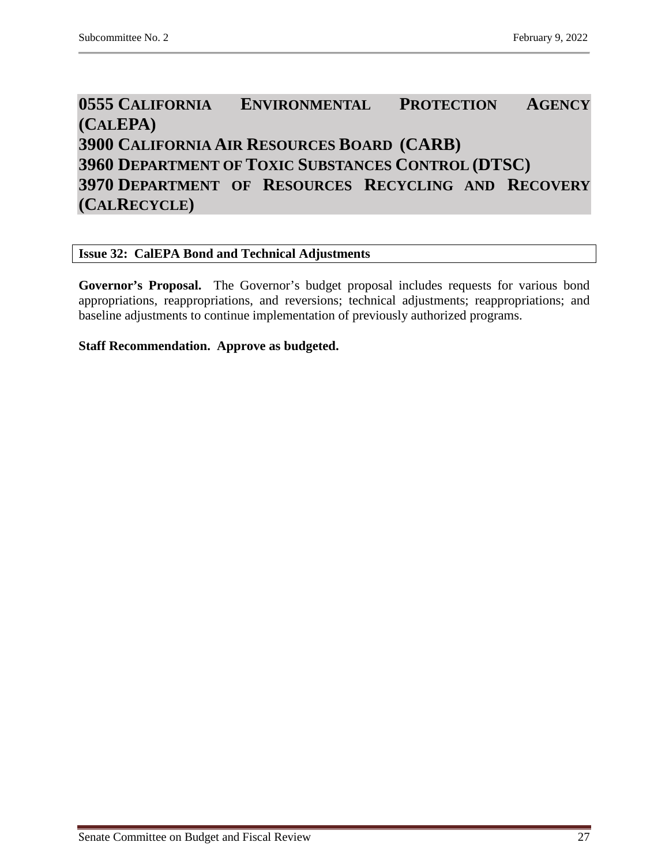# <span id="page-26-2"></span><span id="page-26-1"></span><span id="page-26-0"></span>**0555 CALIFORNIA ENVIRONMENTAL PROTECTION AGENCY (CALEPA) 3900 CALIFORNIA AIR RESOURCES BOARD (CARB) 3960 DEPARTMENT OF TOXIC SUBSTANCES CONTROL (DTSC) 3970 DEPARTMENT OF RESOURCES RECYCLING AND RECOVERY (CALRECYCLE)**

# <span id="page-26-4"></span><span id="page-26-3"></span>**Issue 32: CalEPA Bond and Technical Adjustments**

**Governor's Proposal.** The Governor's budget proposal includes requests for various bond appropriations, reappropriations, and reversions; technical adjustments; reappropriations; and baseline adjustments to continue implementation of previously authorized programs.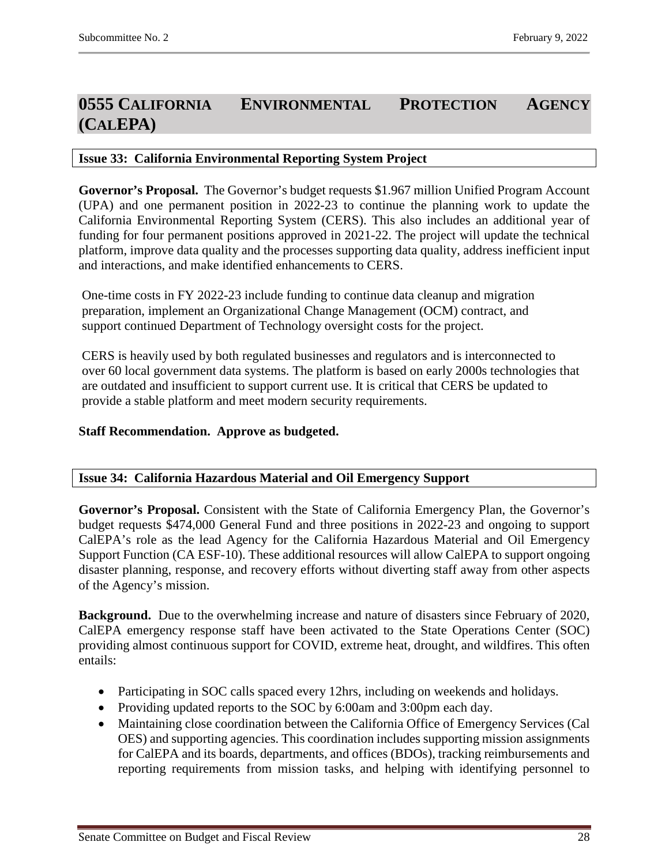# <span id="page-27-0"></span>**0555 CALIFORNIA ENVIRONMENTAL PROTECTION AGENCY (CALEPA)**

# <span id="page-27-1"></span>**Issue 33: California Environmental Reporting System Project**

**Governor's Proposal.** The Governor's budget requests \$1.967 million Unified Program Account (UPA) and one permanent position in 2022-23 to continue the planning work to update the California Environmental Reporting System (CERS). This also includes an additional year of funding for four permanent positions approved in 2021-22. The project will update the technical platform, improve data quality and the processes supporting data quality, address inefficient input and interactions, and make identified enhancements to CERS.

One-time costs in FY 2022-23 include funding to continue data cleanup and migration preparation, implement an Organizational Change Management (OCM) contract, and support continued Department of Technology oversight costs for the project.

CERS is heavily used by both regulated businesses and regulators and is interconnected to over 60 local government data systems. The platform is based on early 2000s technologies that are outdated and insufficient to support current use. It is critical that CERS be updated to provide a stable platform and meet modern security requirements.

# **Staff Recommendation. Approve as budgeted.**

# <span id="page-27-2"></span>**Issue 34: California Hazardous Material and Oil Emergency Support**

**Governor's Proposal.** Consistent with the State of California Emergency Plan, the Governor's budget requests \$474,000 General Fund and three positions in 2022-23 and ongoing to support CalEPA's role as the lead Agency for the California Hazardous Material and Oil Emergency Support Function (CA ESF-10). These additional resources will allow CalEPA to support ongoing disaster planning, response, and recovery efforts without diverting staff away from other aspects of the Agency's mission.

**Background.** Due to the overwhelming increase and nature of disasters since February of 2020, CalEPA emergency response staff have been activated to the State Operations Center (SOC) providing almost continuous support for COVID, extreme heat, drought, and wildfires. This often entails:

- Participating in SOC calls spaced every 12hrs, including on weekends and holidays.
- Providing updated reports to the SOC by 6:00am and 3:00pm each day.
- Maintaining close coordination between the California Office of Emergency Services (Cal OES) and supporting agencies. This coordination includes supporting mission assignments for CalEPA and its boards, departments, and offices (BDOs), tracking reimbursements and reporting requirements from mission tasks, and helping with identifying personnel to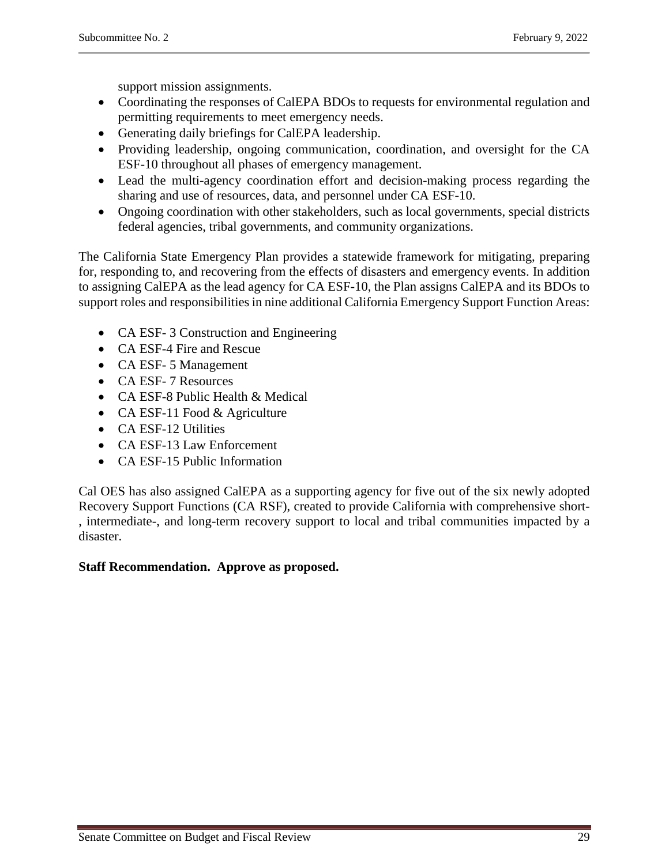support mission assignments.

- Coordinating the responses of CalEPA BDOs to requests for environmental regulation and permitting requirements to meet emergency needs.
- Generating daily briefings for CalEPA leadership.
- Providing leadership, ongoing communication, coordination, and oversight for the CA ESF-10 throughout all phases of emergency management.
- Lead the multi-agency coordination effort and decision-making process regarding the sharing and use of resources, data, and personnel under CA ESF-10.
- Ongoing coordination with other stakeholders, such as local governments, special districts federal agencies, tribal governments, and community organizations.

The California State Emergency Plan provides a statewide framework for mitigating, preparing for, responding to, and recovering from the effects of disasters and emergency events. In addition to assigning CalEPA as the lead agency for CA ESF-10, the Plan assigns CalEPA and its BDOs to support roles and responsibilities in nine additional California Emergency Support Function Areas:

- CA ESF-3 Construction and Engineering
- CA ESF-4 Fire and Rescue
- CA ESF- 5 Management
- CA ESF- 7 Resources
- CA ESF-8 Public Health & Medical
- CA ESF-11 Food & Agriculture
- CA ESF-12 Utilities
- CA ESF-13 Law Enforcement
- CA ESF-15 Public Information

Cal OES has also assigned CalEPA as a supporting agency for five out of the six newly adopted Recovery Support Functions (CA RSF), created to provide California with comprehensive short- , intermediate-, and long-term recovery support to local and tribal communities impacted by a disaster.

# **Staff Recommendation. Approve as proposed.**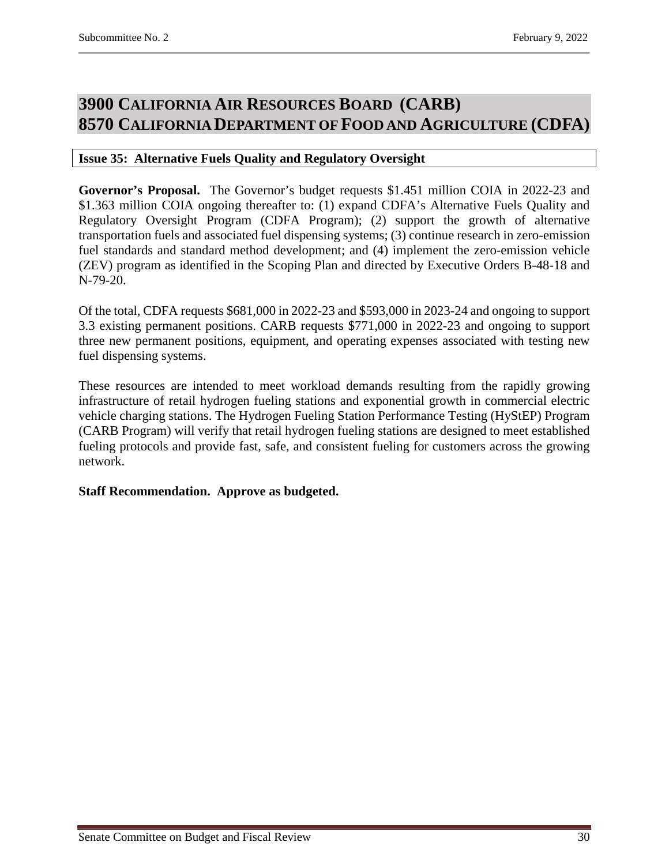# <span id="page-29-1"></span><span id="page-29-0"></span>**3900 CALIFORNIA AIR RESOURCES BOARD (CARB) 8570 CALIFORNIA DEPARTMENT OF FOOD AND AGRICULTURE (CDFA)**

# <span id="page-29-2"></span>**Issue 35: Alternative Fuels Quality and Regulatory Oversight**

**Governor's Proposal.** The Governor's budget requests \$1.451 million COIA in 2022-23 and \$1.363 million COIA ongoing thereafter to: (1) expand CDFA's Alternative Fuels Quality and Regulatory Oversight Program (CDFA Program); (2) support the growth of alternative transportation fuels and associated fuel dispensing systems; (3) continue research in zero-emission fuel standards and standard method development; and (4) implement the zero-emission vehicle (ZEV) program as identified in the Scoping Plan and directed by Executive Orders B-48-18 and N-79-20.

Of the total, CDFA requests \$681,000 in 2022-23 and \$593,000 in 2023-24 and ongoing to support 3.3 existing permanent positions. CARB requests \$771,000 in 2022-23 and ongoing to support three new permanent positions, equipment, and operating expenses associated with testing new fuel dispensing systems.

These resources are intended to meet workload demands resulting from the rapidly growing infrastructure of retail hydrogen fueling stations and exponential growth in commercial electric vehicle charging stations. The Hydrogen Fueling Station Performance Testing (HyStEP) Program (CARB Program) will verify that retail hydrogen fueling stations are designed to meet established fueling protocols and provide fast, safe, and consistent fueling for customers across the growing network.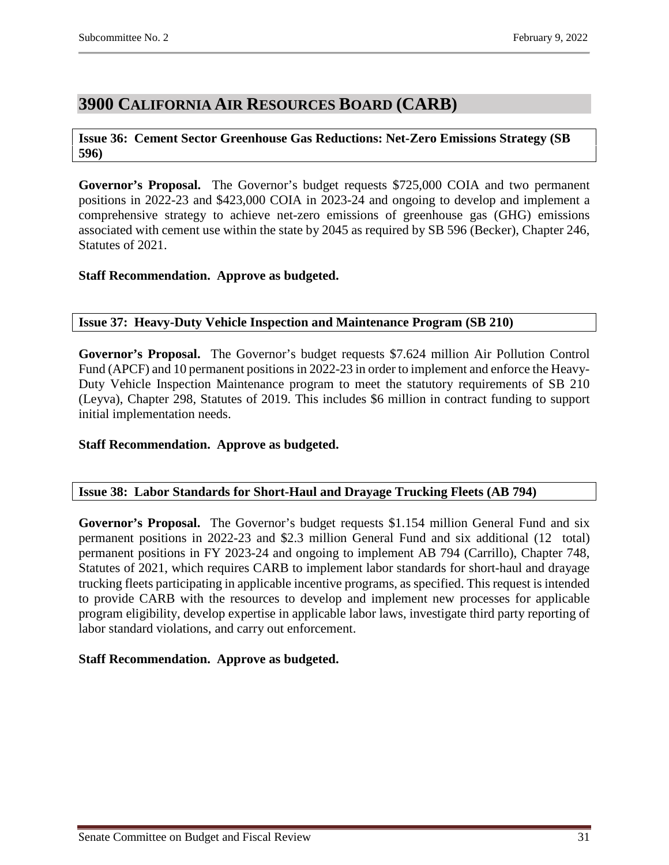# <span id="page-30-0"></span>**3900 CALIFORNIA AIR RESOURCES BOARD (CARB)**

# <span id="page-30-1"></span>**Issue 36: Cement Sector Greenhouse Gas Reductions: Net-Zero Emissions Strategy (SB 596)**

**Governor's Proposal.** The Governor's budget requests \$725,000 COIA and two permanent positions in 2022-23 and \$423,000 COIA in 2023-24 and ongoing to develop and implement a comprehensive strategy to achieve net-zero emissions of greenhouse gas (GHG) emissions associated with cement use within the state by 2045 as required by SB 596 (Becker), Chapter 246, Statutes of 2021.

# **Staff Recommendation. Approve as budgeted.**

# <span id="page-30-2"></span>**Issue 37: Heavy-Duty Vehicle Inspection and Maintenance Program (SB 210)**

**Governor's Proposal.** The Governor's budget requests \$7.624 million Air Pollution Control Fund (APCF) and 10 permanent positions in 2022-23 in order to implement and enforce the Heavy-Duty Vehicle Inspection Maintenance program to meet the statutory requirements of SB 210 (Leyva), Chapter 298, Statutes of 2019. This includes \$6 million in contract funding to support initial implementation needs.

# **Staff Recommendation. Approve as budgeted.**

# <span id="page-30-3"></span>**Issue 38: Labor Standards for Short-Haul and Drayage Trucking Fleets (AB 794)**

**Governor's Proposal.** The Governor's budget requests \$1.154 million General Fund and six permanent positions in 2022-23 and \$2.3 million General Fund and six additional (12 total) permanent positions in FY 2023-24 and ongoing to implement AB 794 (Carrillo), Chapter 748, Statutes of 2021, which requires CARB to implement labor standards for short-haul and drayage trucking fleets participating in applicable incentive programs, as specified. This request is intended to provide CARB with the resources to develop and implement new processes for applicable program eligibility, develop expertise in applicable labor laws, investigate third party reporting of labor standard violations, and carry out enforcement.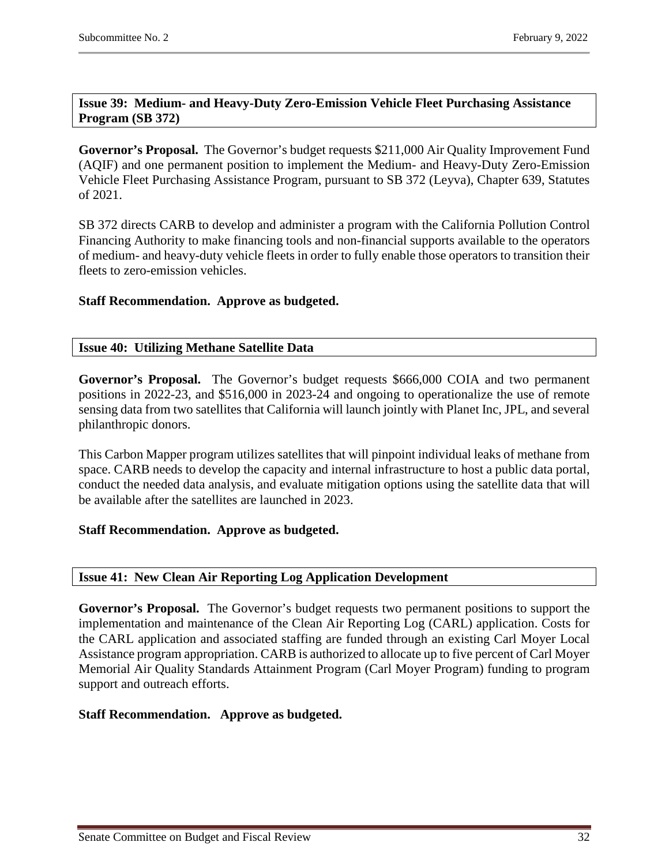# <span id="page-31-0"></span>**Issue 39: Medium- and Heavy-Duty Zero-Emission Vehicle Fleet Purchasing Assistance Program (SB 372)**

**Governor's Proposal.** The Governor's budget requests \$211,000 Air Quality Improvement Fund (AQIF) and one permanent position to implement the Medium- and Heavy-Duty Zero-Emission Vehicle Fleet Purchasing Assistance Program, pursuant to SB 372 (Leyva), Chapter 639, Statutes of 2021.

SB 372 directs CARB to develop and administer a program with the California Pollution Control Financing Authority to make financing tools and non-financial supports available to the operators of medium- and heavy-duty vehicle fleets in order to fully enable those operators to transition their fleets to zero-emission vehicles.

# **Staff Recommendation. Approve as budgeted.**

# <span id="page-31-1"></span>**Issue 40: Utilizing Methane Satellite Data**

**Governor's Proposal.** The Governor's budget requests \$666,000 COIA and two permanent positions in 2022-23, and \$516,000 in 2023-24 and ongoing to operationalize the use of remote sensing data from two satellites that California will launch jointly with Planet Inc, JPL, and several philanthropic donors.

This Carbon Mapper program utilizes satellites that will pinpoint individual leaks of methane from space. CARB needs to develop the capacity and internal infrastructure to host a public data portal, conduct the needed data analysis, and evaluate mitigation options using the satellite data that will be available after the satellites are launched in 2023.

# **Staff Recommendation. Approve as budgeted.**

#### <span id="page-31-2"></span>**Issue 41: New Clean Air Reporting Log Application Development**

**Governor's Proposal.** The Governor's budget requests two permanent positions to support the implementation and maintenance of the Clean Air Reporting Log (CARL) application. Costs for the CARL application and associated staffing are funded through an existing Carl Moyer Local Assistance program appropriation. CARB is authorized to allocate up to five percent of Carl Moyer Memorial Air Quality Standards Attainment Program (Carl Moyer Program) funding to program support and outreach efforts.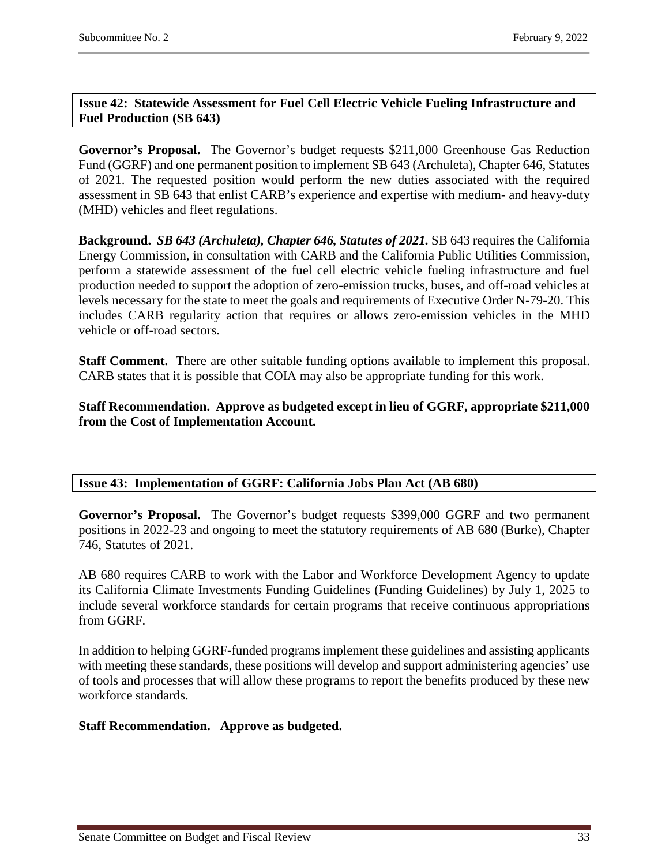# <span id="page-32-0"></span>**Issue 42: Statewide Assessment for Fuel Cell Electric Vehicle Fueling Infrastructure and Fuel Production (SB 643)**

**Governor's Proposal.** The Governor's budget requests \$211,000 Greenhouse Gas Reduction Fund (GGRF) and one permanent position to implement SB 643 (Archuleta), Chapter 646, Statutes of 2021. The requested position would perform the new duties associated with the required assessment in SB 643 that enlist CARB's experience and expertise with medium- and heavy-duty (MHD) vehicles and fleet regulations.

**Background.** *SB 643 (Archuleta), Chapter 646, Statutes of 2021.* SB 643 requires the California Energy Commission, in consultation with CARB and the California Public Utilities Commission, perform a statewide assessment of the fuel cell electric vehicle fueling infrastructure and fuel production needed to support the adoption of zero-emission trucks, buses, and off-road vehicles at levels necessary for the state to meet the goals and requirements of Executive Order N-79-20. This includes CARB regularity action that requires or allows zero-emission vehicles in the MHD vehicle or off-road sectors.

**Staff Comment.** There are other suitable funding options available to implement this proposal. CARB states that it is possible that COIA may also be appropriate funding for this work.

**Staff Recommendation. Approve as budgeted except in lieu of GGRF, appropriate \$211,000 from the Cost of Implementation Account.**

# <span id="page-32-1"></span>**Issue 43: Implementation of GGRF: California Jobs Plan Act (AB 680)**

**Governor's Proposal.** The Governor's budget requests \$399,000 GGRF and two permanent positions in 2022-23 and ongoing to meet the statutory requirements of AB 680 (Burke), Chapter 746, Statutes of 2021.

AB 680 requires CARB to work with the Labor and Workforce Development Agency to update its California Climate Investments Funding Guidelines (Funding Guidelines) by July 1, 2025 to include several workforce standards for certain programs that receive continuous appropriations from GGRF.

In addition to helping GGRF-funded programs implement these guidelines and assisting applicants with meeting these standards, these positions will develop and support administering agencies' use of tools and processes that will allow these programs to report the benefits produced by these new workforce standards.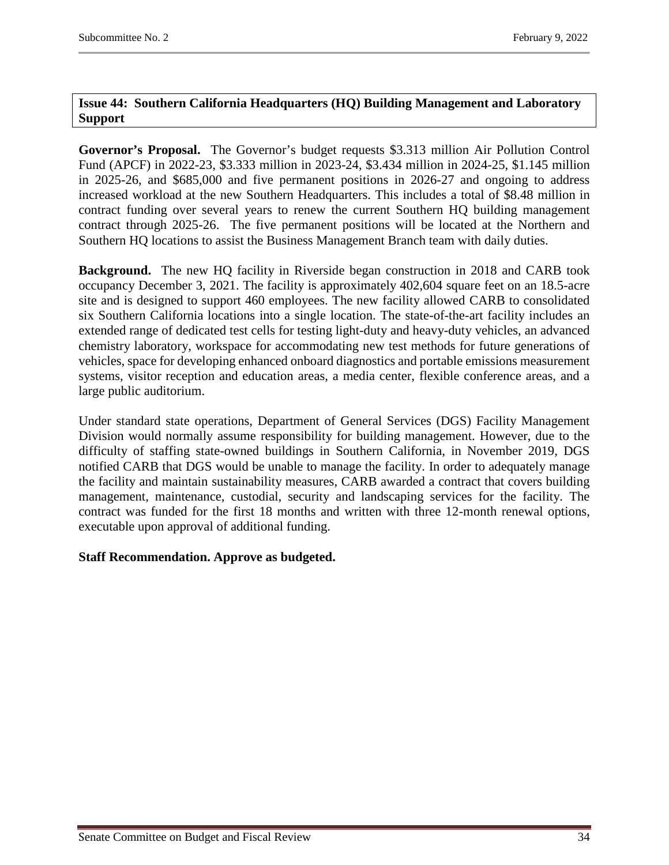# <span id="page-33-0"></span>**Issue 44: Southern California Headquarters (HQ) Building Management and Laboratory Support**

**Governor's Proposal.** The Governor's budget requests \$3.313 million Air Pollution Control Fund (APCF) in 2022-23, \$3.333 million in 2023-24, \$3.434 million in 2024-25, \$1.145 million in 2025-26, and \$685,000 and five permanent positions in 2026-27 and ongoing to address increased workload at the new Southern Headquarters. This includes a total of \$8.48 million in contract funding over several years to renew the current Southern HQ building management contract through 2025-26. The five permanent positions will be located at the Northern and Southern HQ locations to assist the Business Management Branch team with daily duties.

**Background.** The new HQ facility in Riverside began construction in 2018 and CARB took occupancy December 3, 2021. The facility is approximately 402,604 square feet on an 18.5-acre site and is designed to support 460 employees. The new facility allowed CARB to consolidated six Southern California locations into a single location. The state-of-the-art facility includes an extended range of dedicated test cells for testing light-duty and heavy-duty vehicles, an advanced chemistry laboratory, workspace for accommodating new test methods for future generations of vehicles, space for developing enhanced onboard diagnostics and portable emissions measurement systems, visitor reception and education areas, a media center, flexible conference areas, and a large public auditorium.

Under standard state operations, Department of General Services (DGS) Facility Management Division would normally assume responsibility for building management. However, due to the difficulty of staffing state-owned buildings in Southern California, in November 2019, DGS notified CARB that DGS would be unable to manage the facility. In order to adequately manage the facility and maintain sustainability measures, CARB awarded a contract that covers building management, maintenance, custodial, security and landscaping services for the facility. The contract was funded for the first 18 months and written with three 12-month renewal options, executable upon approval of additional funding.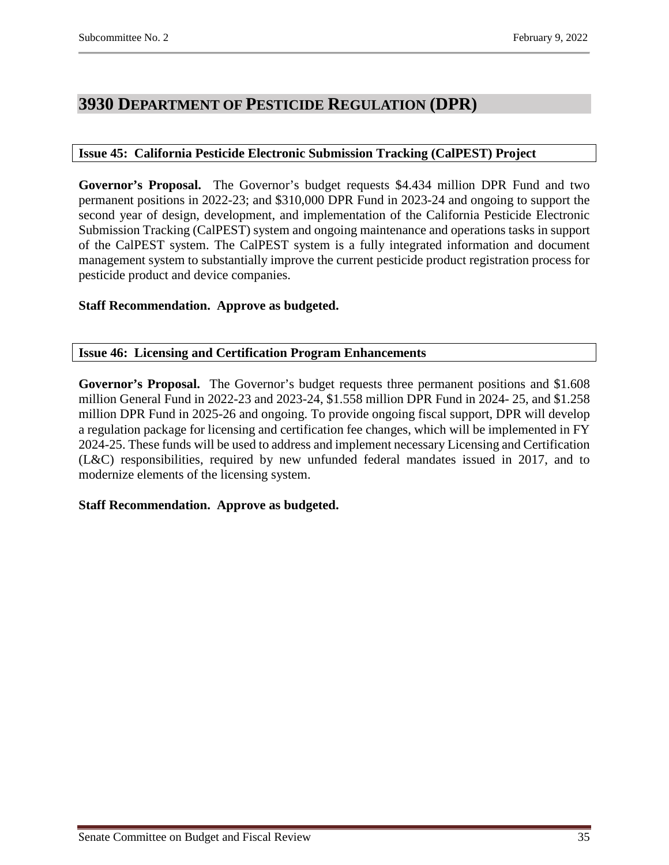# <span id="page-34-0"></span>**3930 DEPARTMENT OF PESTICIDE REGULATION (DPR)**

# <span id="page-34-1"></span>**Issue 45: California Pesticide Electronic Submission Tracking (CalPEST) Project**

**Governor's Proposal.** The Governor's budget requests \$4.434 million DPR Fund and two permanent positions in 2022-23; and \$310,000 DPR Fund in 2023-24 and ongoing to support the second year of design, development, and implementation of the California Pesticide Electronic Submission Tracking (CalPEST) system and ongoing maintenance and operations tasks in support of the CalPEST system. The CalPEST system is a fully integrated information and document management system to substantially improve the current pesticide product registration process for pesticide product and device companies.

# **Staff Recommendation. Approve as budgeted.**

#### <span id="page-34-2"></span>**Issue 46: Licensing and Certification Program Enhancements**

**Governor's Proposal.** The Governor's budget requests three permanent positions and \$1.608 million General Fund in 2022-23 and 2023-24, \$1.558 million DPR Fund in 2024- 25, and \$1.258 million DPR Fund in 2025-26 and ongoing. To provide ongoing fiscal support, DPR will develop a regulation package for licensing and certification fee changes, which will be implemented in FY 2024-25. These funds will be used to address and implement necessary Licensing and Certification (L&C) responsibilities, required by new unfunded federal mandates issued in 2017, and to modernize elements of the licensing system.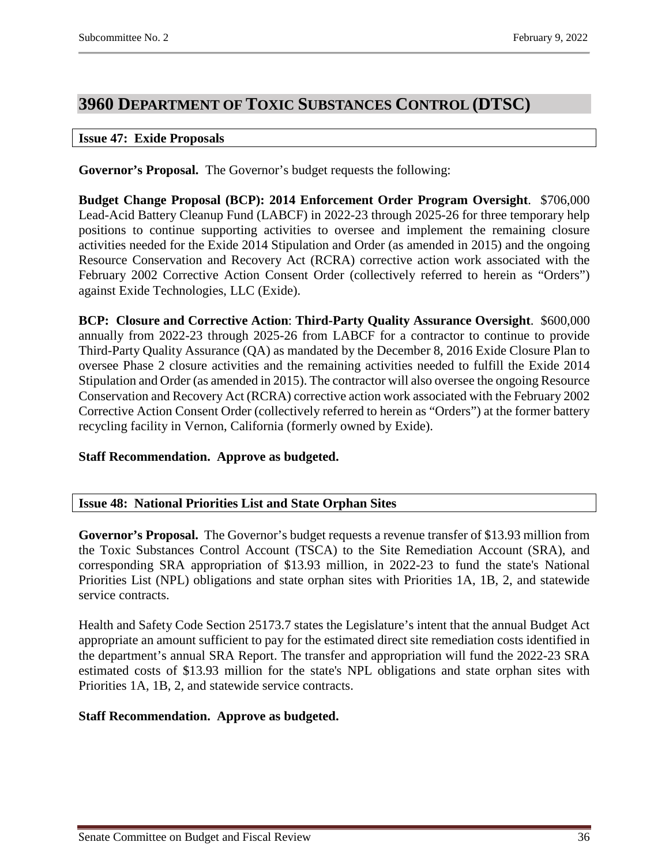# <span id="page-35-0"></span>**3960 DEPARTMENT OF TOXIC SUBSTANCES CONTROL (DTSC)**

#### <span id="page-35-1"></span>**Issue 47: Exide Proposals**

**Governor's Proposal.** The Governor's budget requests the following:

**Budget Change Proposal (BCP): 2014 Enforcement Order Program Oversight**. \$706,000 Lead-Acid Battery Cleanup Fund (LABCF) in 2022-23 through 2025-26 for three temporary help positions to continue supporting activities to oversee and implement the remaining closure activities needed for the Exide 2014 Stipulation and Order (as amended in 2015) and the ongoing Resource Conservation and Recovery Act (RCRA) corrective action work associated with the February 2002 Corrective Action Consent Order (collectively referred to herein as "Orders") against Exide Technologies, LLC (Exide).

**BCP: Closure and Corrective Action**: **Third-Party Quality Assurance Oversight**. \$600,000 annually from 2022-23 through 2025-26 from LABCF for a contractor to continue to provide Third-Party Quality Assurance (QA) as mandated by the December 8, 2016 Exide Closure Plan to oversee Phase 2 closure activities and the remaining activities needed to fulfill the Exide 2014 Stipulation and Order (as amended in 2015). The contractor will also oversee the ongoing Resource Conservation and Recovery Act (RCRA) corrective action work associated with the February 2002 Corrective Action Consent Order (collectively referred to herein as "Orders") at the former battery recycling facility in Vernon, California (formerly owned by Exide).

# **Staff Recommendation. Approve as budgeted.**

#### <span id="page-35-2"></span>**Issue 48: National Priorities List and State Orphan Sites**

**Governor's Proposal.** The Governor's budget requests a revenue transfer of \$13.93 million from the Toxic Substances Control Account (TSCA) to the Site Remediation Account (SRA), and corresponding SRA appropriation of \$13.93 million, in 2022-23 to fund the state's National Priorities List (NPL) obligations and state orphan sites with Priorities 1A, 1B, 2, and statewide service contracts.

Health and Safety Code Section 25173.7 states the Legislature's intent that the annual Budget Act appropriate an amount sufficient to pay for the estimated direct site remediation costs identified in the department's annual SRA Report. The transfer and appropriation will fund the 2022-23 SRA estimated costs of \$13.93 million for the state's NPL obligations and state orphan sites with Priorities 1A, 1B, 2, and statewide service contracts.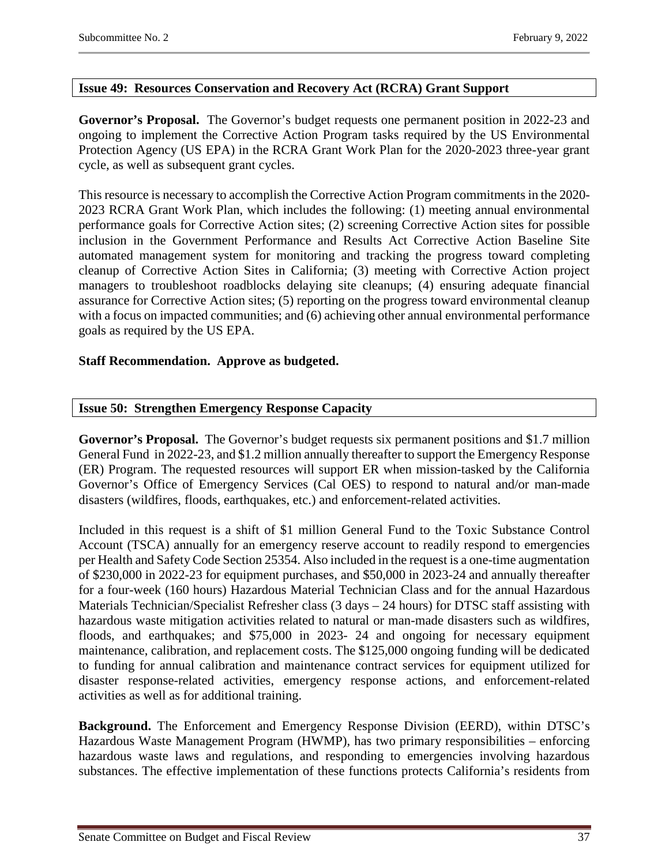# <span id="page-36-0"></span>**Issue 49: Resources Conservation and Recovery Act (RCRA) Grant Support**

**Governor's Proposal.** The Governor's budget requests one permanent position in 2022-23 and ongoing to implement the Corrective Action Program tasks required by the US Environmental Protection Agency (US EPA) in the RCRA Grant Work Plan for the 2020-2023 three-year grant cycle, as well as subsequent grant cycles.

This resource is necessary to accomplish the Corrective Action Program commitments in the 2020- 2023 RCRA Grant Work Plan, which includes the following: (1) meeting annual environmental performance goals for Corrective Action sites; (2) screening Corrective Action sites for possible inclusion in the Government Performance and Results Act Corrective Action Baseline Site automated management system for monitoring and tracking the progress toward completing cleanup of Corrective Action Sites in California; (3) meeting with Corrective Action project managers to troubleshoot roadblocks delaying site cleanups; (4) ensuring adequate financial assurance for Corrective Action sites; (5) reporting on the progress toward environmental cleanup with a focus on impacted communities; and (6) achieving other annual environmental performance goals as required by the US EPA.

# **Staff Recommendation. Approve as budgeted.**

# <span id="page-36-1"></span>**Issue 50: Strengthen Emergency Response Capacity**

**Governor's Proposal.** The Governor's budget requests six permanent positions and \$1.7 million General Fund in 2022-23, and \$1.2 million annually thereafter to support the Emergency Response (ER) Program. The requested resources will support ER when mission-tasked by the California Governor's Office of Emergency Services (Cal OES) to respond to natural and/or man-made disasters (wildfires, floods, earthquakes, etc.) and enforcement-related activities.

Included in this request is a shift of \$1 million General Fund to the Toxic Substance Control Account (TSCA) annually for an emergency reserve account to readily respond to emergencies per Health and Safety Code Section 25354. Also included in the request is a one-time augmentation of \$230,000 in 2022-23 for equipment purchases, and \$50,000 in 2023-24 and annually thereafter for a four-week (160 hours) Hazardous Material Technician Class and for the annual Hazardous Materials Technician/Specialist Refresher class (3 days – 24 hours) for DTSC staff assisting with hazardous waste mitigation activities related to natural or man-made disasters such as wildfires, floods, and earthquakes; and \$75,000 in 2023- 24 and ongoing for necessary equipment maintenance, calibration, and replacement costs. The \$125,000 ongoing funding will be dedicated to funding for annual calibration and maintenance contract services for equipment utilized for disaster response-related activities, emergency response actions, and enforcement-related activities as well as for additional training.

**Background.** The Enforcement and Emergency Response Division (EERD), within DTSC's Hazardous Waste Management Program (HWMP), has two primary responsibilities – enforcing hazardous waste laws and regulations, and responding to emergencies involving hazardous substances. The effective implementation of these functions protects California's residents from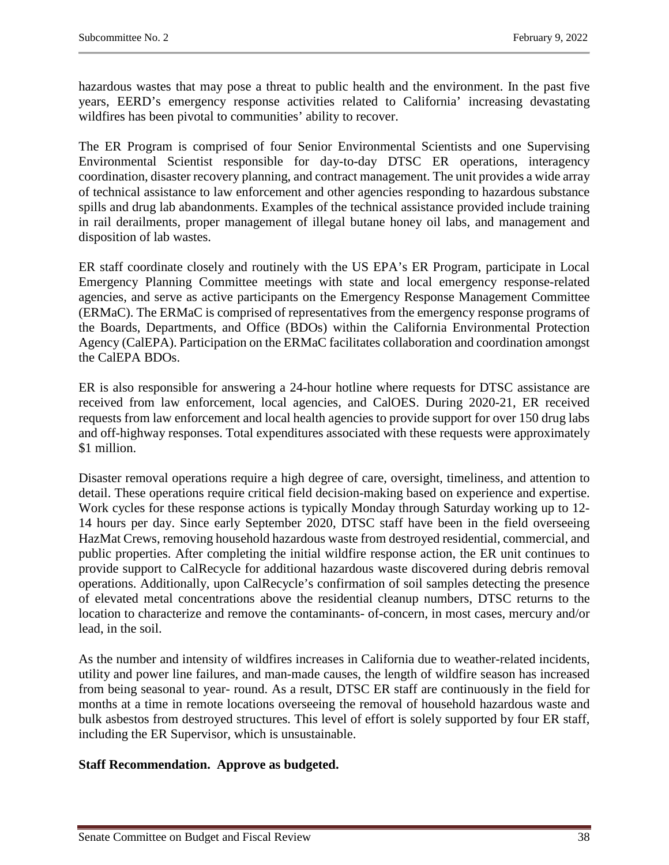hazardous wastes that may pose a threat to public health and the environment. In the past five years, EERD's emergency response activities related to California' increasing devastating wildfires has been pivotal to communities' ability to recover.

The ER Program is comprised of four Senior Environmental Scientists and one Supervising Environmental Scientist responsible for day-to-day DTSC ER operations, interagency coordination, disaster recovery planning, and contract management. The unit provides a wide array of technical assistance to law enforcement and other agencies responding to hazardous substance spills and drug lab abandonments. Examples of the technical assistance provided include training in rail derailments, proper management of illegal butane honey oil labs, and management and disposition of lab wastes.

ER staff coordinate closely and routinely with the US EPA's ER Program, participate in Local Emergency Planning Committee meetings with state and local emergency response-related agencies, and serve as active participants on the Emergency Response Management Committee (ERMaC). The ERMaC is comprised of representatives from the emergency response programs of the Boards, Departments, and Office (BDOs) within the California Environmental Protection Agency (CalEPA). Participation on the ERMaC facilitates collaboration and coordination amongst the CalEPA BDOs.

ER is also responsible for answering a 24-hour hotline where requests for DTSC assistance are received from law enforcement, local agencies, and CalOES. During 2020-21, ER received requests from law enforcement and local health agencies to provide support for over 150 drug labs and off-highway responses. Total expenditures associated with these requests were approximately \$1 million.

Disaster removal operations require a high degree of care, oversight, timeliness, and attention to detail. These operations require critical field decision-making based on experience and expertise. Work cycles for these response actions is typically Monday through Saturday working up to 12- 14 hours per day. Since early September 2020, DTSC staff have been in the field overseeing HazMat Crews, removing household hazardous waste from destroyed residential, commercial, and public properties. After completing the initial wildfire response action, the ER unit continues to provide support to CalRecycle for additional hazardous waste discovered during debris removal operations. Additionally, upon CalRecycle's confirmation of soil samples detecting the presence of elevated metal concentrations above the residential cleanup numbers, DTSC returns to the location to characterize and remove the contaminants- of-concern, in most cases, mercury and/or lead, in the soil.

As the number and intensity of wildfires increases in California due to weather-related incidents, utility and power line failures, and man-made causes, the length of wildfire season has increased from being seasonal to year- round. As a result, DTSC ER staff are continuously in the field for months at a time in remote locations overseeing the removal of household hazardous waste and bulk asbestos from destroyed structures. This level of effort is solely supported by four ER staff, including the ER Supervisor, which is unsustainable.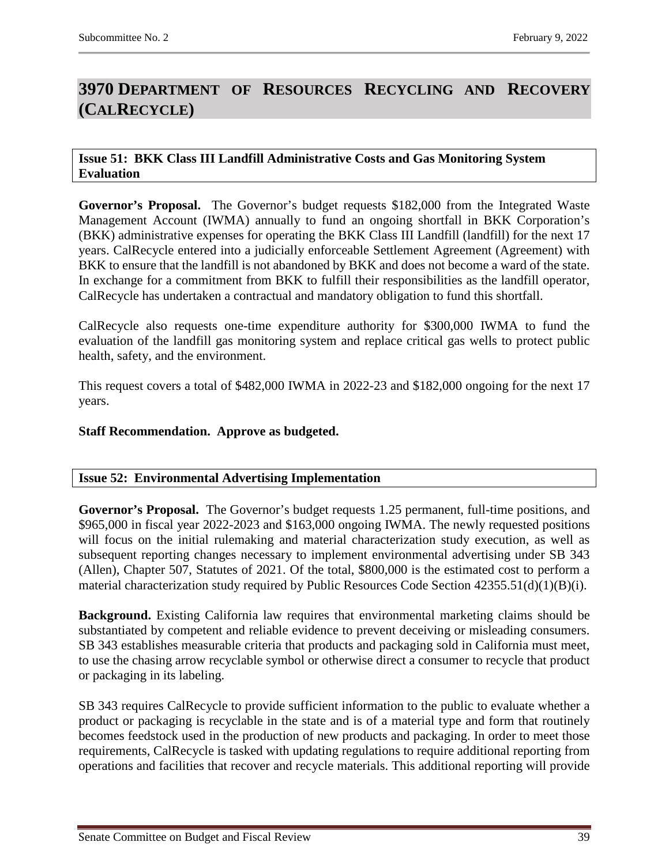# <span id="page-38-0"></span>**3970 DEPARTMENT OF RESOURCES RECYCLING AND RECOVERY (CALRECYCLE)**

#### <span id="page-38-1"></span>**Issue 51: BKK Class III Landfill Administrative Costs and Gas Monitoring System Evaluation**

**Governor's Proposal.** The Governor's budget requests \$182,000 from the Integrated Waste Management Account (IWMA) annually to fund an ongoing shortfall in BKK Corporation's (BKK) administrative expenses for operating the BKK Class III Landfill (landfill) for the next 17 years. CalRecycle entered into a judicially enforceable Settlement Agreement (Agreement) with BKK to ensure that the landfill is not abandoned by BKK and does not become a ward of the state. In exchange for a commitment from BKK to fulfill their responsibilities as the landfill operator, CalRecycle has undertaken a contractual and mandatory obligation to fund this shortfall.

CalRecycle also requests one-time expenditure authority for \$300,000 IWMA to fund the evaluation of the landfill gas monitoring system and replace critical gas wells to protect public health, safety, and the environment.

This request covers a total of \$482,000 IWMA in 2022-23 and \$182,000 ongoing for the next 17 years.

# **Staff Recommendation. Approve as budgeted.**

# <span id="page-38-2"></span>**Issue 52: Environmental Advertising Implementation**

**Governor's Proposal.** The Governor's budget requests 1.25 permanent, full-time positions, and \$965,000 in fiscal year 2022-2023 and \$163,000 ongoing IWMA. The newly requested positions will focus on the initial rulemaking and material characterization study execution, as well as subsequent reporting changes necessary to implement environmental advertising under SB 343 (Allen), Chapter 507, Statutes of 2021. Of the total, \$800,000 is the estimated cost to perform a material characterization study required by Public Resources Code Section 42355.51(d)(1)(B)(i).

**Background.** Existing California law requires that environmental marketing claims should be substantiated by competent and reliable evidence to prevent deceiving or misleading consumers. SB 343 establishes measurable criteria that products and packaging sold in California must meet, to use the chasing arrow recyclable symbol or otherwise direct a consumer to recycle that product or packaging in its labeling.

SB 343 requires CalRecycle to provide sufficient information to the public to evaluate whether a product or packaging is recyclable in the state and is of a material type and form that routinely becomes feedstock used in the production of new products and packaging. In order to meet those requirements, CalRecycle is tasked with updating regulations to require additional reporting from operations and facilities that recover and recycle materials. This additional reporting will provide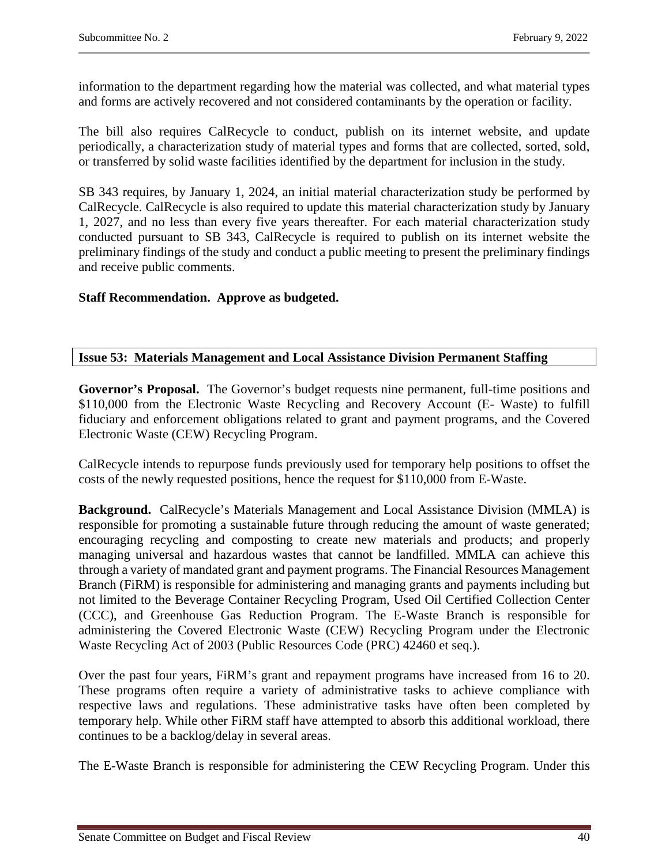information to the department regarding how the material was collected, and what material types and forms are actively recovered and not considered contaminants by the operation or facility.

The bill also requires CalRecycle to conduct, publish on its internet website, and update periodically, a characterization study of material types and forms that are collected, sorted, sold, or transferred by solid waste facilities identified by the department for inclusion in the study.

SB 343 requires, by January 1, 2024, an initial material characterization study be performed by CalRecycle. CalRecycle is also required to update this material characterization study by January 1, 2027, and no less than every five years thereafter. For each material characterization study conducted pursuant to SB 343, CalRecycle is required to publish on its internet website the preliminary findings of the study and conduct a public meeting to present the preliminary findings and receive public comments.

# **Staff Recommendation. Approve as budgeted.**

# <span id="page-39-0"></span>**Issue 53: Materials Management and Local Assistance Division Permanent Staffing**

**Governor's Proposal.** The Governor's budget requests nine permanent, full-time positions and \$110,000 from the Electronic Waste Recycling and Recovery Account (E- Waste) to fulfill fiduciary and enforcement obligations related to grant and payment programs, and the Covered Electronic Waste (CEW) Recycling Program.

CalRecycle intends to repurpose funds previously used for temporary help positions to offset the costs of the newly requested positions, hence the request for \$110,000 from E-Waste.

**Background.** CalRecycle's Materials Management and Local Assistance Division (MMLA) is responsible for promoting a sustainable future through reducing the amount of waste generated; encouraging recycling and composting to create new materials and products; and properly managing universal and hazardous wastes that cannot be landfilled. MMLA can achieve this through a variety of mandated grant and payment programs. The Financial Resources Management Branch (FiRM) is responsible for administering and managing grants and payments including but not limited to the Beverage Container Recycling Program, Used Oil Certified Collection Center (CCC), and Greenhouse Gas Reduction Program. The E-Waste Branch is responsible for administering the Covered Electronic Waste (CEW) Recycling Program under the Electronic Waste Recycling Act of 2003 (Public Resources Code (PRC) 42460 et seq.).

Over the past four years, FiRM's grant and repayment programs have increased from 16 to 20. These programs often require a variety of administrative tasks to achieve compliance with respective laws and regulations. These administrative tasks have often been completed by temporary help. While other FiRM staff have attempted to absorb this additional workload, there continues to be a backlog/delay in several areas.

The E-Waste Branch is responsible for administering the CEW Recycling Program. Under this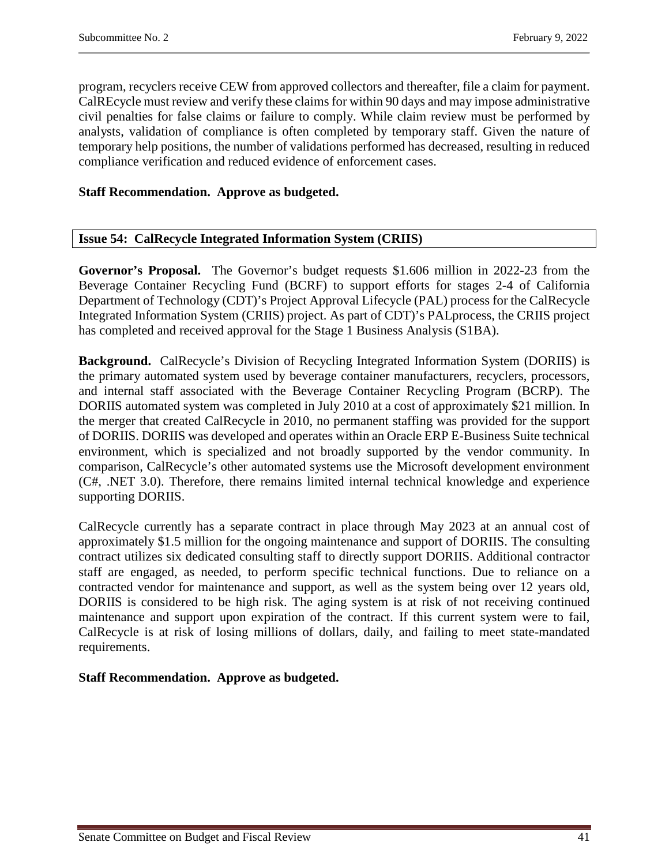program, recyclers receive CEW from approved collectors and thereafter, file a claim for payment. CalREcycle must review and verify these claims for within 90 days and may impose administrative civil penalties for false claims or failure to comply. While claim review must be performed by analysts, validation of compliance is often completed by temporary staff. Given the nature of temporary help positions, the number of validations performed has decreased, resulting in reduced compliance verification and reduced evidence of enforcement cases.

# **Staff Recommendation. Approve as budgeted.**

# <span id="page-40-0"></span>**Issue 54: CalRecycle Integrated Information System (CRIIS)**

**Governor's Proposal.** The Governor's budget requests \$1.606 million in 2022-23 from the Beverage Container Recycling Fund (BCRF) to support efforts for stages 2-4 of California Department of Technology (CDT)'s Project Approval Lifecycle (PAL) process for the CalRecycle Integrated Information System (CRIIS) project. As part of CDT)'s PALprocess, the CRIIS project has completed and received approval for the Stage 1 Business Analysis (S1BA).

**Background.** CalRecycle's Division of Recycling Integrated Information System (DORIIS) is the primary automated system used by beverage container manufacturers, recyclers, processors, and internal staff associated with the Beverage Container Recycling Program (BCRP). The DORIIS automated system was completed in July 2010 at a cost of approximately \$21 million. In the merger that created CalRecycle in 2010, no permanent staffing was provided for the support of DORIIS. DORIIS was developed and operates within an Oracle ERP E-Business Suite technical environment, which is specialized and not broadly supported by the vendor community. In comparison, CalRecycle's other automated systems use the Microsoft development environment (C#, .NET 3.0). Therefore, there remains limited internal technical knowledge and experience supporting DORIIS.

CalRecycle currently has a separate contract in place through May 2023 at an annual cost of approximately \$1.5 million for the ongoing maintenance and support of DORIIS. The consulting contract utilizes six dedicated consulting staff to directly support DORIIS. Additional contractor staff are engaged, as needed, to perform specific technical functions. Due to reliance on a contracted vendor for maintenance and support, as well as the system being over 12 years old, DORIIS is considered to be high risk. The aging system is at risk of not receiving continued maintenance and support upon expiration of the contract. If this current system were to fail, CalRecycle is at risk of losing millions of dollars, daily, and failing to meet state-mandated requirements.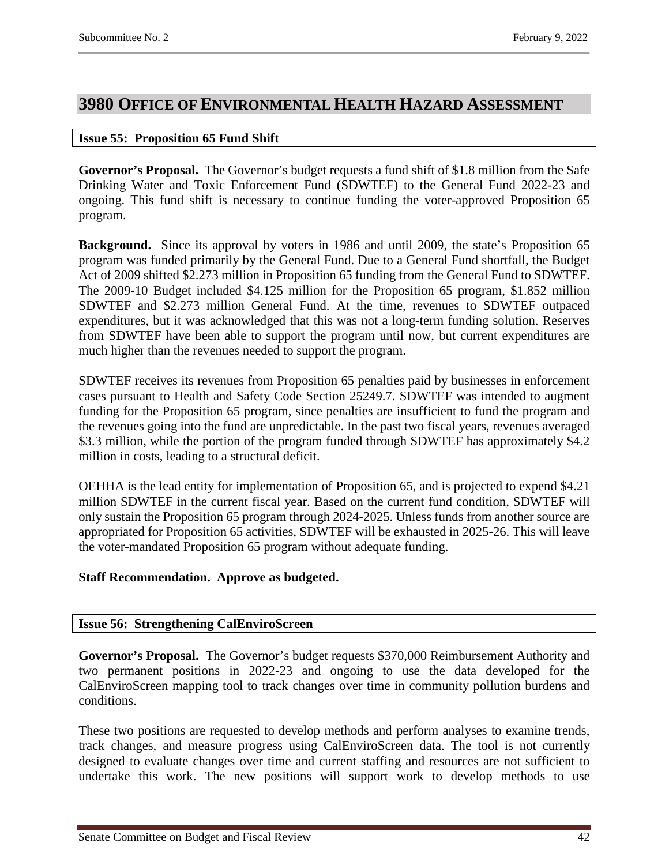# <span id="page-41-0"></span>**3980 OFFICE OF ENVIRONMENTAL HEALTH HAZARD ASSESSMENT**

#### <span id="page-41-1"></span>**Issue 55: Proposition 65 Fund Shift**

**Governor's Proposal.** The Governor's budget requests a fund shift of \$1.8 million from the Safe Drinking Water and Toxic Enforcement Fund (SDWTEF) to the General Fund 2022-23 and ongoing. This fund shift is necessary to continue funding the voter-approved Proposition 65 program.

**Background.** Since its approval by voters in 1986 and until 2009, the state's Proposition 65 program was funded primarily by the General Fund. Due to a General Fund shortfall, the Budget Act of 2009 shifted \$2.273 million in Proposition 65 funding from the General Fund to SDWTEF. The 2009-10 Budget included \$4.125 million for the Proposition 65 program, \$1.852 million SDWTEF and \$2.273 million General Fund. At the time, revenues to SDWTEF outpaced expenditures, but it was acknowledged that this was not a long-term funding solution. Reserves from SDWTEF have been able to support the program until now, but current expenditures are much higher than the revenues needed to support the program.

SDWTEF receives its revenues from Proposition 65 penalties paid by businesses in enforcement cases pursuant to Health and Safety Code Section 25249.7. SDWTEF was intended to augment funding for the Proposition 65 program, since penalties are insufficient to fund the program and the revenues going into the fund are unpredictable. In the past two fiscal years, revenues averaged \$3.3 million, while the portion of the program funded through SDWTEF has approximately \$4.2 million in costs, leading to a structural deficit.

OEHHA is the lead entity for implementation of Proposition 65, and is projected to expend \$4.21 million SDWTEF in the current fiscal year. Based on the current fund condition, SDWTEF will only sustain the Proposition 65 program through 2024-2025. Unless funds from another source are appropriated for Proposition 65 activities, SDWTEF will be exhausted in 2025-26. This will leave the voter-mandated Proposition 65 program without adequate funding.

# **Staff Recommendation. Approve as budgeted.**

#### <span id="page-41-2"></span>**Issue 56: Strengthening CalEnviroScreen**

**Governor's Proposal.** The Governor's budget requests \$370,000 Reimbursement Authority and two permanent positions in 2022-23 and ongoing to use the data developed for the CalEnviroScreen mapping tool to track changes over time in community pollution burdens and conditions.

These two positions are requested to develop methods and perform analyses to examine trends, track changes, and measure progress using CalEnviroScreen data. The tool is not currently designed to evaluate changes over time and current staffing and resources are not sufficient to undertake this work. The new positions will support work to develop methods to use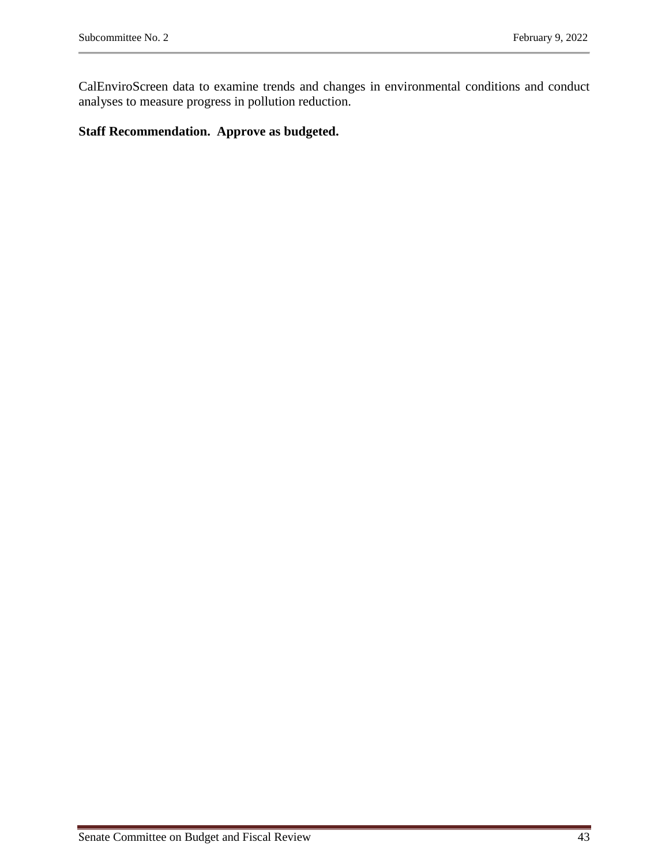CalEnviroScreen data to examine trends and changes in environmental conditions and conduct analyses to measure progress in pollution reduction.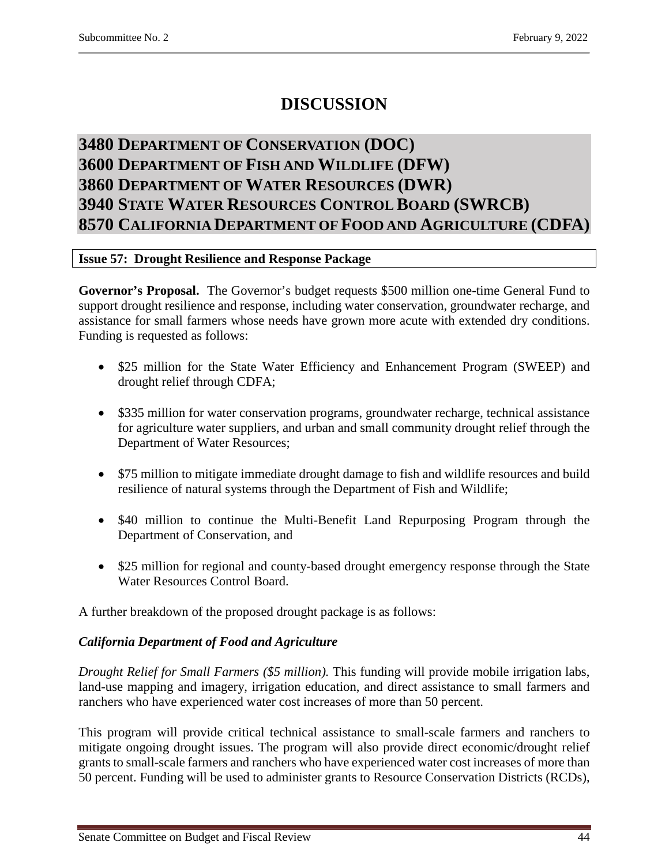# **DISCUSSION**

# <span id="page-43-2"></span><span id="page-43-1"></span><span id="page-43-0"></span>**3480 DEPARTMENT OF CONSERVATION (DOC) 3600 DEPARTMENT OF FISH AND WILDLIFE (DFW) 3860 DEPARTMENT OF WATER RESOURCES (DWR) 3940 STATE WATER RESOURCES CONTROL BOARD (SWRCB) 8570 CALIFORNIA DEPARTMENT OF FOOD AND AGRICULTURE (CDFA)**

# <span id="page-43-5"></span><span id="page-43-4"></span><span id="page-43-3"></span>**Issue 57: Drought Resilience and Response Package**

**Governor's Proposal.** The Governor's budget requests \$500 million one-time General Fund to support drought resilience and response, including water conservation, groundwater recharge, and assistance for small farmers whose needs have grown more acute with extended dry conditions. Funding is requested as follows:

- \$25 million for the State Water Efficiency and Enhancement Program (SWEEP) and drought relief through CDFA;
- \$335 million for water conservation programs, groundwater recharge, technical assistance for agriculture water suppliers, and urban and small community drought relief through the Department of Water Resources;
- \$75 million to mitigate immediate drought damage to fish and wildlife resources and build resilience of natural systems through the Department of Fish and Wildlife;
- \$40 million to continue the Multi-Benefit Land Repurposing Program through the Department of Conservation, and
- \$25 million for regional and county-based drought emergency response through the State Water Resources Control Board.

A further breakdown of the proposed drought package is as follows:

# *California Department of Food and Agriculture*

*Drought Relief for Small Farmers (\$5 million).* This funding will provide mobile irrigation labs, land-use mapping and imagery, irrigation education, and direct assistance to small farmers and ranchers who have experienced water cost increases of more than 50 percent.

This program will provide critical technical assistance to small-scale farmers and ranchers to mitigate ongoing drought issues. The program will also provide direct economic/drought relief grants to small-scale farmers and ranchers who have experienced water cost increases of more than 50 percent. Funding will be used to administer grants to Resource Conservation Districts (RCDs),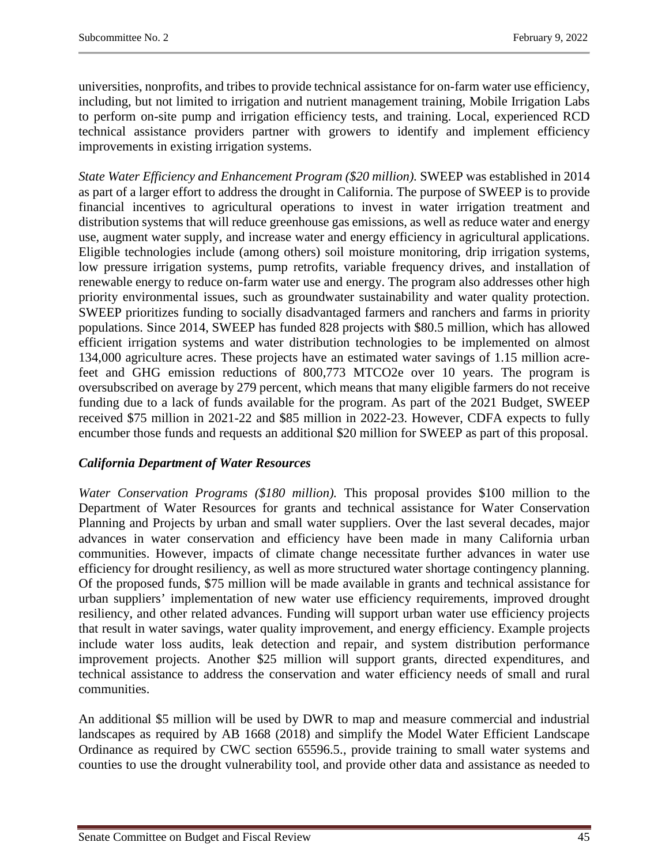universities, nonprofits, and tribes to provide technical assistance for on-farm water use efficiency, including, but not limited to irrigation and nutrient management training, Mobile Irrigation Labs to perform on-site pump and irrigation efficiency tests, and training. Local, experienced RCD technical assistance providers partner with growers to identify and implement efficiency improvements in existing irrigation systems.

*State Water Efficiency and Enhancement Program (\$20 million).* SWEEP was established in 2014 as part of a larger effort to address the drought in California. The purpose of SWEEP is to provide financial incentives to agricultural operations to invest in water irrigation treatment and distribution systems that will reduce greenhouse gas emissions, as well as reduce water and energy use, augment water supply, and increase water and energy efficiency in agricultural applications. Eligible technologies include (among others) soil moisture monitoring, drip irrigation systems, low pressure irrigation systems, pump retrofits, variable frequency drives, and installation of renewable energy to reduce on-farm water use and energy. The program also addresses other high priority environmental issues, such as groundwater sustainability and water quality protection. SWEEP prioritizes funding to socially disadvantaged farmers and ranchers and farms in priority populations. Since 2014, SWEEP has funded 828 projects with \$80.5 million, which has allowed efficient irrigation systems and water distribution technologies to be implemented on almost 134,000 agriculture acres. These projects have an estimated water savings of 1.15 million acrefeet and GHG emission reductions of 800,773 MTCO2e over 10 years. The program is oversubscribed on average by 279 percent, which means that many eligible farmers do not receive funding due to a lack of funds available for the program. As part of the 2021 Budget, SWEEP received \$75 million in 2021-22 and \$85 million in 2022-23. However, CDFA expects to fully encumber those funds and requests an additional \$20 million for SWEEP as part of this proposal.

# *California Department of Water Resources*

*Water Conservation Programs (\$180 million).* This proposal provides \$100 million to the Department of Water Resources for grants and technical assistance for Water Conservation Planning and Projects by urban and small water suppliers. Over the last several decades, major advances in water conservation and efficiency have been made in many California urban communities. However, impacts of climate change necessitate further advances in water use efficiency for drought resiliency, as well as more structured water shortage contingency planning. Of the proposed funds, \$75 million will be made available in grants and technical assistance for urban suppliers' implementation of new water use efficiency requirements, improved drought resiliency, and other related advances. Funding will support urban water use efficiency projects that result in water savings, water quality improvement, and energy efficiency. Example projects include water loss audits, leak detection and repair, and system distribution performance improvement projects. Another \$25 million will support grants, directed expenditures, and technical assistance to address the conservation and water efficiency needs of small and rural communities.

An additional \$5 million will be used by DWR to map and measure commercial and industrial landscapes as required by AB 1668 (2018) and simplify the Model Water Efficient Landscape Ordinance as required by CWC section 65596.5., provide training to small water systems and counties to use the drought vulnerability tool, and provide other data and assistance as needed to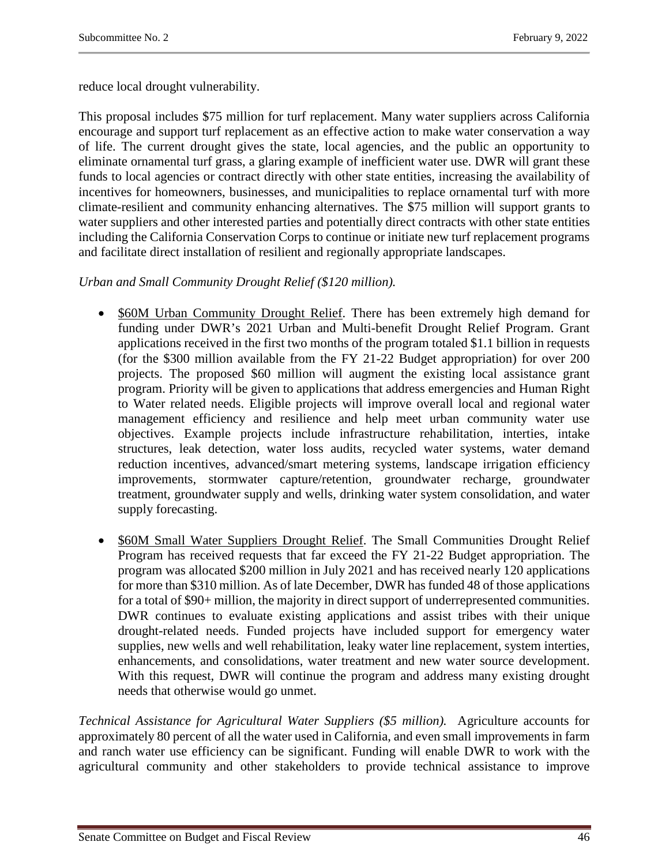reduce local drought vulnerability.

This proposal includes \$75 million for turf replacement. Many water suppliers across California encourage and support turf replacement as an effective action to make water conservation a way of life. The current drought gives the state, local agencies, and the public an opportunity to eliminate ornamental turf grass, a glaring example of inefficient water use. DWR will grant these funds to local agencies or contract directly with other state entities, increasing the availability of incentives for homeowners, businesses, and municipalities to replace ornamental turf with more climate-resilient and community enhancing alternatives. The \$75 million will support grants to water suppliers and other interested parties and potentially direct contracts with other state entities including the California Conservation Corps to continue or initiate new turf replacement programs and facilitate direct installation of resilient and regionally appropriate landscapes.

# *Urban and Small Community Drought Relief (\$120 million).*

- \$60M Urban Community Drought Relief. There has been extremely high demand for funding under DWR's 2021 Urban and Multi-benefit Drought Relief Program. Grant applications received in the first two months of the program totaled \$1.1 billion in requests (for the \$300 million available from the FY 21-22 Budget appropriation) for over 200 projects. The proposed \$60 million will augment the existing local assistance grant program. Priority will be given to applications that address emergencies and Human Right to Water related needs. Eligible projects will improve overall local and regional water management efficiency and resilience and help meet urban community water use objectives. Example projects include infrastructure rehabilitation, interties, intake structures, leak detection, water loss audits, recycled water systems, water demand reduction incentives, advanced/smart metering systems, landscape irrigation efficiency improvements, stormwater capture/retention, groundwater recharge, groundwater treatment, groundwater supply and wells, drinking water system consolidation, and water supply forecasting.
- \$60M Small Water Suppliers Drought Relief. The Small Communities Drought Relief Program has received requests that far exceed the FY 21-22 Budget appropriation. The program was allocated \$200 million in July 2021 and has received nearly 120 applications for more than \$310 million. As of late December, DWR has funded 48 of those applications for a total of \$90+ million, the majority in direct support of underrepresented communities. DWR continues to evaluate existing applications and assist tribes with their unique drought-related needs. Funded projects have included support for emergency water supplies, new wells and well rehabilitation, leaky water line replacement, system interties, enhancements, and consolidations, water treatment and new water source development. With this request, DWR will continue the program and address many existing drought needs that otherwise would go unmet.

*Technical Assistance for Agricultural Water Suppliers (\$5 million).* Agriculture accounts for approximately 80 percent of all the water used in California, and even small improvements in farm and ranch water use efficiency can be significant. Funding will enable DWR to work with the agricultural community and other stakeholders to provide technical assistance to improve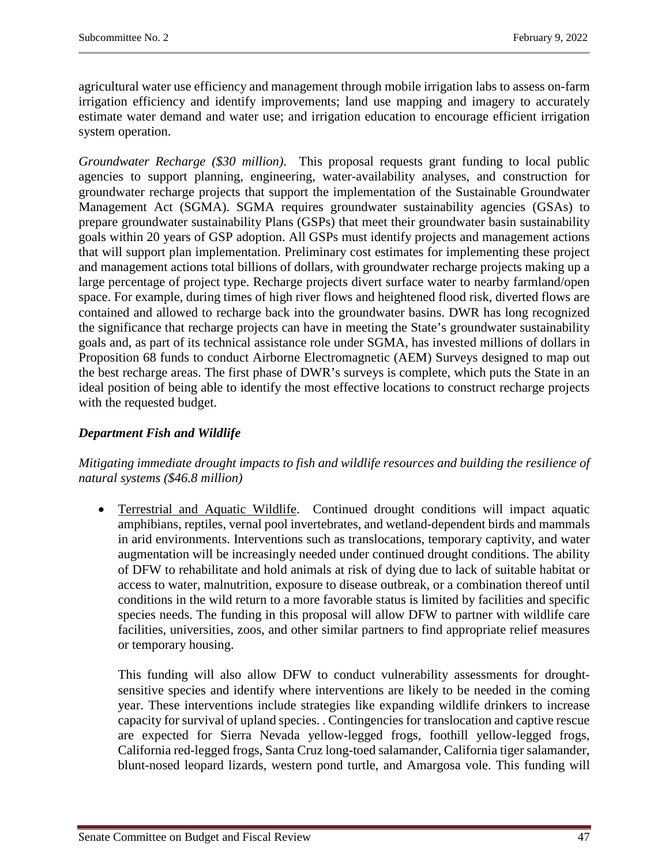agricultural water use efficiency and management through mobile irrigation labs to assess on-farm irrigation efficiency and identify improvements; land use mapping and imagery to accurately estimate water demand and water use; and irrigation education to encourage efficient irrigation system operation.

*Groundwater Recharge (\$30 million)*. This proposal requests grant funding to local public agencies to support planning, engineering, water-availability analyses, and construction for groundwater recharge projects that support the implementation of the Sustainable Groundwater Management Act (SGMA). SGMA requires groundwater sustainability agencies (GSAs) to prepare groundwater sustainability Plans (GSPs) that meet their groundwater basin sustainability goals within 20 years of GSP adoption. All GSPs must identify projects and management actions that will support plan implementation. Preliminary cost estimates for implementing these project and management actions total billions of dollars, with groundwater recharge projects making up a large percentage of project type. Recharge projects divert surface water to nearby farmland/open space. For example, during times of high river flows and heightened flood risk, diverted flows are contained and allowed to recharge back into the groundwater basins. DWR has long recognized the significance that recharge projects can have in meeting the State's groundwater sustainability goals and, as part of its technical assistance role under SGMA, has invested millions of dollars in Proposition 68 funds to conduct Airborne Electromagnetic (AEM) Surveys designed to map out the best recharge areas. The first phase of DWR's surveys is complete, which puts the State in an ideal position of being able to identify the most effective locations to construct recharge projects with the requested budget.

# *Department Fish and Wildlife*

# *Mitigating immediate drought impacts to fish and wildlife resources and building the resilience of natural systems (\$46.8 million)*

• Terrestrial and Aquatic Wildlife. Continued drought conditions will impact aquatic amphibians, reptiles, vernal pool invertebrates, and wetland-dependent birds and mammals in arid environments. Interventions such as translocations, temporary captivity, and water augmentation will be increasingly needed under continued drought conditions. The ability of DFW to rehabilitate and hold animals at risk of dying due to lack of suitable habitat or access to water, malnutrition, exposure to disease outbreak, or a combination thereof until conditions in the wild return to a more favorable status is limited by facilities and specific species needs. The funding in this proposal will allow DFW to partner with wildlife care facilities, universities, zoos, and other similar partners to find appropriate relief measures or temporary housing.

This funding will also allow DFW to conduct vulnerability assessments for droughtsensitive species and identify where interventions are likely to be needed in the coming year. These interventions include strategies like expanding wildlife drinkers to increase capacity for survival of upland species. . Contingencies for translocation and captive rescue are expected for Sierra Nevada yellow-legged frogs, foothill yellow-legged frogs, California red-legged frogs, Santa Cruz long-toed salamander, California tiger salamander, blunt-nosed leopard lizards, western pond turtle, and Amargosa vole. This funding will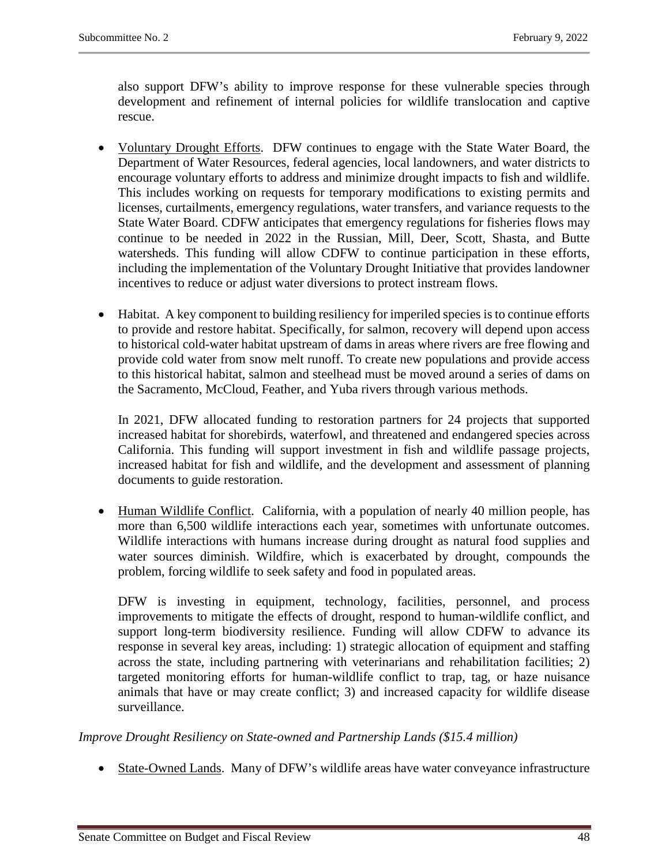also support DFW's ability to improve response for these vulnerable species through development and refinement of internal policies for wildlife translocation and captive rescue.

- Voluntary Drought Efforts. DFW continues to engage with the State Water Board, the Department of Water Resources, federal agencies, local landowners, and water districts to encourage voluntary efforts to address and minimize drought impacts to fish and wildlife. This includes working on requests for temporary modifications to existing permits and licenses, curtailments, emergency regulations, water transfers, and variance requests to the State Water Board. CDFW anticipates that emergency regulations for fisheries flows may continue to be needed in 2022 in the Russian, Mill, Deer, Scott, Shasta, and Butte watersheds. This funding will allow CDFW to continue participation in these efforts, including the implementation of the Voluntary Drought Initiative that provides landowner incentives to reduce or adjust water diversions to protect instream flows.
- Habitat. A key component to building resiliency for imperiled species is to continue efforts to provide and restore habitat. Specifically, for salmon, recovery will depend upon access to historical cold-water habitat upstream of dams in areas where rivers are free flowing and provide cold water from snow melt runoff. To create new populations and provide access to this historical habitat, salmon and steelhead must be moved around a series of dams on the Sacramento, McCloud, Feather, and Yuba rivers through various methods.

In 2021, DFW allocated funding to restoration partners for 24 projects that supported increased habitat for shorebirds, waterfowl, and threatened and endangered species across California. This funding will support investment in fish and wildlife passage projects, increased habitat for fish and wildlife, and the development and assessment of planning documents to guide restoration.

• Human Wildlife Conflict. California, with a population of nearly 40 million people, has more than 6,500 wildlife interactions each year, sometimes with unfortunate outcomes. Wildlife interactions with humans increase during drought as natural food supplies and water sources diminish. Wildfire, which is exacerbated by drought, compounds the problem, forcing wildlife to seek safety and food in populated areas.

DFW is investing in equipment, technology, facilities, personnel, and process improvements to mitigate the effects of drought, respond to human-wildlife conflict, and support long-term biodiversity resilience. Funding will allow CDFW to advance its response in several key areas, including: 1) strategic allocation of equipment and staffing across the state, including partnering with veterinarians and rehabilitation facilities; 2) targeted monitoring efforts for human-wildlife conflict to trap, tag, or haze nuisance animals that have or may create conflict; 3) and increased capacity for wildlife disease surveillance.

*Improve Drought Resiliency on State-owned and Partnership Lands (\$15.4 million)*

• State-Owned Lands. Many of DFW's wildlife areas have water conveyance infrastructure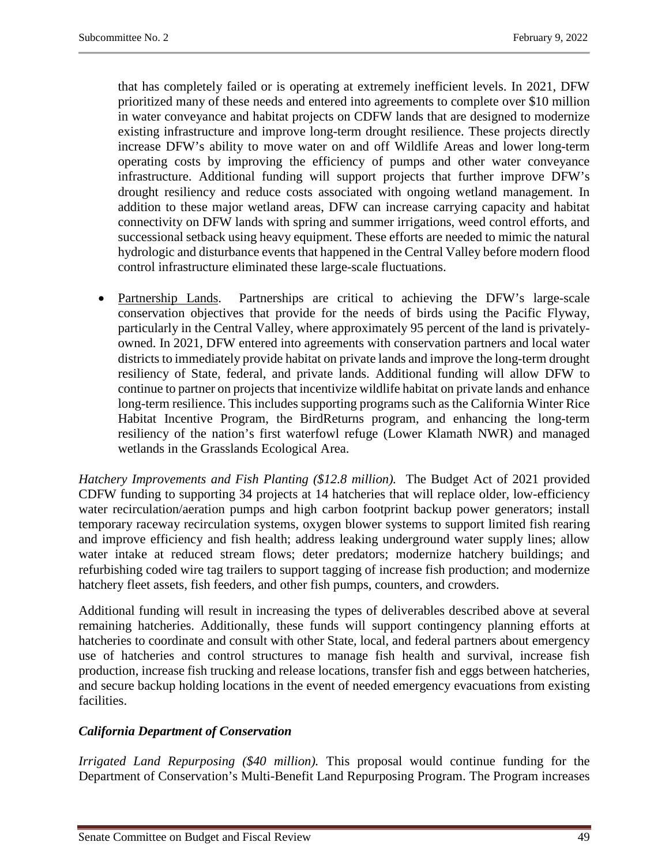that has completely failed or is operating at extremely inefficient levels. In 2021, DFW prioritized many of these needs and entered into agreements to complete over \$10 million in water conveyance and habitat projects on CDFW lands that are designed to modernize existing infrastructure and improve long-term drought resilience. These projects directly increase DFW's ability to move water on and off Wildlife Areas and lower long-term operating costs by improving the efficiency of pumps and other water conveyance infrastructure. Additional funding will support projects that further improve DFW's drought resiliency and reduce costs associated with ongoing wetland management. In addition to these major wetland areas, DFW can increase carrying capacity and habitat connectivity on DFW lands with spring and summer irrigations, weed control efforts, and successional setback using heavy equipment. These efforts are needed to mimic the natural hydrologic and disturbance events that happened in the Central Valley before modern flood control infrastructure eliminated these large-scale fluctuations.

• Partnership Lands. Partnerships are critical to achieving the DFW's large-scale conservation objectives that provide for the needs of birds using the Pacific Flyway, particularly in the Central Valley, where approximately 95 percent of the land is privatelyowned. In 2021, DFW entered into agreements with conservation partners and local water districts to immediately provide habitat on private lands and improve the long-term drought resiliency of State, federal, and private lands. Additional funding will allow DFW to continue to partner on projects that incentivize wildlife habitat on private lands and enhance long-term resilience. This includes supporting programs such as the California Winter Rice Habitat Incentive Program, the BirdReturns program, and enhancing the long-term resiliency of the nation's first waterfowl refuge (Lower Klamath NWR) and managed wetlands in the Grasslands Ecological Area.

*Hatchery Improvements and Fish Planting (\$12.8 million).* The Budget Act of 2021 provided CDFW funding to supporting 34 projects at 14 hatcheries that will replace older, low-efficiency water recirculation/aeration pumps and high carbon footprint backup power generators; install temporary raceway recirculation systems, oxygen blower systems to support limited fish rearing and improve efficiency and fish health; address leaking underground water supply lines; allow water intake at reduced stream flows; deter predators; modernize hatchery buildings; and refurbishing coded wire tag trailers to support tagging of increase fish production; and modernize hatchery fleet assets, fish feeders, and other fish pumps, counters, and crowders.

Additional funding will result in increasing the types of deliverables described above at several remaining hatcheries. Additionally, these funds will support contingency planning efforts at hatcheries to coordinate and consult with other State, local, and federal partners about emergency use of hatcheries and control structures to manage fish health and survival, increase fish production, increase fish trucking and release locations, transfer fish and eggs between hatcheries, and secure backup holding locations in the event of needed emergency evacuations from existing facilities.

# *California Department of Conservation*

*Irrigated Land Repurposing (\$40 million).* This proposal would continue funding for the Department of Conservation's Multi-Benefit Land Repurposing Program. The Program increases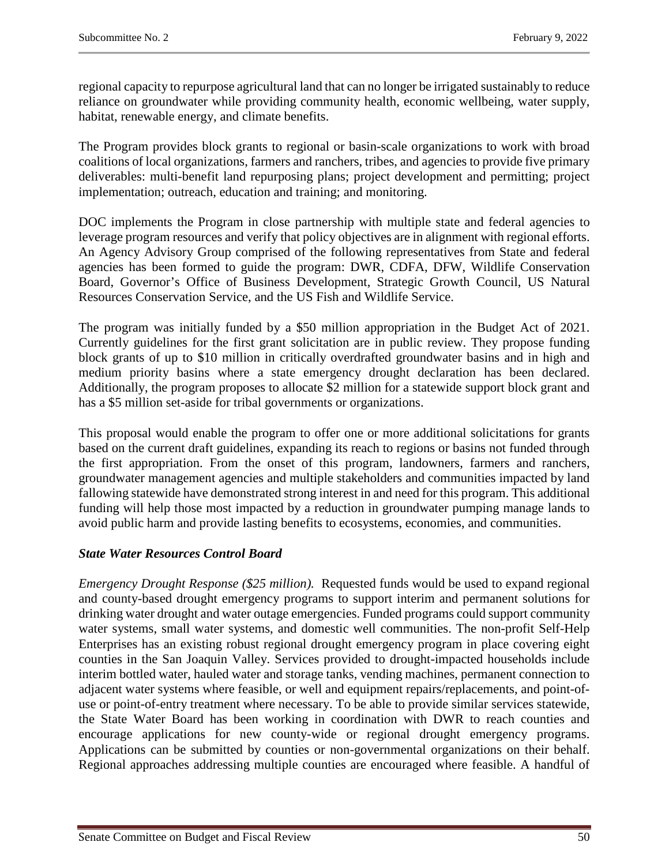regional capacity to repurpose agricultural land that can no longer be irrigated sustainably to reduce reliance on groundwater while providing community health, economic wellbeing, water supply, habitat, renewable energy, and climate benefits.

The Program provides block grants to regional or basin-scale organizations to work with broad coalitions of local organizations, farmers and ranchers, tribes, and agencies to provide five primary deliverables: multi-benefit land repurposing plans; project development and permitting; project implementation; outreach, education and training; and monitoring.

DOC implements the Program in close partnership with multiple state and federal agencies to leverage program resources and verify that policy objectives are in alignment with regional efforts. An Agency Advisory Group comprised of the following representatives from State and federal agencies has been formed to guide the program: DWR, CDFA, DFW, Wildlife Conservation Board, Governor's Office of Business Development, Strategic Growth Council, US Natural Resources Conservation Service, and the US Fish and Wildlife Service.

The program was initially funded by a \$50 million appropriation in the Budget Act of 2021. Currently guidelines for the first grant solicitation are in public review. They propose funding block grants of up to \$10 million in critically overdrafted groundwater basins and in high and medium priority basins where a state emergency drought declaration has been declared. Additionally, the program proposes to allocate \$2 million for a statewide support block grant and has a \$5 million set-aside for tribal governments or organizations.

This proposal would enable the program to offer one or more additional solicitations for grants based on the current draft guidelines, expanding its reach to regions or basins not funded through the first appropriation. From the onset of this program, landowners, farmers and ranchers, groundwater management agencies and multiple stakeholders and communities impacted by land fallowing statewide have demonstrated strong interest in and need for this program. This additional funding will help those most impacted by a reduction in groundwater pumping manage lands to avoid public harm and provide lasting benefits to ecosystems, economies, and communities.

# *State Water Resources Control Board*

*Emergency Drought Response (\$25 million).* Requested funds would be used to expand regional and county-based drought emergency programs to support interim and permanent solutions for drinking water drought and water outage emergencies. Funded programs could support community water systems, small water systems, and domestic well communities. The non-profit Self-Help Enterprises has an existing robust regional drought emergency program in place covering eight counties in the San Joaquin Valley. Services provided to drought-impacted households include interim bottled water, hauled water and storage tanks, vending machines, permanent connection to adjacent water systems where feasible, or well and equipment repairs/replacements, and point-ofuse or point-of-entry treatment where necessary. To be able to provide similar services statewide, the State Water Board has been working in coordination with DWR to reach counties and encourage applications for new county-wide or regional drought emergency programs. Applications can be submitted by counties or non-governmental organizations on their behalf. Regional approaches addressing multiple counties are encouraged where feasible. A handful of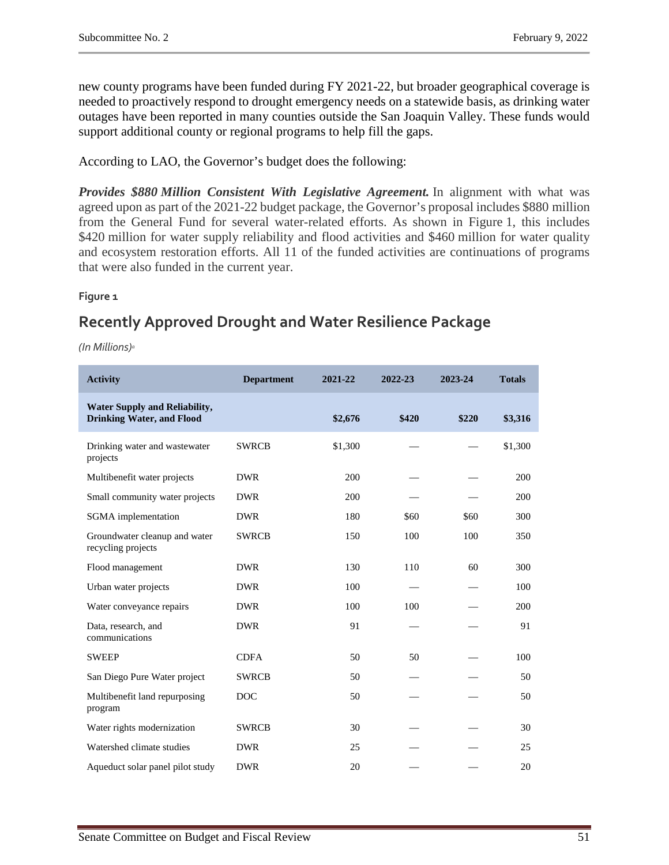new county programs have been funded during FY 2021-22, but broader geographical coverage is needed to proactively respond to drought emergency needs on a statewide basis, as drinking water outages have been reported in many counties outside the San Joaquin Valley. These funds would support additional county or regional programs to help fill the gaps.

According to LAO, the Governor's budget does the following:

*Provides \$880 Million Consistent With Legislative Agreement.* In alignment with what was agreed upon as part of the 2021-22 budget package, the Governor's proposal includes \$880 million from the General Fund for several water-related efforts. As shown in Figure 1, this includes \$420 million for water supply reliability and flood activities and \$460 million for water quality and ecosystem restoration efforts. All 11 of the funded activities are continuations of programs that were also funded in the current year.

#### **Figure 1**

# **Recently Approved Drought and Water Resilience Package**

*(In Millions)a*

| <b>Activity</b>                                                          | <b>Department</b> | 2021-22 | 2022-23 | 2023-24 | <b>Totals</b> |
|--------------------------------------------------------------------------|-------------------|---------|---------|---------|---------------|
| <b>Water Supply and Reliability,</b><br><b>Drinking Water, and Flood</b> |                   | \$2,676 | \$420   | \$220   | \$3,316       |
| Drinking water and wastewater<br>projects                                | <b>SWRCB</b>      | \$1,300 |         |         | \$1,300       |
| Multibenefit water projects                                              | <b>DWR</b>        | 200     |         |         | 200           |
| Small community water projects                                           | <b>DWR</b>        | 200     |         |         | 200           |
| SGMA implementation                                                      | <b>DWR</b>        | 180     | \$60    | \$60    | 300           |
| Groundwater cleanup and water<br>recycling projects                      | <b>SWRCB</b>      | 150     | 100     | 100     | 350           |
| Flood management                                                         | <b>DWR</b>        | 130     | 110     | 60      | 300           |
| Urban water projects                                                     | <b>DWR</b>        | 100     |         |         | 100           |
| Water conveyance repairs                                                 | <b>DWR</b>        | 100     | 100     |         | 200           |
| Data, research, and<br>communications                                    | <b>DWR</b>        | 91      |         |         | 91            |
| <b>SWEEP</b>                                                             | <b>CDFA</b>       | 50      | 50      |         | 100           |
| San Diego Pure Water project                                             | <b>SWRCB</b>      | 50      |         |         | 50            |
| Multibenefit land repurposing<br>program                                 | <b>DOC</b>        | 50      |         |         | 50            |
| Water rights modernization                                               | <b>SWRCB</b>      | 30      |         |         | 30            |
| Watershed climate studies                                                | <b>DWR</b>        | 25      |         |         | 25            |
| Aqueduct solar panel pilot study                                         | <b>DWR</b>        | 20      |         |         | 20            |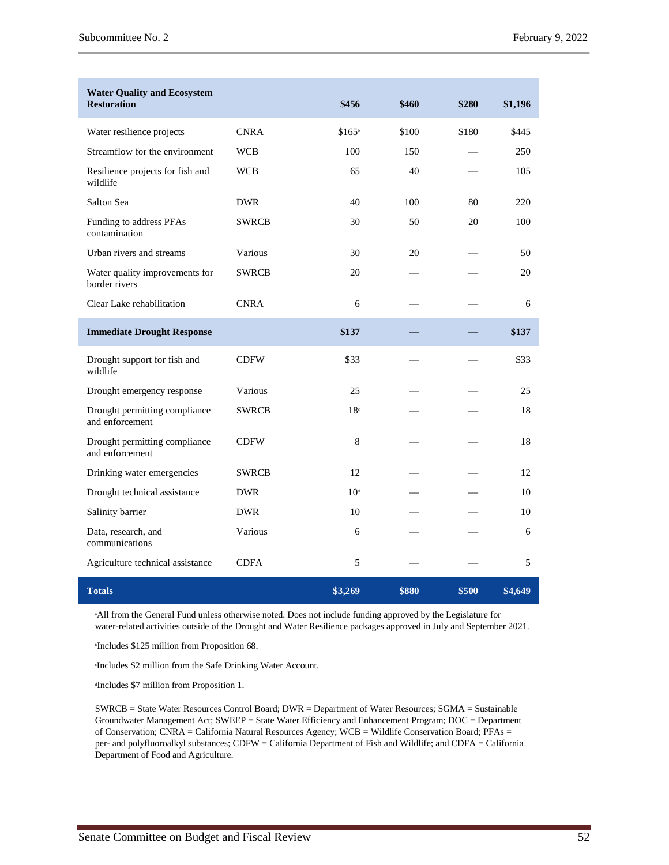| <b>Water Quality and Ecosystem</b><br><b>Restoration</b> |              | \$456              | \$460 | \$280 | \$1,196 |
|----------------------------------------------------------|--------------|--------------------|-------|-------|---------|
| Water resilience projects                                | <b>CNRA</b>  | \$165 <sup>b</sup> | \$100 | \$180 | \$445   |
| Streamflow for the environment                           | <b>WCB</b>   | 100                | 150   |       | 250     |
| Resilience projects for fish and<br>wildlife             | <b>WCB</b>   | 65                 | 40    |       | 105     |
| Salton Sea                                               | <b>DWR</b>   | 40                 | 100   | 80    | 220     |
| Funding to address PFAs<br>contamination                 | <b>SWRCB</b> | 30                 | 50    | 20    | 100     |
| Urban rivers and streams                                 | Various      | 30                 | 20    |       | 50      |
| Water quality improvements for<br>border rivers          | <b>SWRCB</b> | 20                 |       |       | 20      |
| Clear Lake rehabilitation                                | <b>CNRA</b>  | 6                  |       |       | 6       |
| <b>Immediate Drought Response</b>                        |              | \$137              |       |       | \$137   |
| Drought support for fish and<br>wildlife                 | <b>CDFW</b>  | \$33               |       |       | \$33    |
| Drought emergency response                               | Various      | 25                 |       |       | 25      |
| Drought permitting compliance<br>and enforcement         | <b>SWRCB</b> | 18 <sup>c</sup>    |       |       | 18      |
| Drought permitting compliance<br>and enforcement         | <b>CDFW</b>  | 8                  |       |       | 18      |
| Drinking water emergencies                               | <b>SWRCB</b> | 12                 |       |       | 12      |
| Drought technical assistance                             | <b>DWR</b>   | 10 <sup>d</sup>    |       |       | 10      |
| Salinity barrier                                         | <b>DWR</b>   | 10                 |       |       | 10      |
| Data, research, and<br>communications                    | Various      | 6                  |       |       | 6       |
| Agriculture technical assistance                         | <b>CDFA</b>  | 5                  |       |       | 5       |
| <b>Totals</b>                                            |              | \$3,269            | \$880 | \$500 | \$4,649 |

a All from the General Fund unless otherwise noted. Does not include funding approved by the Legislature for water-related activities outside of the Drought and Water Resilience packages approved in July and September 2021.

b Includes \$125 million from Proposition 68.

c Includes \$2 million from the Safe Drinking Water Account.

d Includes \$7 million from Proposition 1.

SWRCB = State Water Resources Control Board; DWR = Department of Water Resources; SGMA = Sustainable Groundwater Management Act; SWEEP = State Water Efficiency and Enhancement Program; DOC = Department of Conservation; CNRA = California Natural Resources Agency; WCB = Wildlife Conservation Board; PFAs = per- and polyfluoroalkyl substances; CDFW = California Department of Fish and Wildlife; and CDFA = California Department of Food and Agriculture.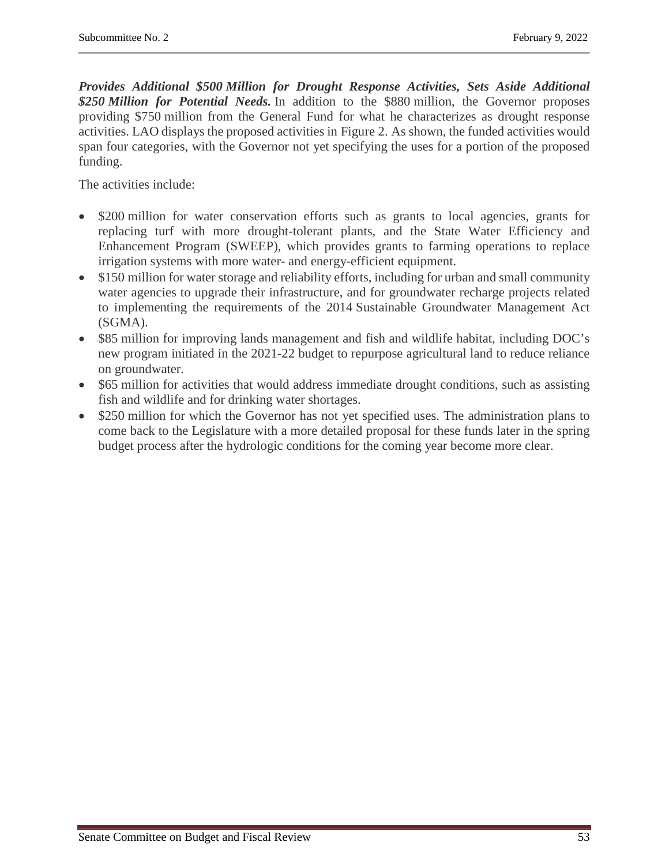*Provides Additional \$500 Million for Drought Response Activities, Sets Aside Additional \$250 Million for Potential Needs.* In addition to the \$880 million, the Governor proposes providing \$750 million from the General Fund for what he characterizes as drought response activities. LAO displays the proposed activities in Figure 2. As shown, the funded activities would span four categories, with the Governor not yet specifying the uses for a portion of the proposed funding.

The activities include:

- \$200 million for water conservation efforts such as grants to local agencies, grants for replacing turf with more drought-tolerant plants, and the State Water Efficiency and Enhancement Program (SWEEP), which provides grants to farming operations to replace irrigation systems with more water- and energy-efficient equipment.
- \$150 million for water storage and reliability efforts, including for urban and small community water agencies to upgrade their infrastructure, and for groundwater recharge projects related to implementing the requirements of the 2014 Sustainable Groundwater Management Act (SGMA).
- \$85 million for improving lands management and fish and wildlife habitat, including DOC's new program initiated in the 2021-22 budget to repurpose agricultural land to reduce reliance on groundwater.
- \$65 million for activities that would address immediate drought conditions, such as assisting fish and wildlife and for drinking water shortages.
- \$250 million for which the Governor has not yet specified uses. The administration plans to come back to the Legislature with a more detailed proposal for these funds later in the spring budget process after the hydrologic conditions for the coming year become more clear.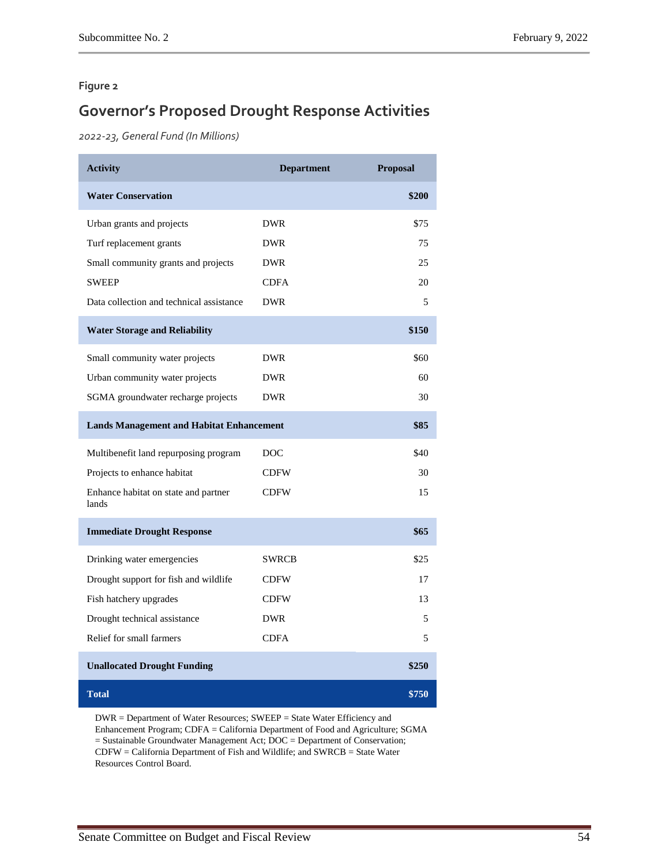#### **Figure 2**

# **Governor's Proposed Drought Response Activities**

*2022-23, General Fund (In Millions)*

| <b>Activity</b>                                 | <b>Department</b> | <b>Proposal</b> |
|-------------------------------------------------|-------------------|-----------------|
| <b>Water Conservation</b>                       |                   | \$200           |
| Urban grants and projects                       | <b>DWR</b>        | \$75            |
| Turf replacement grants                         | <b>DWR</b>        | 75              |
| Small community grants and projects             | <b>DWR</b>        | 25              |
| <b>SWEEP</b>                                    | <b>CDFA</b>       | 20              |
| Data collection and technical assistance        | <b>DWR</b>        | 5               |
| <b>Water Storage and Reliability</b>            |                   | \$150           |
| Small community water projects                  | <b>DWR</b>        | \$60            |
| Urban community water projects                  | <b>DWR</b>        | 60              |
| SGMA groundwater recharge projects              | <b>DWR</b>        | 30              |
| <b>Lands Management and Habitat Enhancement</b> |                   | \$85            |
| Multibenefit land repurposing program           | DOC               | \$40            |
| Projects to enhance habitat                     | <b>CDFW</b>       | 30              |
| Enhance habitat on state and partner<br>lands   | <b>CDFW</b>       | 15              |
| <b>Immediate Drought Response</b>               |                   | \$65            |
| Drinking water emergencies                      | <b>SWRCB</b>      | \$25            |
| Drought support for fish and wildlife           | <b>CDFW</b>       | 17              |
| Fish hatchery upgrades                          | <b>CDFW</b>       | 13              |
| Drought technical assistance                    | <b>DWR</b>        | 5               |
| Relief for small farmers                        | <b>CDFA</b>       | 5               |
| <b>Unallocated Drought Funding</b>              |                   | \$250           |
| <b>Total</b>                                    |                   | \$750           |

DWR = Department of Water Resources; SWEEP = State Water Efficiency and Enhancement Program; CDFA = California Department of Food and Agriculture; SGMA = Sustainable Groundwater Management Act; DOC = Department of Conservation; CDFW = California Department of Fish and Wildlife; and SWRCB = State Water Resources Control Board.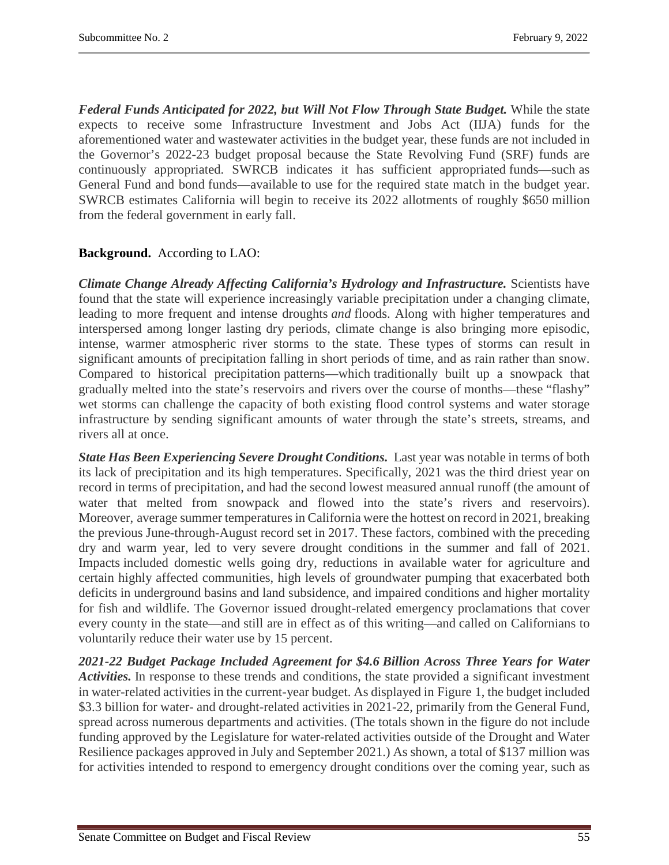*Federal Funds Anticipated for 2022, but Will Not Flow Through State Budget.* While the state expects to receive some Infrastructure Investment and Jobs Act (IIJA) funds for the aforementioned water and wastewater activities in the budget year, these funds are not included in the Governor's 2022-23 budget proposal because the State Revolving Fund (SRF) funds are continuously appropriated. SWRCB indicates it has sufficient appropriated funds—such as General Fund and bond funds—available to use for the required state match in the budget year. SWRCB estimates California will begin to receive its 2022 allotments of roughly \$650 million from the federal government in early fall.

# **Background.** According to LAO:

*Climate Change Already Affecting California's Hydrology and Infrastructure.* Scientists have found that the state will experience increasingly variable precipitation under a changing climate, leading to more frequent and intense droughts *and* floods. Along with higher temperatures and interspersed among longer lasting dry periods, climate change is also bringing more episodic, intense, warmer atmospheric river storms to the state. These types of storms can result in significant amounts of precipitation falling in short periods of time, and as rain rather than snow. Compared to historical precipitation patterns—which traditionally built up a snowpack that gradually melted into the state's reservoirs and rivers over the course of months—these "flashy" wet storms can challenge the capacity of both existing flood control systems and water storage infrastructure by sending significant amounts of water through the state's streets, streams, and rivers all at once.

*State Has Been Experiencing Severe Drought Conditions.* Last year was notable in terms of both its lack of precipitation and its high temperatures. Specifically, 2021 was the third driest year on record in terms of precipitation, and had the second lowest measured annual runoff (the amount of water that melted from snowpack and flowed into the state's rivers and reservoirs). Moreover, average summer temperatures in California were the hottest on record in 2021, breaking the previous June-through-August record set in 2017. These factors, combined with the preceding dry and warm year, led to very severe drought conditions in the summer and fall of 2021. Impacts included domestic wells going dry, reductions in available water for agriculture and certain highly affected communities, high levels of groundwater pumping that exacerbated both deficits in underground basins and land subsidence, and impaired conditions and higher mortality for fish and wildlife. The Governor issued drought-related emergency proclamations that cover every county in the state—and still are in effect as of this writing—and called on Californians to voluntarily reduce their water use by 15 percent.

*2021-22 Budget Package Included Agreement for \$4.6 Billion Across Three Years for Water Activities.* In response to these trends and conditions, the state provided a significant investment in water-related activities in the current-year budget. As displayed in Figure 1, the budget included \$3.3 billion for water- and drought-related activities in 2021-22, primarily from the General Fund, spread across numerous departments and activities. (The totals shown in the figure do not include funding approved by the Legislature for water-related activities outside of the Drought and Water Resilience packages approved in July and September 2021.) As shown, a total of \$137 million was for activities intended to respond to emergency drought conditions over the coming year, such as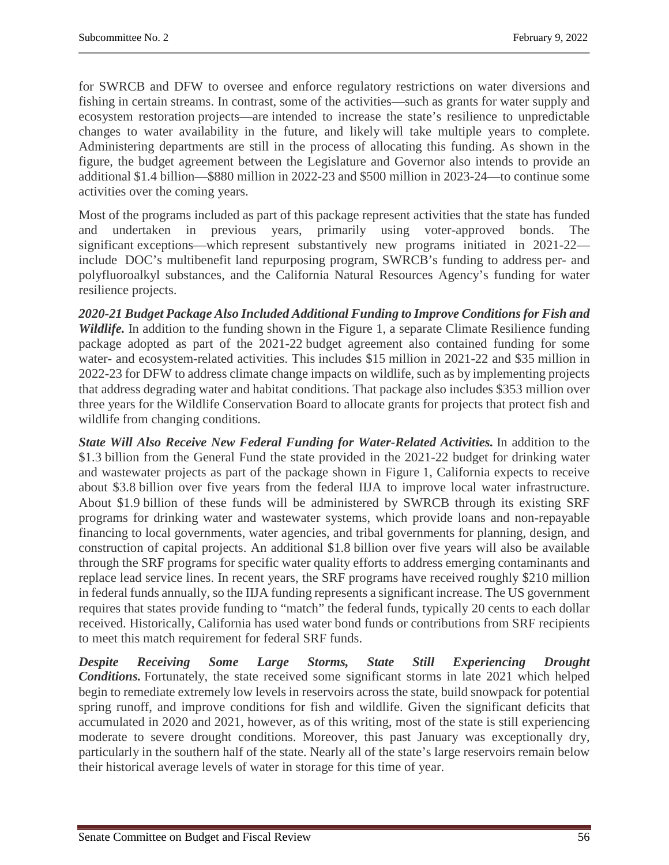for SWRCB and DFW to oversee and enforce regulatory restrictions on water diversions and fishing in certain streams. In contrast, some of the activities—such as grants for water supply and ecosystem restoration projects—are intended to increase the state's resilience to unpredictable changes to water availability in the future, and likely will take multiple years to complete. Administering departments are still in the process of allocating this funding. As shown in the figure, the budget agreement between the Legislature and Governor also intends to provide an additional \$1.4 billion—\$880 million in 2022-23 and \$500 million in 2023-24—to continue some activities over the coming years.

Most of the programs included as part of this package represent activities that the state has funded and undertaken in previous years, primarily using voter-approved bonds. The significant exceptions—which represent substantively new programs initiated in 2021-22 include DOC's multibenefit land repurposing program, SWRCB's funding to address per- and polyfluoroalkyl substances, and the California Natural Resources Agency's funding for water resilience projects.

*2020-21 Budget Package Also Included Additional Funding to Improve Conditions for Fish and Wildlife*. In addition to the funding shown in the Figure 1, a separate Climate Resilience funding package adopted as part of the 2021-22 budget agreement also contained funding for some water- and ecosystem-related activities. This includes \$15 million in 2021-22 and \$35 million in 2022-23 for DFW to address climate change impacts on wildlife, such as by implementing projects that address degrading water and habitat conditions. That package also includes \$353 million over three years for the Wildlife Conservation Board to allocate grants for projects that protect fish and wildlife from changing conditions.

*State Will Also Receive New Federal Funding for Water-Related Activities.* In addition to the \$1.3 billion from the General Fund the state provided in the 2021-22 budget for drinking water and wastewater projects as part of the package shown in Figure 1, California expects to receive about \$3.8 billion over five years from the federal IIJA to improve local water infrastructure. About \$1.9 billion of these funds will be administered by SWRCB through its existing SRF programs for drinking water and wastewater systems, which provide loans and non-repayable financing to local governments, water agencies, and tribal governments for planning, design, and construction of capital projects. An additional \$1.8 billion over five years will also be available through the SRF programs for specific water quality efforts to address emerging contaminants and replace lead service lines. In recent years, the SRF programs have received roughly \$210 million in federal funds annually, so the IIJA funding represents a significant increase. The US government requires that states provide funding to "match" the federal funds, typically 20 cents to each dollar received. Historically, California has used water bond funds or contributions from SRF recipients to meet this match requirement for federal SRF funds.

*Despite Receiving Some Large Storms, State Still Experiencing Drought Conditions.* Fortunately, the state received some significant storms in late 2021 which helped begin to remediate extremely low levels in reservoirs across the state, build snowpack for potential spring runoff, and improve conditions for fish and wildlife. Given the significant deficits that accumulated in 2020 and 2021, however, as of this writing, most of the state is still experiencing moderate to severe drought conditions. Moreover, this past January was exceptionally dry, particularly in the southern half of the state. Nearly all of the state's large reservoirs remain below their historical average levels of water in storage for this time of year.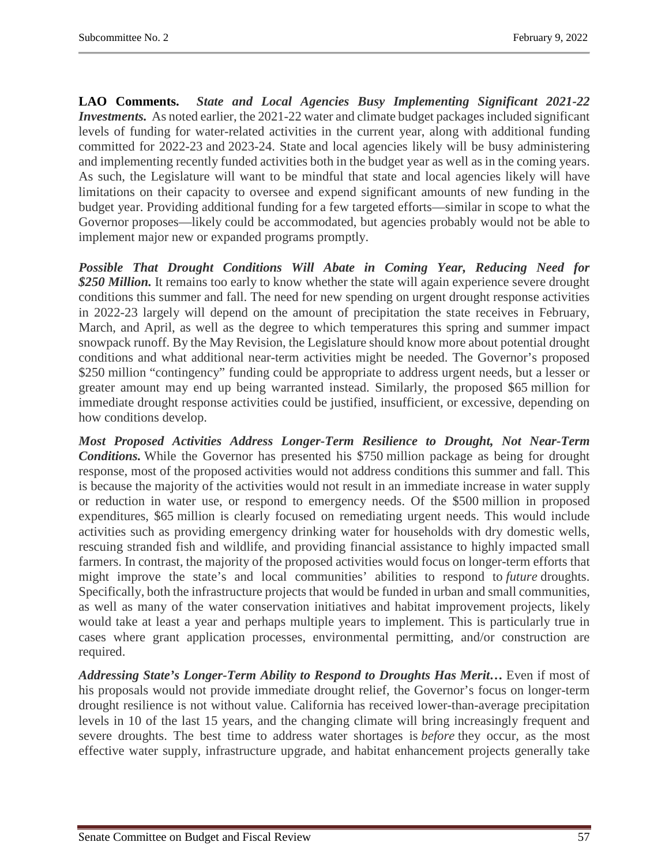**LAO Comments.** *State and Local Agencies Busy Implementing Significant 2021-22 Investments.* As noted earlier, the 2021-22 water and climate budget packages included significant levels of funding for water-related activities in the current year, along with additional funding committed for 2022-23 and 2023-24. State and local agencies likely will be busy administering and implementing recently funded activities both in the budget year as well as in the coming years. As such, the Legislature will want to be mindful that state and local agencies likely will have limitations on their capacity to oversee and expend significant amounts of new funding in the budget year. Providing additional funding for a few targeted efforts—similar in scope to what the Governor proposes—likely could be accommodated, but agencies probably would not be able to implement major new or expanded programs promptly.

*Possible That Drought Conditions Will Abate in Coming Year, Reducing Need for \$250 Million.* It remains too early to know whether the state will again experience severe drought conditions this summer and fall. The need for new spending on urgent drought response activities in 2022-23 largely will depend on the amount of precipitation the state receives in February, March, and April, as well as the degree to which temperatures this spring and summer impact snowpack runoff. By the May Revision, the Legislature should know more about potential drought conditions and what additional near-term activities might be needed. The Governor's proposed \$250 million "contingency" funding could be appropriate to address urgent needs, but a lesser or greater amount may end up being warranted instead. Similarly, the proposed \$65 million for immediate drought response activities could be justified, insufficient, or excessive, depending on how conditions develop.

*Most Proposed Activities Address Longer-Term Resilience to Drought, Not Near-Term Conditions.* While the Governor has presented his \$750 million package as being for drought response, most of the proposed activities would not address conditions this summer and fall. This is because the majority of the activities would not result in an immediate increase in water supply or reduction in water use, or respond to emergency needs. Of the \$500 million in proposed expenditures, \$65 million is clearly focused on remediating urgent needs. This would include activities such as providing emergency drinking water for households with dry domestic wells, rescuing stranded fish and wildlife, and providing financial assistance to highly impacted small farmers. In contrast, the majority of the proposed activities would focus on longer-term efforts that might improve the state's and local communities' abilities to respond to *future* droughts. Specifically, both the infrastructure projects that would be funded in urban and small communities, as well as many of the water conservation initiatives and habitat improvement projects, likely would take at least a year and perhaps multiple years to implement. This is particularly true in cases where grant application processes, environmental permitting, and/or construction are required.

*Addressing State's Longer-Term Ability to Respond to Droughts Has Merit…* Even if most of his proposals would not provide immediate drought relief, the Governor's focus on longer-term drought resilience is not without value. California has received lower-than-average precipitation levels in 10 of the last 15 years, and the changing climate will bring increasingly frequent and severe droughts. The best time to address water shortages is *before* they occur, as the most effective water supply, infrastructure upgrade, and habitat enhancement projects generally take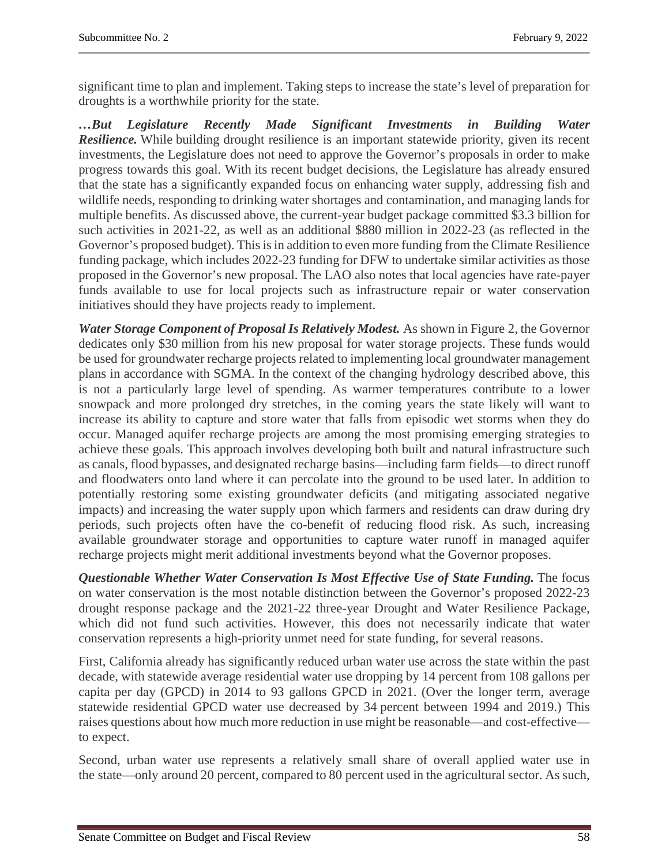significant time to plan and implement. Taking steps to increase the state's level of preparation for droughts is a worthwhile priority for the state.

*…But Legislature Recently Made Significant Investments in Building Water Resilience.* While building drought resilience is an important statewide priority, given its recent investments, the Legislature does not need to approve the Governor's proposals in order to make progress towards this goal. With its recent budget decisions, the Legislature has already ensured that the state has a significantly expanded focus on enhancing water supply, addressing fish and wildlife needs, responding to drinking water shortages and contamination, and managing lands for multiple benefits. As discussed above, the current-year budget package committed \$3.3 billion for such activities in 2021-22, as well as an additional \$880 million in 2022-23 (as reflected in the Governor's proposed budget). This is in addition to even more funding from the Climate Resilience funding package, which includes 2022-23 funding for DFW to undertake similar activities as those proposed in the Governor's new proposal. The LAO also notes that local agencies have rate-payer funds available to use for local projects such as infrastructure repair or water conservation initiatives should they have projects ready to implement.

*Water Storage Component of Proposal Is Relatively Modest.* As shown in Figure 2, the Governor dedicates only \$30 million from his new proposal for water storage projects. These funds would be used for groundwater recharge projects related to implementing local groundwater management plans in accordance with SGMA. In the context of the changing hydrology described above, this is not a particularly large level of spending. As warmer temperatures contribute to a lower snowpack and more prolonged dry stretches, in the coming years the state likely will want to increase its ability to capture and store water that falls from episodic wet storms when they do occur. Managed aquifer recharge projects are among the most promising emerging strategies to achieve these goals. This approach involves developing both built and natural infrastructure such as canals, flood bypasses, and designated recharge basins—including farm fields—to direct runoff and floodwaters onto land where it can percolate into the ground to be used later. In addition to potentially restoring some existing groundwater deficits (and mitigating associated negative impacts) and increasing the water supply upon which farmers and residents can draw during dry periods, such projects often have the co-benefit of reducing flood risk. As such, increasing available groundwater storage and opportunities to capture water runoff in managed aquifer recharge projects might merit additional investments beyond what the Governor proposes.

*Questionable Whether Water Conservation Is Most Effective Use of State Funding.* The focus on water conservation is the most notable distinction between the Governor's proposed 2022-23 drought response package and the 2021-22 three-year Drought and Water Resilience Package, which did not fund such activities. However, this does not necessarily indicate that water conservation represents a high-priority unmet need for state funding, for several reasons.

First, California already has significantly reduced urban water use across the state within the past decade, with statewide average residential water use dropping by 14 percent from 108 gallons per capita per day (GPCD) in 2014 to 93 gallons GPCD in 2021. (Over the longer term, average statewide residential GPCD water use decreased by 34 percent between 1994 and 2019.) This raises questions about how much more reduction in use might be reasonable—and cost-effective to expect.

Second, urban water use represents a relatively small share of overall applied water use in the state—only around 20 percent, compared to 80 percent used in the agricultural sector. As such,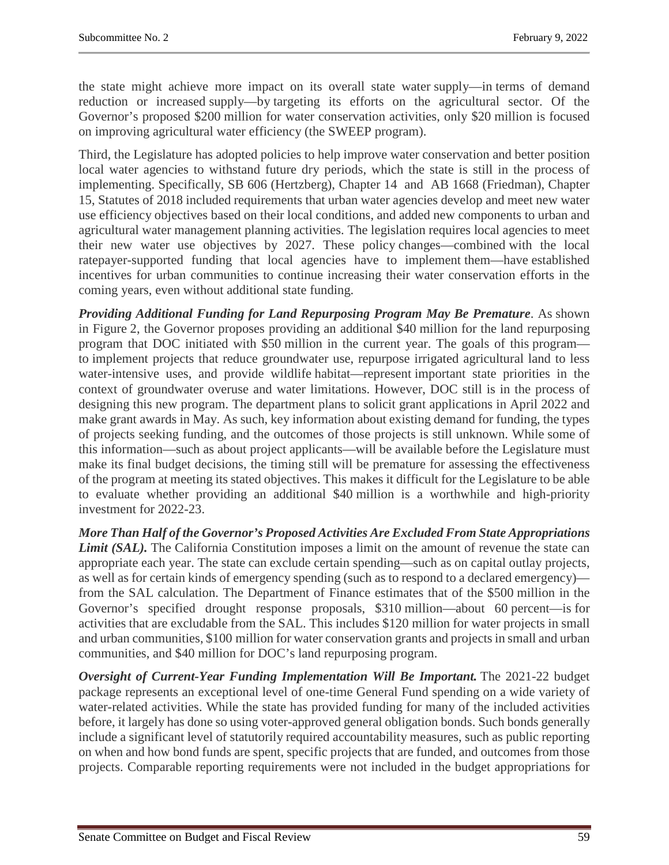the state might achieve more impact on its overall state water supply—in terms of demand reduction or increased supply—by targeting its efforts on the agricultural sector. Of the Governor's proposed \$200 million for water conservation activities, only \$20 million is focused on improving agricultural water efficiency (the SWEEP program).

Third, the Legislature has adopted policies to help improve water conservation and better position local water agencies to withstand future dry periods, which the state is still in the process of implementing. Specifically, SB 606 (Hertzberg), Chapter 14 and AB 1668 (Friedman), Chapter 15, Statutes of 2018 included requirements that urban water agencies develop and meet new water use efficiency objectives based on their local conditions, and added new components to urban and agricultural water management planning activities. The legislation requires local agencies to meet their new water use objectives by 2027. These policy changes—combined with the local ratepayer-supported funding that local agencies have to implement them—have established incentives for urban communities to continue increasing their water conservation efforts in the coming years, even without additional state funding.

*Providing Additional Funding for Land Repurposing Program May Be Premature*. As shown in Figure 2, the Governor proposes providing an additional \$40 million for the land repurposing program that DOC initiated with \$50 million in the current year. The goals of this program to implement projects that reduce groundwater use, repurpose irrigated agricultural land to less water-intensive uses, and provide wildlife habitat—represent important state priorities in the context of groundwater overuse and water limitations. However, DOC still is in the process of designing this new program. The department plans to solicit grant applications in April 2022 and make grant awards in May. As such, key information about existing demand for funding, the types of projects seeking funding, and the outcomes of those projects is still unknown. While some of this information—such as about project applicants—will be available before the Legislature must make its final budget decisions, the timing still will be premature for assessing the effectiveness of the program at meeting its stated objectives. This makes it difficult for the Legislature to be able to evaluate whether providing an additional \$40 million is a worthwhile and high-priority investment for 2022-23.

*More Than Half of the Governor's Proposed Activities Are Excluded From State Appropriations Limit (SAL).* The California Constitution imposes a limit on the amount of revenue the state can appropriate each year. The state can exclude certain spending—such as on capital outlay projects, as well as for certain kinds of emergency spending (such as to respond to a declared emergency) from the SAL calculation. The Department of Finance estimates that of the \$500 million in the Governor's specified drought response proposals, \$310 million—about 60 percent—is for activities that are excludable from the SAL. This includes \$120 million for water projects in small and urban communities, \$100 million for water conservation grants and projects in small and urban communities, and \$40 million for DOC's land repurposing program.

*Oversight of Current-Year Funding Implementation Will Be Important.* The 2021-22 budget package represents an exceptional level of one-time General Fund spending on a wide variety of water-related activities. While the state has provided funding for many of the included activities before, it largely has done so using voter-approved general obligation bonds. Such bonds generally include a significant level of statutorily required accountability measures, such as public reporting on when and how bond funds are spent, specific projects that are funded, and outcomes from those projects. Comparable reporting requirements were not included in the budget appropriations for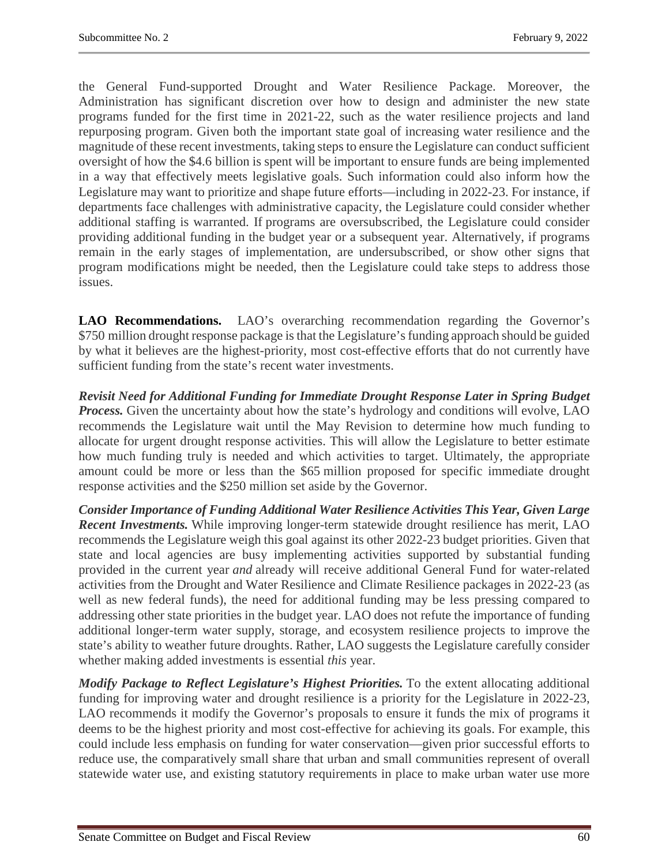the General Fund-supported Drought and Water Resilience Package. Moreover, the Administration has significant discretion over how to design and administer the new state programs funded for the first time in 2021-22, such as the water resilience projects and land repurposing program. Given both the important state goal of increasing water resilience and the magnitude of these recent investments, taking steps to ensure the Legislature can conduct sufficient oversight of how the \$4.6 billion is spent will be important to ensure funds are being implemented in a way that effectively meets legislative goals. Such information could also inform how the Legislature may want to prioritize and shape future efforts—including in 2022-23. For instance, if departments face challenges with administrative capacity, the Legislature could consider whether additional staffing is warranted. If programs are oversubscribed, the Legislature could consider providing additional funding in the budget year or a subsequent year. Alternatively, if programs remain in the early stages of implementation, are undersubscribed, or show other signs that program modifications might be needed, then the Legislature could take steps to address those issues.

**LAO Recommendations.** LAO's overarching recommendation regarding the Governor's \$750 million drought response package is that the Legislature's funding approach should be guided by what it believes are the highest-priority, most cost-effective efforts that do not currently have sufficient funding from the state's recent water investments.

*Revisit Need for Additional Funding for Immediate Drought Response Later in Spring Budget*  **Process.** Given the uncertainty about how the state's hydrology and conditions will evolve, LAO recommends the Legislature wait until the May Revision to determine how much funding to allocate for urgent drought response activities. This will allow the Legislature to better estimate how much funding truly is needed and which activities to target. Ultimately, the appropriate amount could be more or less than the \$65 million proposed for specific immediate drought response activities and the \$250 million set aside by the Governor.

*Consider Importance of Funding Additional Water Resilience Activities This Year, Given Large Recent Investments.* While improving longer-term statewide drought resilience has merit, LAO recommends the Legislature weigh this goal against its other 2022-23 budget priorities. Given that state and local agencies are busy implementing activities supported by substantial funding provided in the current year *and* already will receive additional General Fund for water-related activities from the Drought and Water Resilience and Climate Resilience packages in 2022-23 (as well as new federal funds), the need for additional funding may be less pressing compared to addressing other state priorities in the budget year. LAO does not refute the importance of funding additional longer-term water supply, storage, and ecosystem resilience projects to improve the state's ability to weather future droughts. Rather, LAO suggests the Legislature carefully consider whether making added investments is essential *this* year.

*Modify Package to Reflect Legislature's Highest Priorities.* To the extent allocating additional funding for improving water and drought resilience is a priority for the Legislature in 2022-23, LAO recommends it modify the Governor's proposals to ensure it funds the mix of programs it deems to be the highest priority and most cost-effective for achieving its goals. For example, this could include less emphasis on funding for water conservation—given prior successful efforts to reduce use, the comparatively small share that urban and small communities represent of overall statewide water use, and existing statutory requirements in place to make urban water use more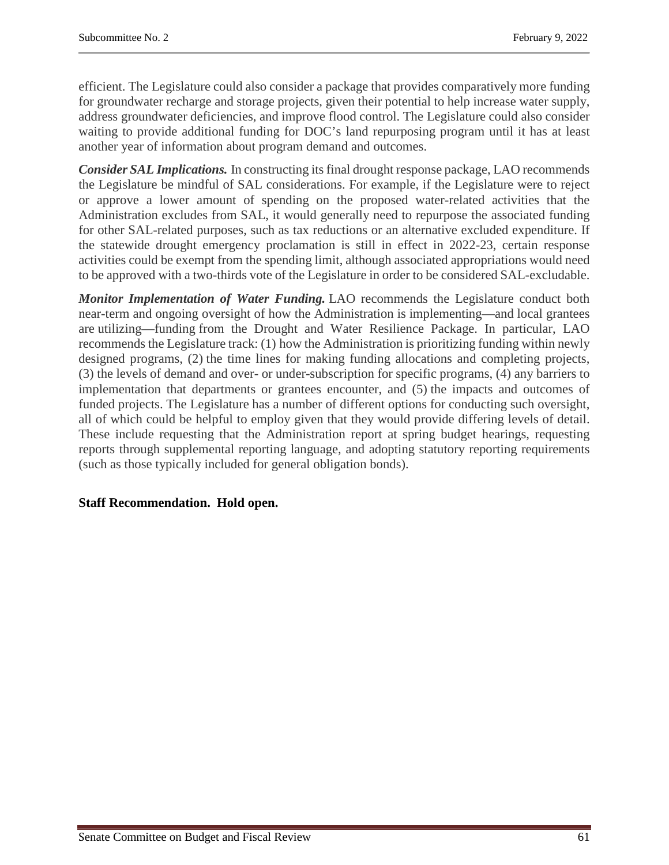efficient. The Legislature could also consider a package that provides comparatively more funding for groundwater recharge and storage projects, given their potential to help increase water supply, address groundwater deficiencies, and improve flood control. The Legislature could also consider waiting to provide additional funding for DOC's land repurposing program until it has at least another year of information about program demand and outcomes.

*Consider SAL Implications.* In constructing its final drought response package, LAO recommends the Legislature be mindful of SAL considerations. For example, if the Legislature were to reject or approve a lower amount of spending on the proposed water-related activities that the Administration excludes from SAL, it would generally need to repurpose the associated funding for other SAL-related purposes, such as tax reductions or an alternative excluded expenditure. If the statewide drought emergency proclamation is still in effect in 2022-23, certain response activities could be exempt from the spending limit, although associated appropriations would need to be approved with a two-thirds vote of the Legislature in order to be considered SAL-excludable.

*Monitor Implementation of Water Funding.* LAO recommends the Legislature conduct both near-term and ongoing oversight of how the Administration is implementing—and local grantees are utilizing—funding from the Drought and Water Resilience Package. In particular, LAO recommends the Legislature track: (1) how the Administration is prioritizing funding within newly designed programs, (2) the time lines for making funding allocations and completing projects, (3) the levels of demand and over- or under-subscription for specific programs, (4) any barriers to implementation that departments or grantees encounter, and (5) the impacts and outcomes of funded projects. The Legislature has a number of different options for conducting such oversight, all of which could be helpful to employ given that they would provide differing levels of detail. These include requesting that the Administration report at spring budget hearings, requesting reports through supplemental reporting language, and adopting statutory reporting requirements (such as those typically included for general obligation bonds).

# **Staff Recommendation. Hold open.**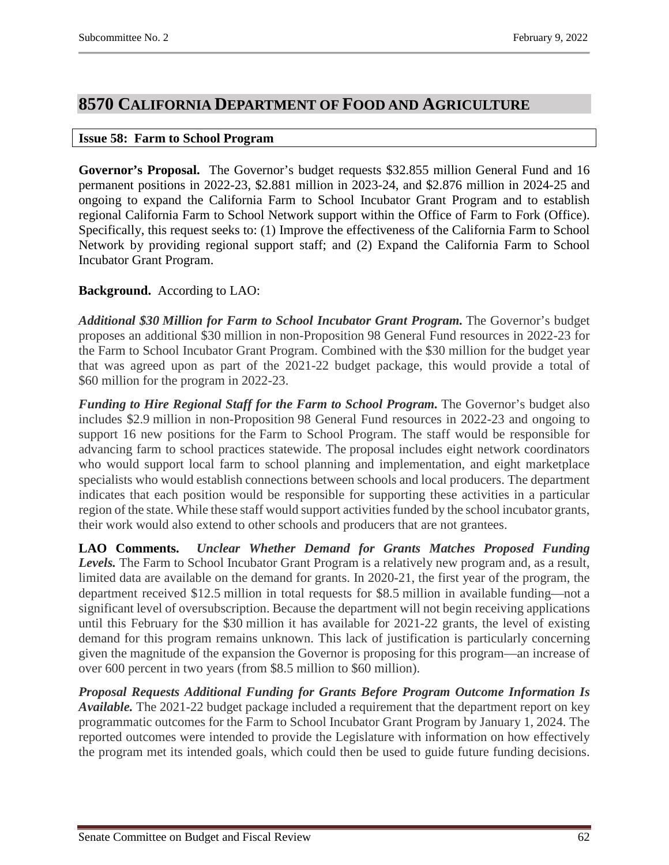# <span id="page-61-0"></span>**8570 CALIFORNIA DEPARTMENT OF FOOD AND AGRICULTURE**

#### <span id="page-61-1"></span>**Issue 58: Farm to School Program**

**Governor's Proposal.** The Governor's budget requests \$32.855 million General Fund and 16 permanent positions in 2022-23, \$2.881 million in 2023-24, and \$2.876 million in 2024-25 and ongoing to expand the California Farm to School Incubator Grant Program and to establish regional California Farm to School Network support within the Office of Farm to Fork (Office). Specifically, this request seeks to: (1) Improve the effectiveness of the California Farm to School Network by providing regional support staff; and (2) Expand the California Farm to School Incubator Grant Program.

# **Background.** According to LAO:

*Additional \$30 Million for Farm to School Incubator Grant Program.* The Governor's budget proposes an additional \$30 million in non-Proposition 98 General Fund resources in 2022-23 for the Farm to School Incubator Grant Program. Combined with the \$30 million for the budget year that was agreed upon as part of the 2021-22 budget package, this would provide a total of \$60 million for the program in 2022-23.

*Funding to Hire Regional Staff for the Farm to School Program.* The Governor's budget also includes \$2.9 million in non-Proposition 98 General Fund resources in 2022-23 and ongoing to support 16 new positions for the Farm to School Program. The staff would be responsible for advancing farm to school practices statewide. The proposal includes eight network coordinators who would support local farm to school planning and implementation, and eight marketplace specialists who would establish connections between schools and local producers. The department indicates that each position would be responsible for supporting these activities in a particular region of the state. While these staff would support activities funded by the school incubator grants, their work would also extend to other schools and producers that are not grantees.

**LAO Comments.** *Unclear Whether Demand for Grants Matches Proposed Funding Levels.* The Farm to School Incubator Grant Program is a relatively new program and, as a result, limited data are available on the demand for grants. In 2020-21, the first year of the program, the department received \$12.5 million in total requests for \$8.5 million in available funding—not a significant level of oversubscription. Because the department will not begin receiving applications until this February for the \$30 million it has available for 2021-22 grants, the level of existing demand for this program remains unknown. This lack of justification is particularly concerning given the magnitude of the expansion the Governor is proposing for this program—an increase of over 600 percent in two years (from \$8.5 million to \$60 million).

*Proposal Requests Additional Funding for Grants Before Program Outcome Information Is Available.* The 2021-22 budget package included a requirement that the department report on key programmatic outcomes for the Farm to School Incubator Grant Program by January 1, 2024. The reported outcomes were intended to provide the Legislature with information on how effectively the program met its intended goals, which could then be used to guide future funding decisions.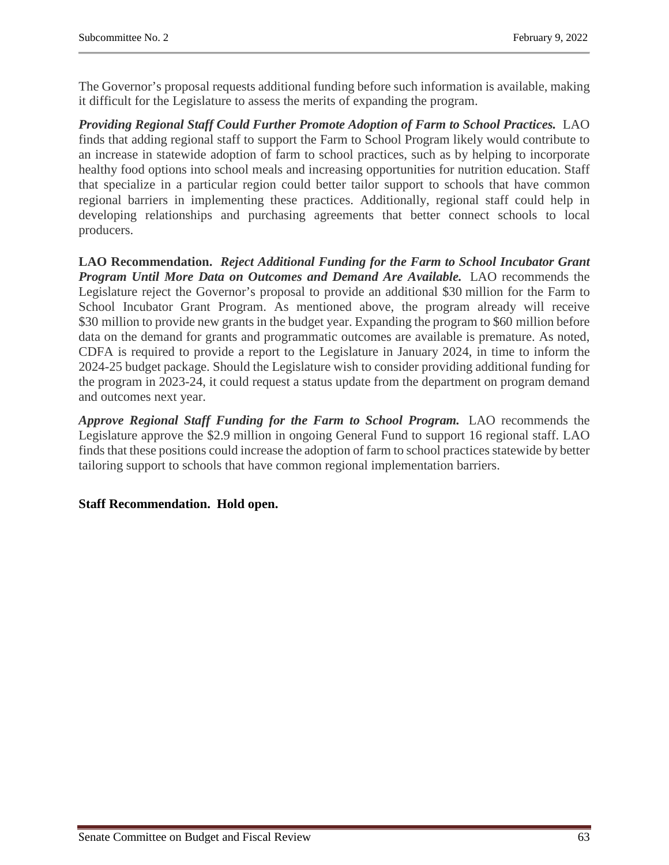The Governor's proposal requests additional funding before such information is available, making it difficult for the Legislature to assess the merits of expanding the program.

*Providing Regional Staff Could Further Promote Adoption of Farm to School Practices.* LAO finds that adding regional staff to support the Farm to School Program likely would contribute to an increase in statewide adoption of farm to school practices, such as by helping to incorporate healthy food options into school meals and increasing opportunities for nutrition education. Staff that specialize in a particular region could better tailor support to schools that have common regional barriers in implementing these practices. Additionally, regional staff could help in developing relationships and purchasing agreements that better connect schools to local producers.

**LAO Recommendation.** *Reject Additional Funding for the Farm to School Incubator Grant Program Until More Data on Outcomes and Demand Are Available.* LAO recommends the Legislature reject the Governor's proposal to provide an additional \$30 million for the Farm to School Incubator Grant Program. As mentioned above, the program already will receive \$30 million to provide new grants in the budget year. Expanding the program to \$60 million before data on the demand for grants and programmatic outcomes are available is premature. As noted, CDFA is required to provide a report to the Legislature in January 2024, in time to inform the 2024-25 budget package. Should the Legislature wish to consider providing additional funding for the program in 2023-24, it could request a status update from the department on program demand and outcomes next year.

*Approve Regional Staff Funding for the Farm to School Program.* LAO recommends the Legislature approve the \$2.9 million in ongoing General Fund to support 16 regional staff. LAO finds that these positions could increase the adoption of farm to school practices statewide by better tailoring support to schools that have common regional implementation barriers.

# **Staff Recommendation. Hold open.**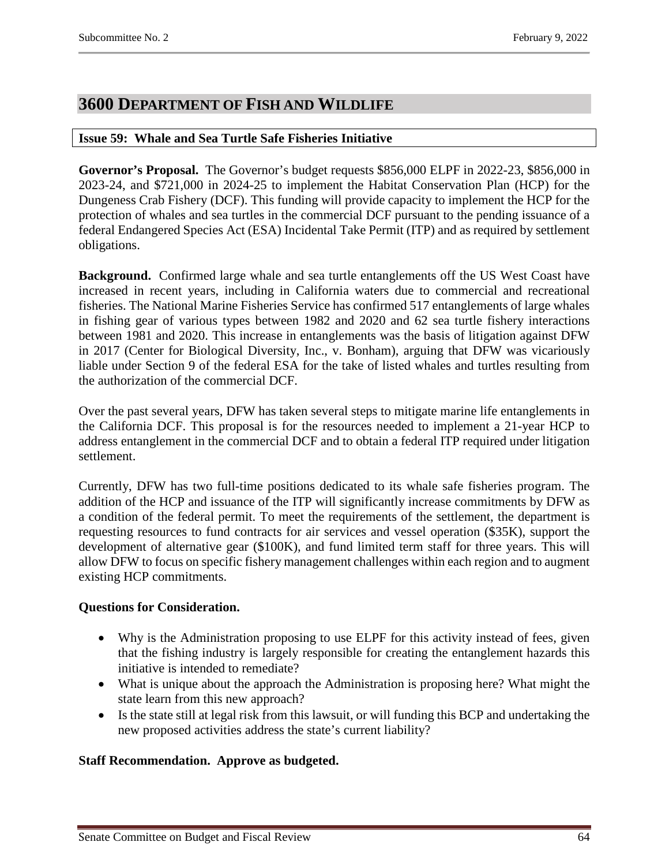# <span id="page-63-0"></span>**3600 DEPARTMENT OF FISH AND WILDLIFE**

# <span id="page-63-1"></span>**Issue 59: Whale and Sea Turtle Safe Fisheries Initiative**

**Governor's Proposal.** The Governor's budget requests \$856,000 ELPF in 2022-23, \$856,000 in 2023-24, and \$721,000 in 2024-25 to implement the Habitat Conservation Plan (HCP) for the Dungeness Crab Fishery (DCF). This funding will provide capacity to implement the HCP for the protection of whales and sea turtles in the commercial DCF pursuant to the pending issuance of a federal Endangered Species Act (ESA) Incidental Take Permit (ITP) and as required by settlement obligations.

**Background.** Confirmed large whale and sea turtle entanglements off the US West Coast have increased in recent years, including in California waters due to commercial and recreational fisheries. The National Marine Fisheries Service has confirmed 517 entanglements of large whales in fishing gear of various types between 1982 and 2020 and 62 sea turtle fishery interactions between 1981 and 2020. This increase in entanglements was the basis of litigation against DFW in 2017 (Center for Biological Diversity, Inc., v. Bonham), arguing that DFW was vicariously liable under Section 9 of the federal ESA for the take of listed whales and turtles resulting from the authorization of the commercial DCF.

Over the past several years, DFW has taken several steps to mitigate marine life entanglements in the California DCF. This proposal is for the resources needed to implement a 21-year HCP to address entanglement in the commercial DCF and to obtain a federal ITP required under litigation settlement.

Currently, DFW has two full-time positions dedicated to its whale safe fisheries program. The addition of the HCP and issuance of the ITP will significantly increase commitments by DFW as a condition of the federal permit. To meet the requirements of the settlement, the department is requesting resources to fund contracts for air services and vessel operation (\$35K), support the development of alternative gear (\$100K), and fund limited term staff for three years. This will allow DFW to focus on specific fishery management challenges within each region and to augment existing HCP commitments.

# **Questions for Consideration.**

- Why is the Administration proposing to use ELPF for this activity instead of fees, given that the fishing industry is largely responsible for creating the entanglement hazards this initiative is intended to remediate?
- What is unique about the approach the Administration is proposing here? What might the state learn from this new approach?
- Is the state still at legal risk from this lawsuit, or will funding this BCP and undertaking the new proposed activities address the state's current liability?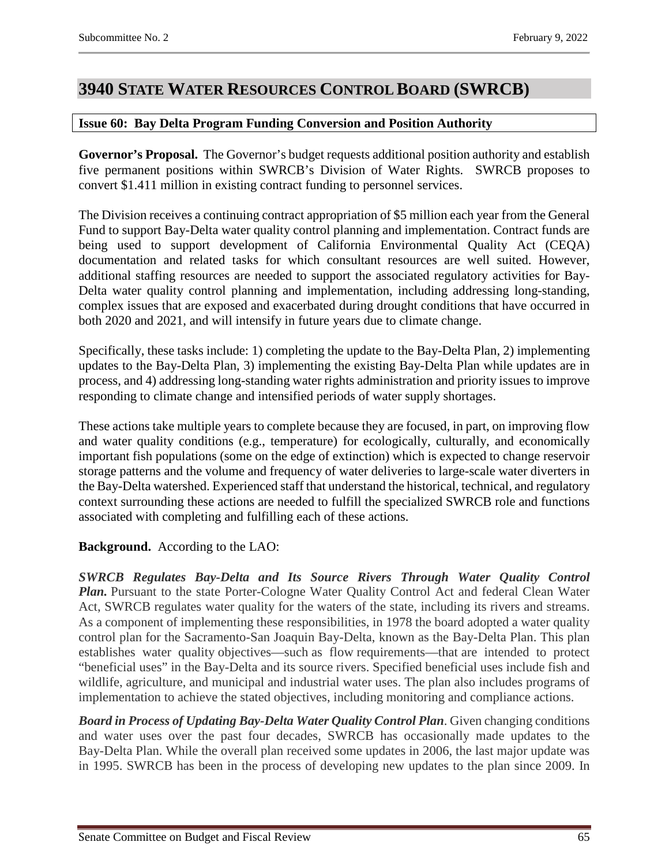# <span id="page-64-0"></span>**3940 STATE WATER RESOURCES CONTROL BOARD (SWRCB)**

# <span id="page-64-1"></span>**Issue 60: Bay Delta Program Funding Conversion and Position Authority**

**Governor's Proposal.** The Governor's budget requests additional position authority and establish five permanent positions within SWRCB's Division of Water Rights. SWRCB proposes to convert \$1.411 million in existing contract funding to personnel services.

The Division receives a continuing contract appropriation of \$5 million each year from the General Fund to support Bay-Delta water quality control planning and implementation. Contract funds are being used to support development of California Environmental Quality Act (CEQA) documentation and related tasks for which consultant resources are well suited. However, additional staffing resources are needed to support the associated regulatory activities for Bay-Delta water quality control planning and implementation, including addressing long-standing, complex issues that are exposed and exacerbated during drought conditions that have occurred in both 2020 and 2021, and will intensify in future years due to climate change.

Specifically, these tasks include: 1) completing the update to the Bay-Delta Plan, 2) implementing updates to the Bay-Delta Plan, 3) implementing the existing Bay-Delta Plan while updates are in process, and 4) addressing long-standing water rights administration and priority issues to improve responding to climate change and intensified periods of water supply shortages.

These actions take multiple years to complete because they are focused, in part, on improving flow and water quality conditions (e.g., temperature) for ecologically, culturally, and economically important fish populations (some on the edge of extinction) which is expected to change reservoir storage patterns and the volume and frequency of water deliveries to large-scale water diverters in the Bay-Delta watershed. Experienced staff that understand the historical, technical, and regulatory context surrounding these actions are needed to fulfill the specialized SWRCB role and functions associated with completing and fulfilling each of these actions.

# **Background.** According to the LAO:

*SWRCB Regulates Bay-Delta and Its Source Rivers Through Water Quality Control Plan.* Pursuant to the state Porter-Cologne Water Quality Control Act and federal Clean Water Act, SWRCB regulates water quality for the waters of the state, including its rivers and streams. As a component of implementing these responsibilities, in 1978 the board adopted a water quality control plan for the Sacramento-San Joaquin Bay-Delta, known as the Bay-Delta Plan. This plan establishes water quality objectives—such as flow requirements—that are intended to protect "beneficial uses" in the Bay-Delta and its source rivers. Specified beneficial uses include fish and wildlife, agriculture, and municipal and industrial water uses. The plan also includes programs of implementation to achieve the stated objectives, including monitoring and compliance actions.

*Board in Process of Updating Bay-Delta Water Quality Control Plan*. Given changing conditions and water uses over the past four decades, SWRCB has occasionally made updates to the Bay-Delta Plan. While the overall plan received some updates in 2006, the last major update was in 1995. SWRCB has been in the process of developing new updates to the plan since 2009. In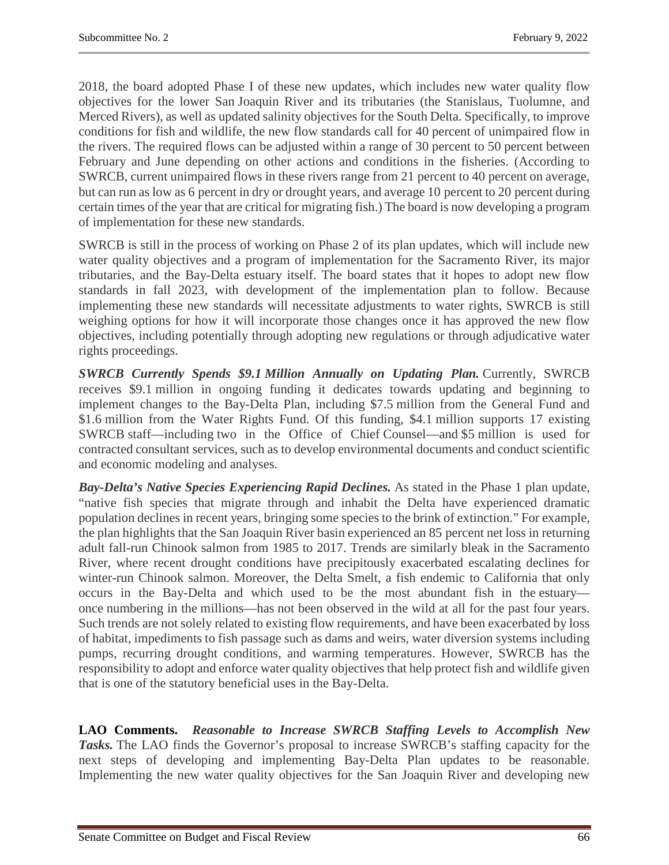2018, the board adopted Phase I of these new updates, which includes new water quality flow objectives for the lower San Joaquin River and its tributaries (the Stanislaus, Tuolumne, and Merced Rivers), as well as updated salinity objectives for the South Delta. Specifically, to improve conditions for fish and wildlife, the new flow standards call for 40 percent of unimpaired flow in the rivers. The required flows can be adjusted within a range of 30 percent to 50 percent between February and June depending on other actions and conditions in the fisheries. (According to SWRCB, current unimpaired flows in these rivers range from 21 percent to 40 percent on average, but can run as low as 6 percent in dry or drought years, and average 10 percent to 20 percent during certain times of the year that are critical for migrating fish.) The board is now developing a program of implementation for these new standards.

SWRCB is still in the process of working on Phase 2 of its plan updates, which will include new water quality objectives and a program of implementation for the Sacramento River, its major tributaries, and the Bay-Delta estuary itself. The board states that it hopes to adopt new flow standards in fall 2023, with development of the implementation plan to follow. Because implementing these new standards will necessitate adjustments to water rights, SWRCB is still weighing options for how it will incorporate those changes once it has approved the new flow objectives, including potentially through adopting new regulations or through adjudicative water rights proceedings.

*SWRCB Currently Spends \$9.1 Million Annually on Updating Plan.* Currently, SWRCB receives \$9.1 million in ongoing funding it dedicates towards updating and beginning to implement changes to the Bay-Delta Plan, including \$7.5 million from the General Fund and \$1.6 million from the Water Rights Fund. Of this funding, \$4.1 million supports 17 existing SWRCB staff—including two in the Office of Chief Counsel—and \$5 million is used for contracted consultant services, such as to develop environmental documents and conduct scientific and economic modeling and analyses.

*Bay-Delta's Native Species Experiencing Rapid Declines.* As stated in the Phase 1 plan update, "native fish species that migrate through and inhabit the Delta have experienced dramatic population declines in recent years, bringing some species to the brink of extinction." For example, the plan highlights that the San Joaquin River basin experienced an 85 percent net loss in returning adult fall-run Chinook salmon from 1985 to 2017. Trends are similarly bleak in the Sacramento River, where recent drought conditions have precipitously exacerbated escalating declines for winter-run Chinook salmon. Moreover, the Delta Smelt, a fish endemic to California that only occurs in the Bay-Delta and which used to be the most abundant fish in the estuary once numbering in the millions—has not been observed in the wild at all for the past four years. Such trends are not solely related to existing flow requirements, and have been exacerbated by loss of habitat, impediments to fish passage such as dams and weirs, water diversion systems including pumps, recurring drought conditions, and warming temperatures. However, SWRCB has the responsibility to adopt and enforce water quality objectives that help protect fish and wildlife given that is one of the statutory beneficial uses in the Bay-Delta.

**LAO Comments.** *Reasonable to Increase SWRCB Staffing Levels to Accomplish New Tasks.* The LAO finds the Governor's proposal to increase SWRCB's staffing capacity for the next steps of developing and implementing Bay-Delta Plan updates to be reasonable. Implementing the new water quality objectives for the San Joaquin River and developing new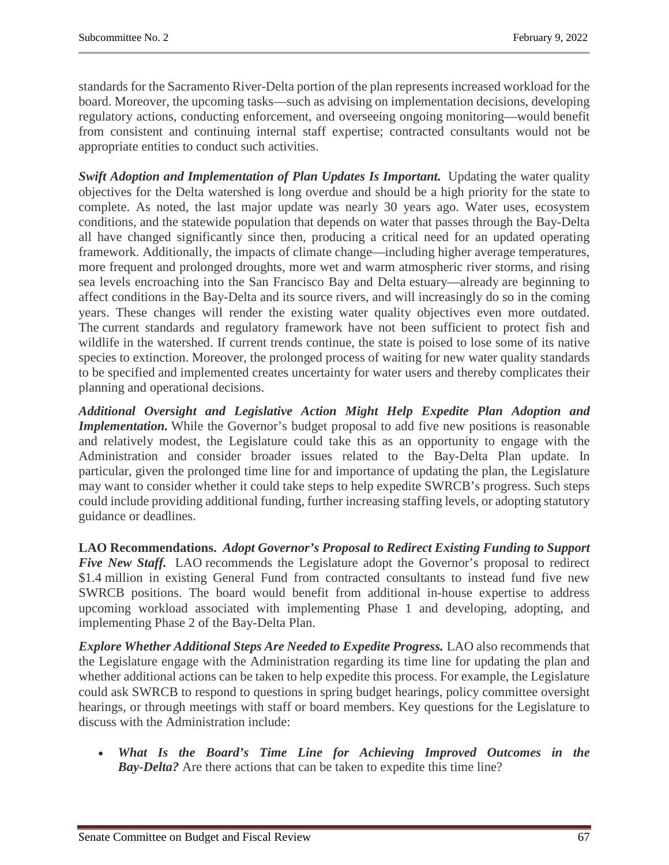standards for the Sacramento River-Delta portion of the plan represents increased workload for the board. Moreover, the upcoming tasks—such as advising on implementation decisions, developing regulatory actions, conducting enforcement, and overseeing ongoing monitoring—would benefit from consistent and continuing internal staff expertise; contracted consultants would not be appropriate entities to conduct such activities.

*Swift Adoption and Implementation of Plan Updates Is Important.* Updating the water quality objectives for the Delta watershed is long overdue and should be a high priority for the state to complete. As noted, the last major update was nearly 30 years ago. Water uses, ecosystem conditions, and the statewide population that depends on water that passes through the Bay-Delta all have changed significantly since then, producing a critical need for an updated operating framework. Additionally, the impacts of climate change—including higher average temperatures, more frequent and prolonged droughts, more wet and warm atmospheric river storms, and rising sea levels encroaching into the San Francisco Bay and Delta estuary—already are beginning to affect conditions in the Bay-Delta and its source rivers, and will increasingly do so in the coming years. These changes will render the existing water quality objectives even more outdated. The current standards and regulatory framework have not been sufficient to protect fish and wildlife in the watershed. If current trends continue, the state is poised to lose some of its native species to extinction. Moreover, the prolonged process of waiting for new water quality standards to be specified and implemented creates uncertainty for water users and thereby complicates their planning and operational decisions.

*Additional Oversight and Legislative Action Might Help Expedite Plan Adoption and Implementation*. While the Governor's budget proposal to add five new positions is reasonable and relatively modest, the Legislature could take this as an opportunity to engage with the Administration and consider broader issues related to the Bay-Delta Plan update. In particular, given the prolonged time line for and importance of updating the plan, the Legislature may want to consider whether it could take steps to help expedite SWRCB's progress. Such steps could include providing additional funding, further increasing staffing levels, or adopting statutory guidance or deadlines.

**LAO Recommendations.** *Adopt Governor's Proposal to Redirect Existing Funding to Support Five New Staff.* LAO recommends the Legislature adopt the Governor's proposal to redirect \$1.4 million in existing General Fund from contracted consultants to instead fund five new SWRCB positions. The board would benefit from additional in-house expertise to address upcoming workload associated with implementing Phase 1 and developing, adopting, and implementing Phase 2 of the Bay-Delta Plan.

*Explore Whether Additional Steps Are Needed to Expedite Progress.* LAO also recommends that the Legislature engage with the Administration regarding its time line for updating the plan and whether additional actions can be taken to help expedite this process. For example, the Legislature could ask SWRCB to respond to questions in spring budget hearings, policy committee oversight hearings, or through meetings with staff or board members. Key questions for the Legislature to discuss with the Administration include:

• *What Is the Board's Time Line for Achieving Improved Outcomes in the Bay-Delta?* Are there actions that can be taken to expedite this time line?